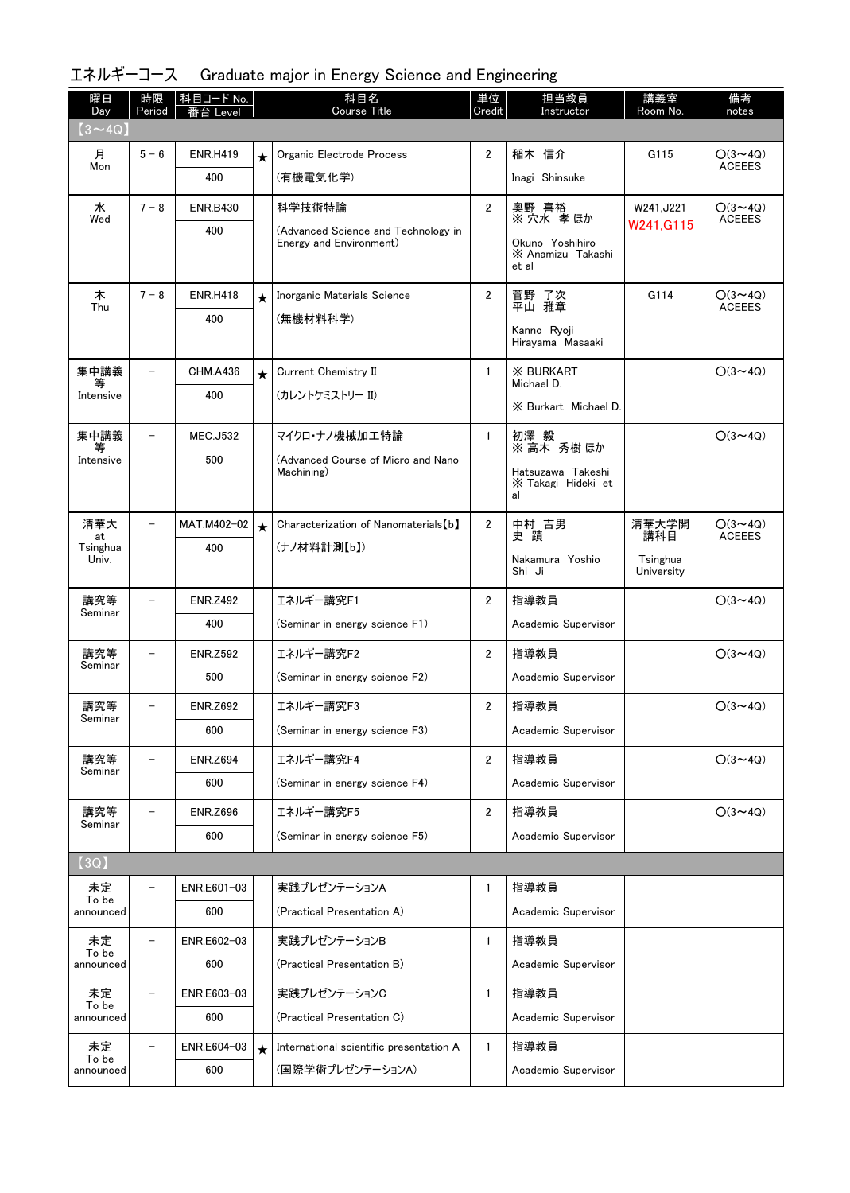| 曜日<br>Day         | 時限<br>Period             | 科目コード No.<br>Level |         | 科目名<br><b>Course Title</b>                                     | 単位<br>Credit   | 担当教員<br>Instructor                            | 講義室<br>Room No.        | 備考<br>notes                     |
|-------------------|--------------------------|--------------------|---------|----------------------------------------------------------------|----------------|-----------------------------------------------|------------------------|---------------------------------|
| $(3 \sim 4Q)$     |                          |                    |         |                                                                |                |                                               |                        |                                 |
| 月<br>Mon          | $5 - 6$                  | <b>ENR.H419</b>    | $\star$ | Organic Electrode Process                                      | $\overline{2}$ | 稲木 信介                                         | G115                   | $O(3 \sim 4Q)$<br><b>ACEEES</b> |
|                   |                          | 400                |         | (有機電気化学)                                                       |                | Inagi Shinsuke                                |                        |                                 |
| 水<br>Wed          | $7 - 8$                  | <b>ENR.B430</b>    |         | 科学技術特論                                                         | $\overline{2}$ | 奥野 喜裕<br>※ 穴水 孝 ほか                            | W241, J221             | $O(3 \sim 4Q)$<br><b>ACEEES</b> |
|                   |                          | 400                |         | (Advanced Science and Technology in<br>Energy and Environment) |                | Okuno Yoshihiro<br>X Anamizu Takashi<br>et al | W241, G115             |                                 |
| 木                 | $7 - 8$                  | <b>ENR.H418</b>    | $\star$ | Inorganic Materials Science                                    | $\overline{2}$ | 菅野 了次                                         | G114                   | $O(3 \sim 4Q)$                  |
| Thu               |                          | 400                |         | (無機材料科学)                                                       |                | 平山 雅章                                         |                        | <b>ACEEES</b>                   |
|                   |                          |                    |         |                                                                |                | Kanno Ryoji<br>Hirayama Masaaki               |                        |                                 |
| 集中講義<br>等         | $\overline{\phantom{0}}$ | <b>CHM.A436</b>    | $\star$ | Current Chemistry II                                           | $\mathbf{1}$   | <b>X BURKART</b><br>Michael D.                |                        | $O(3 \sim 4Q)$                  |
| Intensive         |                          | 400                |         | (カレントケミストリー II)                                                |                | X Burkart Michael D.                          |                        |                                 |
| 集中講義              |                          | <b>MEC.J532</b>    |         | マイクロ・ナノ機械加工特論                                                  | $\mathbf{1}$   | 初澤 毅                                          |                        | $O(3 \sim 4Q)$                  |
| Intensive         |                          | 500                |         | (Advanced Course of Micro and Nano                             |                | ※ 高木 秀樹 ほか                                    |                        |                                 |
|                   |                          |                    |         | Machining)                                                     |                | Hatsuzawa Takeshi<br>X Takagi Hideki et<br>al |                        |                                 |
|                   |                          |                    |         |                                                                |                |                                               |                        |                                 |
| 清華大<br>at         | $\overline{\phantom{0}}$ | MAT.M402-02<br>400 | $\star$ | Characterization of Nanomaterials [b]<br>(ナノ材料計測【b】)           | $\overline{2}$ | 中村 吉男<br>史蹟                                   | 清華大学開<br>講科目           | $O(3 \sim 4Q)$<br><b>ACEEES</b> |
| Tsinghua<br>Univ. |                          |                    |         |                                                                |                | Nakamura Yoshio<br>Shi Ji                     | Tsinghua<br>University |                                 |
| 講究等               |                          | <b>ENR.Z492</b>    |         | エネルギー講究F1                                                      | $\overline{2}$ | 指導教員                                          |                        | $O(3 \sim 4Q)$                  |
| Seminar           |                          | 400                |         | (Seminar in energy science F1)                                 |                | Academic Supervisor                           |                        |                                 |
| 講究等               | $\overline{\phantom{a}}$ | <b>ENR.Z592</b>    |         | エネルギー講究F2                                                      | $\overline{2}$ | 指導教員                                          |                        | $O(3 \sim 4Q)$                  |
| Seminar           |                          | 500                |         | (Seminar in energy science F2)                                 |                | Academic Supervisor                           |                        |                                 |
| 講究等<br>Seminar    |                          | <b>ENR.Z692</b>    |         | エネルギー講究F3                                                      | $\overline{2}$ | 指導教員                                          |                        | $O(3 \sim 4Q)$                  |
|                   |                          | 600                |         | (Seminar in energy science F3)                                 |                | Academic Supervisor                           |                        |                                 |
| 講究等<br>Seminar    | $\overline{\phantom{0}}$ | <b>ENR.Z694</b>    |         | エネルギー講究F4                                                      | $\overline{2}$ | 指導教員                                          |                        | $O(3 \sim 4Q)$                  |
|                   |                          | 600                |         | (Seminar in energy science F4)                                 |                | Academic Supervisor                           |                        |                                 |
| 講究等<br>Seminar    | -                        | <b>ENR.Z696</b>    |         | エネルギー講究F5                                                      | $\overline{2}$ | 指導教員                                          |                        | $O(3 \sim 4Q)$                  |
|                   |                          | 600                |         | (Seminar in energy science F5)                                 |                | Academic Supervisor                           |                        |                                 |
| [3Q]              |                          |                    |         |                                                                |                |                                               |                        |                                 |
| 未定<br>To be       |                          | ENR.E601-03        |         | 実践プレゼンテーションA                                                   | $\mathbf{1}$   | 指導教員                                          |                        |                                 |
| announced         |                          | 600                |         | (Practical Presentation A)                                     |                | Academic Supervisor                           |                        |                                 |
| 未定<br>To be       | -                        | ENR.E602-03        |         | 実践プレゼンテーションB                                                   | $\mathbf{1}$   | 指導教員                                          |                        |                                 |
| announced         |                          | 600                |         | (Practical Presentation B)                                     |                | Academic Supervisor                           |                        |                                 |
| 未定<br>To be       | $\overline{a}$           | ENR.E603-03        |         | 実践プレゼンテーションC                                                   | $\mathbf{1}$   | 指導教員                                          |                        |                                 |
| announced         |                          | 600                |         | (Practical Presentation C)                                     |                | Academic Supervisor                           |                        |                                 |
| 未定<br>To be       |                          | ENR.E604-03        | $\star$ | International scientific presentation A                        | $\mathbf{1}$   | 指導教員                                          |                        |                                 |
| announced         |                          | 600                |         | (国際学術プレゼンテーションA)                                               |                | Academic Supervisor                           |                        |                                 |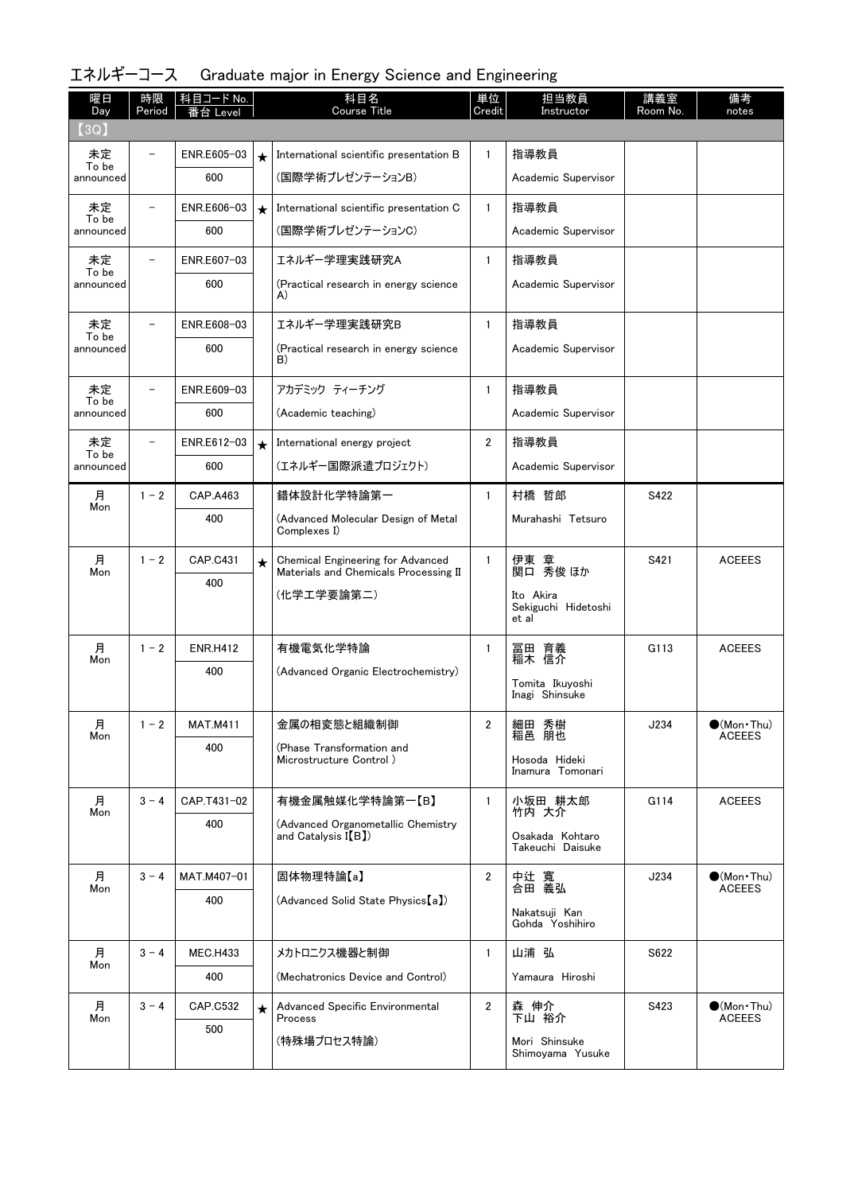| 曜日<br>Day          | 時限<br>Period             | 科目コード No.<br>Level |         | 科目名<br><b>Course Title</b>                                                        | 単位<br>Credit   | 担当教員<br>Instructor                        | 講義室<br>Room No. | 備考<br>notes                          |
|--------------------|--------------------------|--------------------|---------|-----------------------------------------------------------------------------------|----------------|-------------------------------------------|-----------------|--------------------------------------|
| (3Q)               |                          |                    |         |                                                                                   |                |                                           |                 |                                      |
| 未定<br>To be        |                          | ENR.E605-03        | $\star$ | International scientific presentation B                                           | $\mathbf{1}$   | 指導教員                                      |                 |                                      |
| announced          |                          | 600                |         | (国際学術プレゼンテーションB)                                                                  |                | Academic Supervisor                       |                 |                                      |
| 未定                 |                          | ENR.E606-03        | $\star$ | International scientific presentation C                                           | $\mathbf{1}$   | 指導教員                                      |                 |                                      |
| To be<br>announced |                          | 600                |         | (国際学術プレゼンテーションC)                                                                  |                | Academic Supervisor                       |                 |                                      |
| 未定<br>To be        |                          | ENR.E607-03        |         | エネルギー学理実践研究A                                                                      | $\mathbf{1}$   | 指導教員                                      |                 |                                      |
| announced          |                          | 600                |         | (Practical research in energy science<br>A)                                       |                | Academic Supervisor                       |                 |                                      |
| 未定                 |                          | ENR.E608-03        |         | エネルギー学理実践研究B                                                                      | $\mathbf{1}$   | 指導教員                                      |                 |                                      |
| To be<br>announced |                          | 600                |         | (Practical research in energy science<br>B)                                       |                | Academic Supervisor                       |                 |                                      |
| 未定                 | $\overline{\phantom{0}}$ | ENR.E609-03        |         | アカデミック ティーチング                                                                     | $\mathbf{1}$   | 指導教員                                      |                 |                                      |
| To be<br>announced |                          | 600                |         | (Academic teaching)                                                               |                | Academic Supervisor                       |                 |                                      |
| 未定                 |                          | ENR.E612-03        | $\star$ | International energy project                                                      | $\overline{2}$ | 指導教員                                      |                 |                                      |
| To be<br>announced |                          | 600                |         | (エネルギー国際派遣プロジェクト)                                                                 |                | Academic Supervisor                       |                 |                                      |
| 月                  | $1 - 2$                  | CAP.A463           |         | 錯体設計化学特論第一                                                                        | $\mathbf{1}$   | 村橋 哲郎                                     | S422            |                                      |
| Mon                |                          | 400                |         | (Advanced Molecular Design of Metal<br>Complexes I)                               |                | Murahashi Tetsuro                         |                 |                                      |
| 月<br>Mon           | $1 - 2$                  | CAP.C431           | $\star$ | <b>Chemical Engineering for Advanced</b><br>Materials and Chemicals Processing II | $\mathbf{1}$   | 伊東 章<br>関口 秀俊 ほか                          | S421            | <b>ACEEES</b>                        |
|                    |                          | 400                |         | (化学工学要論第二)                                                                        |                | Ito Akira<br>Sekiguchi Hidetoshi<br>et al |                 |                                      |
| 月<br>Mon           | $1 - 2$                  | <b>ENR.H412</b>    |         | 有機電気化学特論                                                                          | $\mathbf{1}$   | 冨田 育義<br>稲木 信介                            | G113            | <b>ACEEES</b>                        |
|                    |                          | 400                |         | (Advanced Organic Electrochemistry)                                               |                | Tomita Ikuyoshi<br>Inagi Shinsuke         |                 |                                      |
| 月<br>Mon           | $1 - 2$                  | MAI M411           |         | 金属の相変態と組織制御                                                                       | 2              | 細田 秀樹<br>稲邑 朋也                            | J234            | $\bullet$ (Mon•Thu)<br><b>ACEEES</b> |
|                    |                          | 400                |         | (Phase Transformation and<br>Microstructure Control)                              |                | Hosoda Hideki<br>Inamura Tomonari         |                 |                                      |
| 月<br>Mon           | $3 - 4$                  | CAP.T431-02        |         | 有機金属触媒化学特論第一【B】                                                                   | $\mathbf{1}$   | 小坂田 耕太郎<br>竹内 大介                          | G114            | <b>ACEEES</b>                        |
|                    |                          | 400                |         | (Advanced Organometallic Chemistry<br>and Catalysis $I(B)$                        |                | Osakada Kohtaro<br>Takeuchi Daisuke       |                 |                                      |
| 月                  | $3 - 4$                  | MAT.M407-01        |         | 固体物理特論【a】                                                                         | $\overline{2}$ | 中辻 寬<br>合田 義弘                             | J234            | $\bullet$ (Mon•Thu)                  |
| Mon                |                          | 400                |         | (Advanced Solid State Physics [a])                                                |                | Nakatsuji Kan<br>Gohda Yoshihiro          |                 | <b>ACEEES</b>                        |
| 月                  | $3 - 4$                  | <b>MEC.H433</b>    |         | メカトロニクス機器と制御                                                                      | $\mathbf{1}$   | 山浦 弘                                      | S622            |                                      |
| Mon                |                          | 400                |         | (Mechatronics Device and Control)                                                 |                | Yamaura Hiroshi                           |                 |                                      |
| 月<br>Mon           | $3 - 4$                  | <b>CAP.C532</b>    | $\star$ | Advanced Specific Environmental<br>Process                                        | $\mathbf{2}$   | 森 伸介<br>下山 裕介                             | S423            | $\bullet$ (Mon•Thu)<br><b>ACEEES</b> |
|                    |                          | 500                |         | (特殊場プロセス特論)                                                                       |                | Mori Shinsuke<br>Shimoyama Yusuke         |                 |                                      |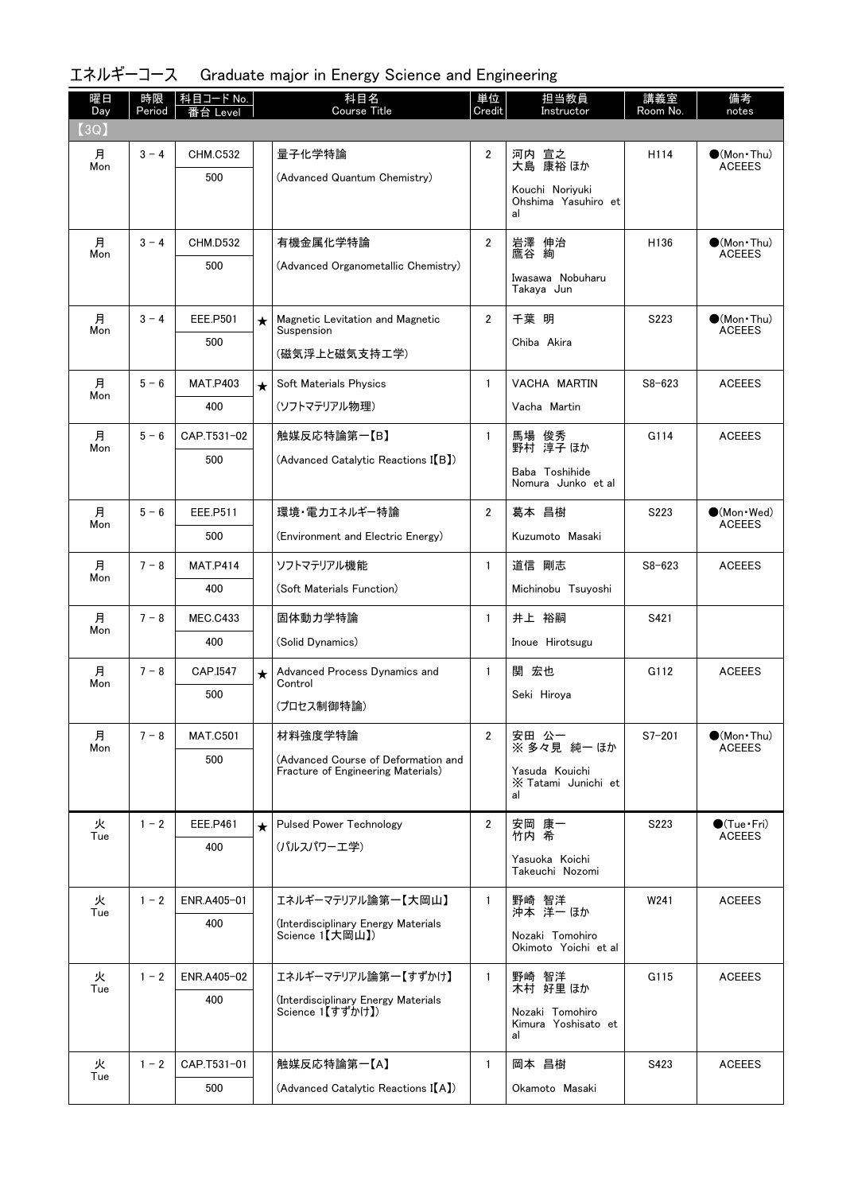| 曜日<br>Day | 時限<br>Period | 科目コード No.<br>番台 Level  |         | 科目名<br><b>Course Title</b>                              | 単位<br>Credit   | 担当教員<br>Instructor                           | 講義室<br><u>Room No.</u> | 備考<br>notes                                  |
|-----------|--------------|------------------------|---------|---------------------------------------------------------|----------------|----------------------------------------------|------------------------|----------------------------------------------|
| (3Q)      |              |                        |         |                                                         |                |                                              |                        |                                              |
| 月         | $3 - 4$      | <b>CHM.C532</b>        |         | 量子化学特論                                                  | $\overline{2}$ | 河内 宣之<br>大島 康裕ほか                             | H114                   | $\bullet$ (Mon•Thu)<br><b>ACEEES</b>         |
| Mon       |              | 500                    |         | (Advanced Quantum Chemistry)                            |                | Kouchi Noriyuki                              |                        |                                              |
|           |              |                        |         |                                                         |                | Ohshima Yasuhiro et<br>al                    |                        |                                              |
| 月<br>Mon  | $3 - 4$      | <b>CHM.D532</b>        |         | 有機金属化学特論                                                | $\overline{2}$ | 岩澤 伸治<br>鷹谷 絢                                | H <sub>136</sub>       | $\bullet$ (Mon $\cdot$ Thu)<br><b>ACEEES</b> |
|           |              | 500                    |         | (Advanced Organometallic Chemistry)                     |                | Iwasawa Nobuharu<br>Takaya Jun               |                        |                                              |
| 月         | $3 - 4$      | <b>EEE.P501</b>        | $\star$ | Magnetic Levitation and Magnetic                        | $\overline{2}$ | 千葉 明                                         | S <sub>223</sub>       | $\bullet$ (Mon•Thu)                          |
| Mon       |              | 500                    |         | Suspension                                              |                | Chiba Akira                                  |                        | <b>ACEEES</b>                                |
|           |              |                        |         | (磁気浮上と磁気支持工学)                                           |                |                                              |                        |                                              |
| 月<br>Mon  | $5 - 6$      | <b>MAT.P403</b>        | $\star$ | Soft Materials Physics                                  | $\mathbf{1}$   | VACHA MARTIN                                 | $S8 - 623$             | <b>ACEEES</b>                                |
|           |              | 400                    |         | (ソフトマテリアル物理)                                            |                | Vacha Martin                                 |                        |                                              |
| 月<br>Mon  | $5 - 6$      | CAP.T531-02            |         | 触媒反応特論第一【B】                                             | $\mathbf{1}$   | 馬場 俊秀<br>野村 淳子ほか                             | G114                   | <b>ACEEES</b>                                |
|           |              | 500                    |         | (Advanced Catalytic Reactions I(B))                     |                | Baba Toshihide<br>Nomura Junko et al         |                        |                                              |
| 月         | $5 - 6$      | EEE.P511               |         | 環境・電力エネルギー特論                                            | $\overline{2}$ | 葛本 昌樹                                        | S223                   | $\bullet$ (Mon Wed)                          |
| Mon       |              | 500                    |         | (Environment and Electric Energy)                       |                | Kuzumoto Masaki                              |                        | <b>ACEEES</b>                                |
| 月         | $7 - 8$      | <b>MAT.P414</b>        |         | ソフトマテリアル機能                                              | $\mathbf{1}$   | 道信 剛志                                        | $S8 - 623$             | <b>ACEEES</b>                                |
| Mon       |              | 400                    |         | (Soft Materials Function)                               |                | Michinobu Tsuyoshi                           |                        |                                              |
| 月         | $7 - 8$      | <b>MEC.C433</b>        |         | 固体動力学特論                                                 | $\mathbf{1}$   | 井上 裕嗣                                        | S421                   |                                              |
| Mon       |              | 400                    |         | (Solid Dynamics)                                        |                | Inoue Hirotsugu                              |                        |                                              |
| 月         | $7 - 8$      | CAP.I547               | $\star$ | Advanced Process Dynamics and                           | $\mathbf{1}$   | 関 宏也                                         | G112                   | <b>ACEEES</b>                                |
| Mon       |              | 500                    |         | Control<br>(プロセス制御特論)                                   |                | Seki Hiroya                                  |                        |                                              |
|           |              |                        |         |                                                         |                |                                              |                        |                                              |
| 月<br>Mon  | $7 - 8$      | <b>MAT.C501</b><br>500 |         | 材料強度学特論<br>(Advanced Course of Deformation and          | $\mathbf{2}$   | 安田 公一<br>※ 多々見 純一 ほか                         | $S7 - 201$             | $\bullet$ (Mon · Thu)<br><b>ACEEES</b>       |
|           |              |                        |         | Fracture of Engineering Materials)                      |                | Yasuda Kouichi<br>X Tatami Junichi et<br>al  |                        |                                              |
| 火<br>Tue  | $1 - 2$      | <b>EEE.P461</b>        | $\star$ | <b>Pulsed Power Technology</b>                          | $\overline{2}$ | 安岡 康一<br>竹内 希                                | S223                   | $\bullet$ (Tue $\cdot$ Fri)<br><b>ACEEES</b> |
|           |              | 400                    |         | (パルスパワーエ学)                                              |                | Yasuoka Koichi                               |                        |                                              |
|           |              |                        |         |                                                         |                | Takeuchi Nozomi                              |                        |                                              |
| 火<br>Tue  | $1 - 2$      | ENR.A405-01            |         | エネルギーマテリアル論第一【大岡山】                                      | $\mathbf{1}$   | 野崎 智洋<br>沖本 洋一ほか                             | W241                   | <b>ACEEES</b>                                |
|           |              | 400                    |         | (Interdisciplinary Energy Materials<br>Science 1【大岡山】)  |                | Nozaki Tomohiro                              |                        |                                              |
|           |              |                        |         |                                                         |                | Okimoto Yoichi et al                         |                        |                                              |
| 火<br>Tue  | $1 - 2$      | ENR.A405-02            |         | エネルギーマテリアル論第一【すずかけ】                                     | $\mathbf{1}$   | 野崎 智洋<br>木村 好里 ほか                            | G115                   | <b>ACEEES</b>                                |
|           |              | 400                    |         | (Interdisciplinary Energy Materials<br>Science 1【すずかけ】) |                | Nozaki Tomohiro<br>Kimura Yoshisato et<br>al |                        |                                              |
| 火         | $1 - 2$      | CAP.T531-01            |         | 触媒反応特論第一【A】                                             | $\mathbf{1}$   | 岡本 昌樹                                        | S423                   | <b>ACEEES</b>                                |
| Tue       |              | 500                    |         | (Advanced Catalytic Reactions I(A))                     |                | Okamoto Masaki                               |                        |                                              |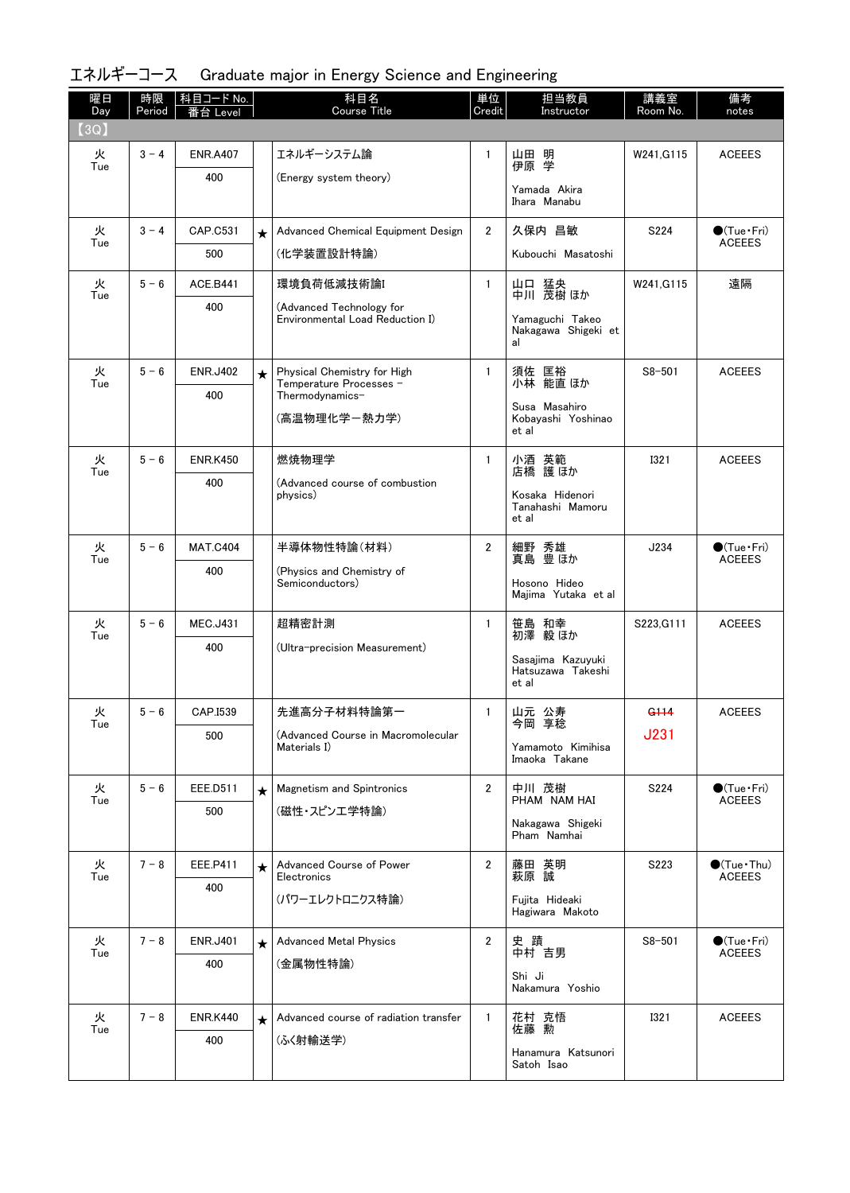| 曜日<br>Day | 時限<br>Period | 科目コード No.<br>番台 Level |         | 科目名<br><b>Course Title</b>                                  | 単位<br>Credit   | 担当教員<br>Instructor                                       | 講義室<br>Room No.  | 備考<br>notes                             |
|-----------|--------------|-----------------------|---------|-------------------------------------------------------------|----------------|----------------------------------------------------------|------------------|-----------------------------------------|
| (3Q)      |              |                       |         |                                                             |                |                                                          |                  |                                         |
| 火<br>Tue  | $3 - 4$      | <b>ENR.A407</b>       |         | エネルギーシステム論                                                  | $\mathbf{1}$   | 山田 明<br>伊原 学                                             | W241, G115       | <b>ACEEES</b>                           |
|           |              | 400                   |         | (Energy system theory)                                      |                | Yamada Akira<br>Ihara Manabu                             |                  |                                         |
| 火         | $3 - 4$      | CAP.C531              | $\star$ | Advanced Chemical Equipment Design                          | $\overline{2}$ | 久保内 昌敏                                                   | S224             | $\bullet$ (Tue Fri)                     |
| Tue       |              | 500                   |         | (化学装置設計特論)                                                  |                | Kubouchi Masatoshi                                       |                  | <b>ACEEES</b>                           |
| 火         | $5 - 6$      | <b>ACE.B441</b>       |         | 環境負荷低減技術論I                                                  | $\mathbf{1}$   | 山口 猛央                                                    | W241.G115        | 遠隔                                      |
| Tue       |              | 400                   |         | (Advanced Technology for<br>Environmental Load Reduction I) |                | 中川 茂樹 ほか<br>Yamaguchi Takeo<br>Nakagawa Shigeki et<br>al |                  |                                         |
| 火         | $5 - 6$      | <b>ENR.J402</b>       | $\star$ | Physical Chemistry for High                                 | $\mathbf{1}$   | 須佐 匡裕                                                    | $S8 - 501$       | <b>ACEEES</b>                           |
| Tue       |              | 400                   |         | Temperature Processes -<br>Thermodynamics-<br>(高温物理化学-熱力学)  |                | 小林 能直ほか<br>Susa Masahiro<br>Kobavashi Yoshinao<br>et al  |                  |                                         |
| 火<br>Tue  | $5 - 6$      | <b>ENR.K450</b>       |         | 燃焼物理学                                                       | $\mathbf{1}$   | 小酒 英範<br>店橋 護ほか                                          | <b>I321</b>      | <b>ACEEES</b>                           |
|           |              | 400                   |         | (Advanced course of combustion<br>physics)                  |                | Kosaka Hidenori<br>Tanahashi Mamoru<br>et al             |                  |                                         |
| 火         | $5 - 6$      | <b>MAT.C404</b>       |         | 半導体物性特論(材料)                                                 | 2              | 細野 秀雄<br>真島 豊ほか                                          | J234             | $\bullet$ (Tue•Fri)                     |
| Tue       |              | 400                   |         | (Physics and Chemistry of<br>Semiconductors)                |                | Hosono Hideo<br>Majima Yutaka et al                      |                  | <b>ACEEES</b>                           |
| 火<br>Tue  | $5 - 6$      | <b>MEC.J431</b>       |         | 超精密計測                                                       | $\mathbf{1}$   | 笹島 和幸<br>初澤 毅ほか                                          | S223, G111       | <b>ACEEES</b>                           |
|           |              | 400                   |         | (Ultra-precision Measurement)                               |                | Sasajima Kazuyuki<br>Hatsuzawa Takeshi<br>et al          |                  |                                         |
| 火         | $5 - 6$      | CAP.I539              |         | 先進高分子材料特論第一                                                 | $\mathbf{1}$   | 山元 公寿                                                    | G <sub>114</sub> | <b>ACEEES</b>                           |
| Tue       |              | 500                   |         | (Advanced Course in Macromolecular<br>Materials I)          |                | 今尚 学稔<br>Yamamoto Kimihisa<br>Imaoka Takane              | <b>J231</b>      |                                         |
| 火<br>Tue  | $5 - 6$      | EEE.D511              | $\star$ | <b>Magnetism and Spintronics</b>                            | $\overline{2}$ | 中川 茂樹<br>PHAM NAM HAI                                    | S224             | $\bullet$ (Tue Fri)<br><b>ACEEES</b>    |
|           |              | 500                   |         | (磁性・スピンエ学特論)                                                |                | Nakagawa Shigeki<br>Pham Namhai                          |                  |                                         |
| 火<br>Tue  | $7 - 8$      | EEE.P411              | $\star$ | Advanced Course of Power<br>Electronics                     | $\overline{2}$ | 藤田 英明<br>萩原 誠                                            | S223             | $\bigcirc$ (Tue · Thu)<br><b>ACEEES</b> |
|           |              | 400                   |         | (パワーエレクトロニクス特論)                                             |                | Fujita Hideaki<br>Hagiwara Makoto                        |                  |                                         |
| 火<br>Tue  | $7 - 8$      | <b>ENR.J401</b>       | $\star$ | <b>Advanced Metal Physics</b>                               | $\mathbf{2}$   | 史 蹟<br>中村 吉男                                             | $S8 - 501$       | $\bullet$ (Tue•Fri)<br><b>ACEEES</b>    |
|           |              | 400                   |         | (金属物性特論)                                                    |                | Shi Ji<br>Nakamura Yoshio                                |                  |                                         |
| 火         | $7 - 8$      | <b>ENR.K440</b>       | $\star$ | Advanced course of radiation transfer                       | $\mathbf{1}$   | 花村 克悟                                                    | <b>I321</b>      | <b>ACEEES</b>                           |
| Tue       |              | 400                   |         | (ふく射輸送学)                                                    |                | 佐藤 勲<br>Hanamura Katsunori                               |                  |                                         |
|           |              |                       |         |                                                             |                | Satoh Isao                                               |                  |                                         |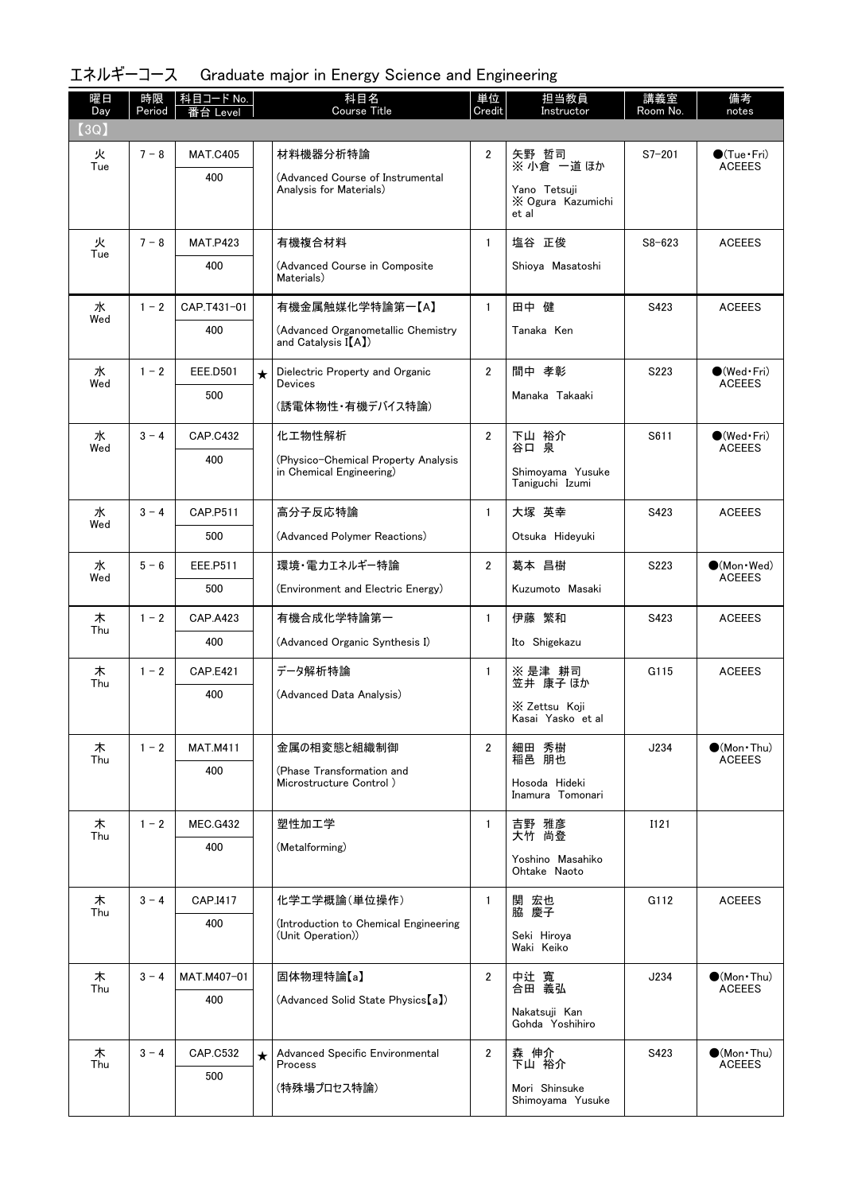| 曜日<br>Day | 時限<br>Period | 科目コード No.<br>番台 Level |         | 科目名<br><b>Course Title</b>                                      | 単位<br>Credit   | 担当教員<br>Instructor                         | 講義室<br>Room No. | 備考<br>notes                            |
|-----------|--------------|-----------------------|---------|-----------------------------------------------------------------|----------------|--------------------------------------------|-----------------|----------------------------------------|
| (3Q)      |              |                       |         |                                                                 |                |                                            |                 |                                        |
| 火<br>Tue  | $7 - 8$      | <b>MAT.C405</b>       |         | 材料機器分析特論                                                        | $\mathbf{2}$   | 矢野 哲司<br>※ 小倉 一道 ほか                        | $S7 - 201$      | $\bullet$ (Tue•Fri)<br><b>ACEEES</b>   |
|           |              | 400                   |         | (Advanced Course of Instrumental<br>Analysis for Materials)     |                | Yano Tetsuji<br>X Ogura Kazumichi<br>et al |                 |                                        |
| 火         | $7 - 8$      | <b>MAT.P423</b>       |         | 有機複合材料                                                          | $\mathbf{1}$   | 塩谷 正俊                                      | $S8 - 623$      | <b>ACEEES</b>                          |
| Tue       |              | 400                   |         | (Advanced Course in Composite<br>Materials)                     |                | Shiova Masatoshi                           |                 |                                        |
| 水<br>Wed  | $1 - 2$      | CAP.T431-01           |         | 有機金属触媒化学特論第一【A】                                                 | $\mathbf{1}$   | 田中 健                                       | S423            | <b>ACEEES</b>                          |
|           |              | 400                   |         | (Advanced Organometallic Chemistry<br>and Catalysis $I(A)$      |                | Tanaka Ken                                 |                 |                                        |
| 水<br>Wed  | $1 - 2$      | <b>EEE.D501</b>       | $\star$ | Dielectric Property and Organic<br>Devices                      | $\overline{2}$ | 間中 孝彰                                      | S223            | $\bullet$ (Wed•Fri)<br><b>ACEEES</b>   |
|           |              | 500                   |         | (誘電体物性・有機デバイス特論)                                                |                | Manaka Takaaki                             |                 |                                        |
| 水         | $3 - 4$      | <b>CAP.C432</b>       |         | 化工物性解析                                                          | $\overline{2}$ | 下山 裕介<br>谷口 泉                              | S611            | $\bigcirc$ (Wed · Fri)                 |
| Wed       |              | 400                   |         | (Physico-Chemical Property Analysis<br>in Chemical Engineering) |                | Shimoyama Yusuke<br>Taniguchi Izumi        |                 | <b>ACEEES</b>                          |
| 水         | $3 - 4$      | CAP.P511              |         | 高分子反応特論                                                         | $\mathbf{1}$   | 大塚 英幸                                      | S423            | <b>ACEEES</b>                          |
| Wed       |              | 500                   |         | (Advanced Polymer Reactions)                                    |                | Otsuka Hideyuki                            |                 |                                        |
| 水         | $5 - 6$      | EEE.P511              |         | 環境・電力エネルギー特論                                                    | $\overline{2}$ | 葛本 昌樹                                      | S223            | $\bullet$ (Mon Wed)                    |
| Wed       |              | 500                   |         | (Environment and Electric Energy)                               |                | Kuzumoto Masaki                            |                 | <b>ACEEES</b>                          |
| 木<br>Thu  | $1 - 2$      | <b>CAP.A423</b>       |         | 有機合成化学特論第一                                                      | $\mathbf{1}$   | 伊藤 繁和                                      | S423            | <b>ACEEES</b>                          |
|           |              | 400                   |         | (Advanced Organic Synthesis I)                                  |                | Ito Shigekazu                              |                 |                                        |
| 木<br>Thu  | $1 - 2$      | <b>CAP.E421</b>       |         | データ解析特論                                                         | $\mathbf{1}$   | ※ 是津 耕司<br>笠井 康子 ほか                        | G115            | <b>ACEEES</b>                          |
|           |              | 400                   |         | (Advanced Data Analysis)                                        |                | X Zettsu Koji<br>Kasai Yasko et al         |                 |                                        |
| 木<br>Thu  | $1 - 2$      | <b>MAT.M411</b>       |         | 金属の相変態と組織制御                                                     | $\overline{2}$ | 細田 秀樹<br>稲邑 朋也                             | J234            | $\bullet$ (Mon • Thu)<br><b>ACEEES</b> |
|           |              | 400                   |         | (Phase Transformation and<br>Microstructure Control)            |                | Hosoda Hideki                              |                 |                                        |
|           |              |                       |         |                                                                 |                | Inamura Tomonari                           |                 |                                        |
| 木<br>Thu  | $1 - 2$      | <b>MEC.G432</b>       |         | 塑性加工学                                                           | $\mathbf{1}$   | 吉野 雅彦<br>大竹 尚登                             | I121            |                                        |
|           |              | 400                   |         | (Metalforming)                                                  |                | Yoshino Masahiko<br>Ohtake Naoto           |                 |                                        |
| 木         | $3 - 4$      | CAP.I417              |         | 化学工学概論(単位操作)                                                    | $\mathbf{1}$   | 関 宏也<br>脇 慶子                               | G112            | <b>ACEEES</b>                          |
| Thu       |              | 400                   |         | (Introduction to Chemical Engineering<br>(Unit Operation))      |                | Seki Hiroya<br>Waki Keiko                  |                 |                                        |
| 木         | $3 - 4$      | MAT.M407-01           |         | 固体物理特論【a】                                                       | $\overline{2}$ | 中辻 寬                                       | J234            | $\bullet$ (Mon•Thu)                    |
| Thu       |              | 400                   |         | (Advanced Solid State Physics [a])                              |                | 合田 義弘                                      |                 | <b>ACEEES</b>                          |
|           |              |                       |         |                                                                 |                | Nakatsuji Kan<br>Gohda Yoshihiro           |                 |                                        |
| 木<br>Thu  | $3 - 4$      | <b>CAP.C532</b>       | $\star$ | Advanced Specific Environmental<br>Process                      | $\overline{2}$ | 森 伸介<br>下山 裕介                              | S423            | $\bullet$ (Mon•Thu)<br><b>ACEEES</b>   |
|           |              | 500                   |         | (特殊場プロセス特論)                                                     |                | Mori Shinsuke<br>Shimoyama Yusuke          |                 |                                        |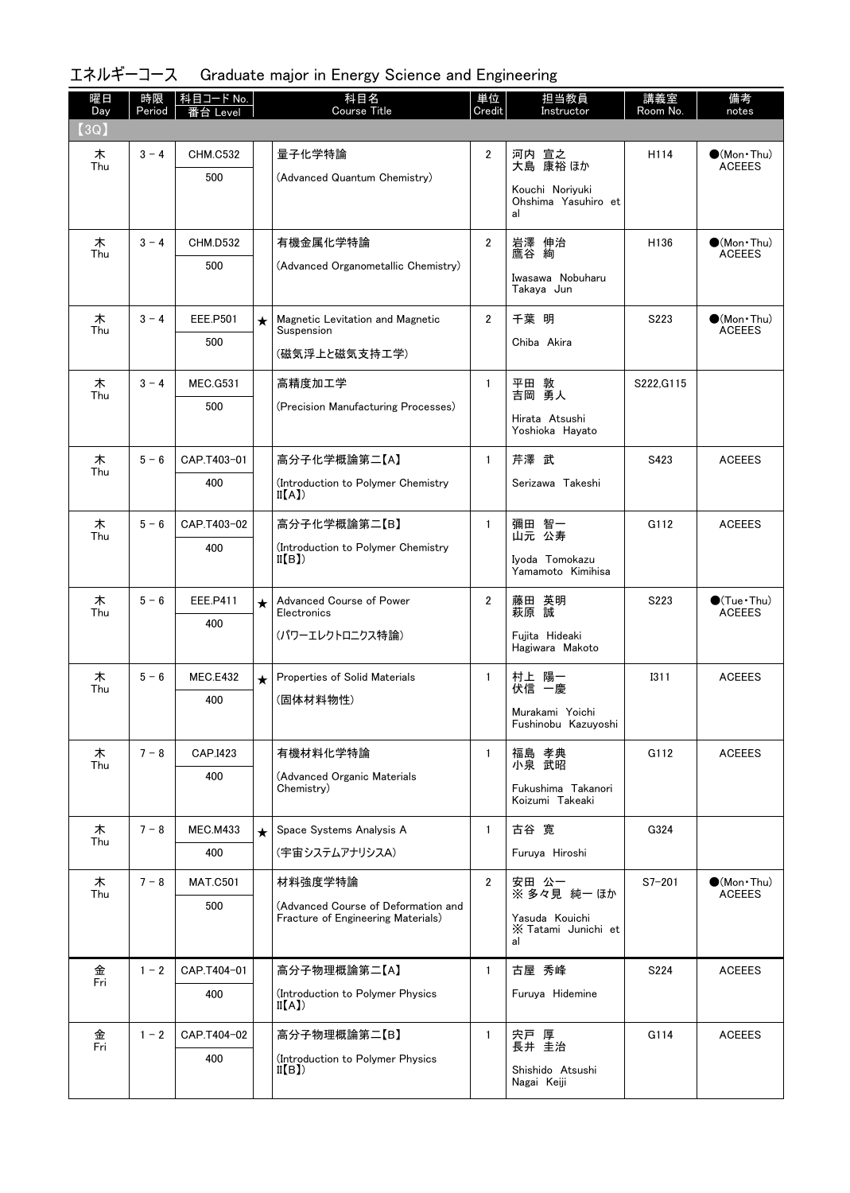| 曜日<br>Day | 時限<br>Period | 科目コード No.<br>番台 Level |         | 科目名<br><b>Course Title</b>                                                | 単位<br>Credit   | 担当教員<br>Instructor                    | 講義室<br>Room No.  | 備考<br>notes                                  |
|-----------|--------------|-----------------------|---------|---------------------------------------------------------------------------|----------------|---------------------------------------|------------------|----------------------------------------------|
| (3Q)      |              |                       |         |                                                                           |                |                                       |                  |                                              |
| 木<br>Thu  | $3 - 4$      | <b>CHM.C532</b>       |         | 量子化学特論                                                                    | $\overline{2}$ | 河内 宣之<br>大島 康裕ほか                      | H114             | $\bullet$ (Mon · Thu)<br><b>ACEEES</b>       |
|           |              | 500                   |         | (Advanced Quantum Chemistry)                                              |                | Kouchi Noriyuki                       |                  |                                              |
|           |              |                       |         |                                                                           |                | Ohshima Yasuhiro et<br>al             |                  |                                              |
| 木<br>Thu  | $3 - 4$      | <b>CHM.D532</b>       |         | 有機金属化学特論                                                                  | $\overline{2}$ | 岩澤 伸治<br>鷹谷 絢                         | H <sub>136</sub> | $\bullet$ (Mon $\cdot$ Thu)<br><b>ACEEES</b> |
|           |              | 500                   |         | (Advanced Organometallic Chemistry)                                       |                | Iwasawa Nobuharu<br>Takaya Jun        |                  |                                              |
| 木         | $3 - 4$      | <b>EEE.P501</b>       | $\star$ | Magnetic Levitation and Magnetic                                          | $\overline{2}$ | 千葉 明                                  | S223             | $\bullet$ (Mon $\cdot$ Thu)                  |
| Thu       |              | 500                   |         | Suspension<br>(磁気浮上と磁気支持工学)                                               |                | Chiba Akira                           |                  | <b>ACEEES</b>                                |
|           | $3 - 4$      | <b>MEC.G531</b>       |         | 高精度加工学                                                                    | $\mathbf{1}$   |                                       |                  |                                              |
| 木<br>Thu  |              | 500                   |         | (Precision Manufacturing Processes)                                       |                | 平田 敦<br>吉岡 勇人                         | S222, G115       |                                              |
|           |              |                       |         |                                                                           |                | Hirata Atsushi<br>Yoshioka Hayato     |                  |                                              |
| 木<br>Thu  | $5 - 6$      | CAP.T403-01           |         | 高分子化学概論第二【A】                                                              | $\mathbf{1}$   | 芹澤 武                                  | S423             | <b>ACEEES</b>                                |
|           |              | 400                   |         | (Introduction to Polymer Chemistry<br>II(A)                               |                | Serizawa Takeshi                      |                  |                                              |
| 木<br>Thu  | $5 - 6$      | CAP.T403-02           |         | 高分子化学概論第二【B】                                                              | $\mathbf{1}$   | 彌田 智一<br>山元 公寿                        | G112             | <b>ACEEES</b>                                |
|           |              | 400                   |         | (Introduction to Polymer Chemistry<br>II(B)                               |                | Iyoda Tomokazu                        |                  |                                              |
|           |              |                       |         |                                                                           |                | Yamamoto Kimihisa                     |                  |                                              |
| 木<br>Thu  | $5 - 6$      | EEE.P411              | $\star$ | Advanced Course of Power<br>Electronics                                   | $\overline{2}$ | 藤田 英明<br>萩原 誠                         | S223             | $\bullet$ (Tue · Thu)<br><b>ACEEES</b>       |
|           |              | 400                   |         | (パワーエレクトロニクス特論)                                                           |                | Fujita Hideaki<br>Hagiwara Makoto     |                  |                                              |
| 木<br>Thu  | $5 - 6$      | <b>MEC.E432</b>       | $\star$ | Properties of Solid Materials                                             | $\mathbf{1}$   | 村上 陽一<br>伏信 一慶                        | <b>I311</b>      | <b>ACEEES</b>                                |
|           |              | 400                   |         | (固体材料物性)                                                                  |                | Murakami Yoichi                       |                  |                                              |
|           |              |                       |         |                                                                           |                | Fushinobu Kazuyoshi                   |                  |                                              |
| 木<br>Thu  | $7 - 8$      | CAP.I423              |         | 有機材料化学特論                                                                  | $\mathbf{1}$   | 福島 孝典<br>小泉 武昭                        | G112             | <b>ACEEES</b>                                |
|           |              | 400                   |         | (Advanced Organic Materials<br>Chemistry)                                 |                | Fukushima Takanori<br>Koizumi Takeaki |                  |                                              |
| 木         | $7 - 8$      | <b>MEC.M433</b>       | $\star$ | Space Systems Analysis A                                                  | $\mathbf{1}$   | 古谷 寛                                  | G324             |                                              |
| Thu       |              | 400                   |         | (宇宙システムアナリシスA)                                                            |                | Furuya Hiroshi                        |                  |                                              |
| 木<br>Thu  | $7 - 8$      | <b>MAT.C501</b>       |         | 材料強度学特論                                                                   | $\overline{2}$ | 安田 公一<br>※ 多々見 純一 ほか                  | $S7 - 201$       | $\bullet$ (Mon • Thu)<br><b>ACEEES</b>       |
|           |              | 500                   |         | (Advanced Course of Deformation and<br>Fracture of Engineering Materials) |                | Yasuda Kouichi                        |                  |                                              |
|           |              |                       |         |                                                                           |                | X Tatami Junichi et<br>al             |                  |                                              |
| 金<br>Fri  | $1 - 2$      | CAP.T404-01           |         | 高分子物理概論第二【A】                                                              | $\mathbf{1}$   | 古屋 秀峰                                 | S224             | <b>ACEEES</b>                                |
|           |              | 400                   |         | (Introduction to Polymer Physics<br>II(A)                                 |                | Furuya Hidemine                       |                  |                                              |
| 金<br>Fri  | $1 - 2$      | CAP.T404-02           |         | 高分子物理概論第二【B】                                                              | $\mathbf{1}$   | 宍戸 厚<br>長井 圭治                         | G114             | <b>ACEEES</b>                                |
|           |              | 400                   |         | (Introduction to Polymer Physics<br>II(B)                                 |                | Shishido Atsushi                      |                  |                                              |
|           |              |                       |         |                                                                           |                | Nagai Keiji                           |                  |                                              |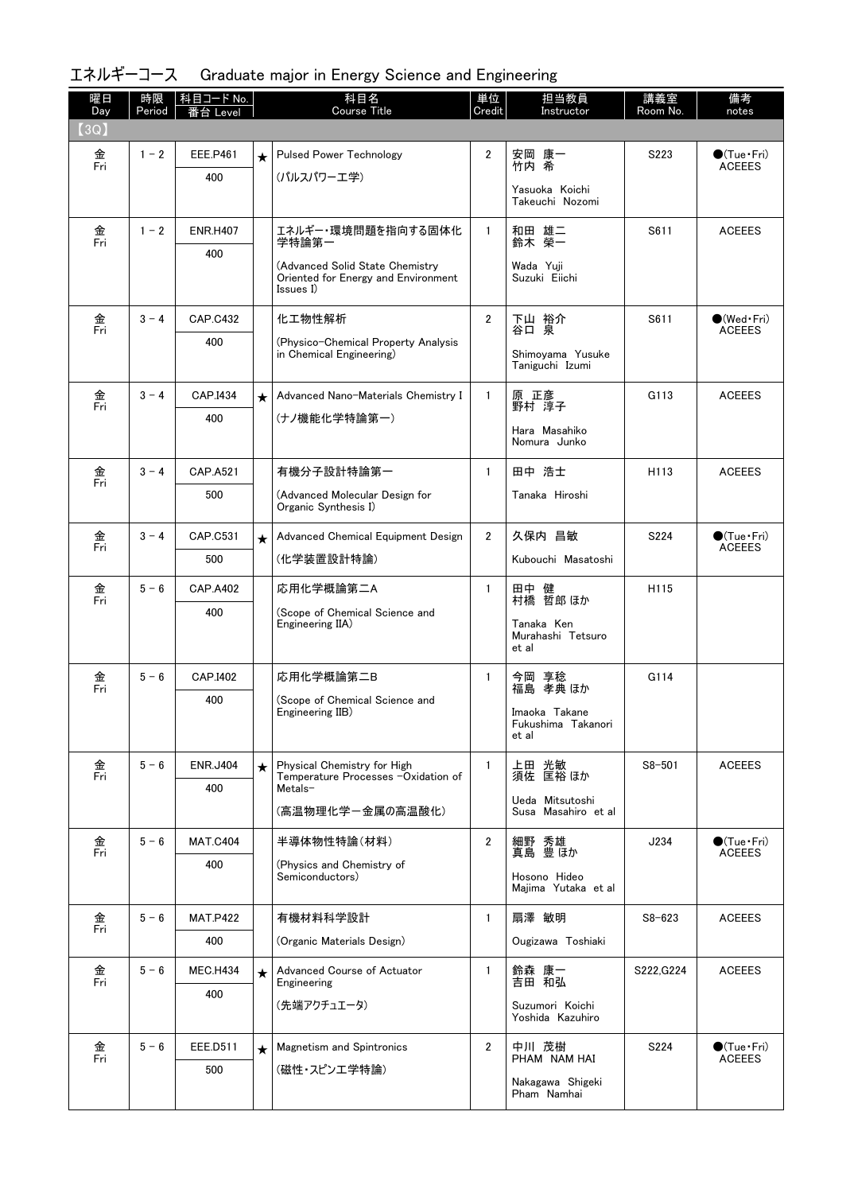| 曜日<br>Day            | 時限<br>Period | 科目コード No.<br>台<br>Level |            | 科目名<br><b>Course Title</b>                                              | 単位<br>Credit   | 担当教員<br>Instructor                       | 講義室<br>Room No.  | 備考<br>notes                             |
|----------------------|--------------|-------------------------|------------|-------------------------------------------------------------------------|----------------|------------------------------------------|------------------|-----------------------------------------|
| (3Q)                 |              |                         |            |                                                                         |                |                                          |                  |                                         |
| 金<br>Fri             | $1 - 2$      | EEE.P461                | $\star$    | <b>Pulsed Power Technology</b>                                          | $\overline{2}$ | 安岡 康一<br>竹内 希                            | S223             | $\bullet$ (Tue Fri)<br><b>ACEEES</b>    |
|                      |              | 400                     |            | (パルスパワーエ学)                                                              |                | Yasuoka Koichi                           |                  |                                         |
|                      |              |                         |            |                                                                         |                | Takeuchi Nozomi                          |                  |                                         |
| 金<br>Fri             | $1 - 2$      | <b>ENR.H407</b>         |            | エネルギー・環境問題を指向する固体化<br>学特論第一                                             | $\mathbf{1}$   | 和田 雄二<br>鈴木 榮一                           | S611             | <b>ACEEES</b>                           |
|                      |              | 400                     |            | (Advanced Solid State Chemistry)<br>Oriented for Energy and Environment |                | Wada Yuji<br>Suzuki Eiichi               |                  |                                         |
|                      |              |                         |            | $\[ssues \overline{I})$                                                 |                |                                          |                  |                                         |
| 金<br>Fri             | $3 - 4$      | <b>CAP.C432</b>         |            | 化工物性解析                                                                  | $\overline{2}$ | 下山 裕介<br>谷口 泉                            | S611             | $\bigcirc$ (Wed · Fri)<br><b>ACEEES</b> |
|                      |              | 400                     |            | (Physico-Chemical Property Analysis<br>in Chemical Engineering)         |                | Shimoyama Yusuke<br>Taniguchi Izumi      |                  |                                         |
| 金<br>Fri             | $3 - 4$      | CAP.I434                | $\star$    | Advanced Nano-Materials Chemistry I                                     | $\mathbf{1}$   | 原 正彦<br>野村 淳子                            | G113             | <b>ACEEES</b>                           |
|                      |              | 400                     |            | (ナノ機能化学特論第一)                                                            |                | Hara Masahiko                            |                  |                                         |
|                      |              |                         |            |                                                                         |                | Nomura Junko                             |                  |                                         |
| 金<br>Fri             | $3 - 4$      | CAP.A521                |            | 有機分子設計特論第一                                                              | $\mathbf{1}$   | 田中 浩士                                    | H <sub>113</sub> | <b>ACEEES</b>                           |
|                      |              | 500                     |            | (Advanced Molecular Design for<br>Organic Synthesis I)                  |                | Tanaka Hiroshi                           |                  |                                         |
| 金<br>Fri             | $3 - 4$      | CAP.C531                | $\star$    | Advanced Chemical Equipment Design                                      | $\overline{2}$ | 久保内 昌敏                                   | S224             | $\bullet$ (Tue · Fri)<br><b>ACEEES</b>  |
|                      |              | 500                     |            | (化学装置設計特論)                                                              |                | Kubouchi Masatoshi                       |                  |                                         |
| 金<br>Fri             | $5 - 6$      | <b>CAP.A402</b>         |            | 応用化学概論第二A                                                               | $\mathbf{1}$   | 田中 健<br>村橋 哲郎ほか                          | H115             |                                         |
|                      |              | 400                     |            | (Scope of Chemical Science and<br>Engineering IIA)                      |                | Tanaka Ken<br>Murahashi Tetsuro<br>et al |                  |                                         |
| 金<br>Fri             | $5 - 6$      | CAP.I402                |            | 応用化学概論第二B                                                               | $\mathbf{1}$   | 今岡 享稔<br>福島 孝典 ほか                        | G114             |                                         |
|                      |              | 400                     |            | (Scope of Chemical Science and<br>Engineering IIB)                      |                | Imaoka Takane<br>Fukushima Takanori      |                  |                                         |
|                      |              |                         |            |                                                                         |                | et al                                    |                  |                                         |
| 金<br>Fri             | $5 - 6$      | <b>ENR.J404</b>         | $\star$    | Physical Chemistry for High<br>Temperature Processes -Oxidation of      | $\mathbf{1}$   | 上田 光敏<br>須佐 匡裕 ほか                        | $S8 - 501$       | <b>ACEEES</b>                           |
|                      |              | 400                     |            | Metals-<br>(高温物理化学ー金属の高温酸化)                                             |                | Ueda Mitsutoshi<br>Susa Masahiro et al   |                  |                                         |
| 金<br>$\overline{Fr}$ | $5 - 6$      | <b>MAT.C404</b>         |            | 半導体物性特論(材料)                                                             | $\overline{2}$ | 細野 秀雄<br>真島 豊ほか                          | J234             | $\bullet$ (Tue Fri)<br><b>ACEEES</b>    |
|                      |              | 400                     |            | (Physics and Chemistry of<br>Semiconductors)                            |                | Hosono Hideo<br>Majima Yutaka et al      |                  |                                         |
| 金                    | $5 - 6$      | <b>MAT.P422</b>         |            | 有機材料科学設計                                                                | $\mathbf{1}$   | 扇澤 敏明                                    | $S8 - 623$       | <b>ACEEES</b>                           |
| Fri                  |              | 400                     |            | (Organic Materials Design)                                              |                | Ougizawa Toshiaki                        |                  |                                         |
| 金<br>Fri             | $5 - 6$      | <b>MEC.H434</b>         | $\bigstar$ | Advanced Course of Actuator<br>Engineering                              | $\mathbf{1}$   | 鈴森 康一<br>吉田 和弘                           | S222, G224       | <b>ACEEES</b>                           |
|                      |              | 400                     |            | (先端アクチュエータ)                                                             |                | Suzumori Koichi<br>Yoshida Kazuhiro      |                  |                                         |
| 金                    | $5 - 6$      | EEE.D511                | $\star$    | <b>Magnetism and Spintronics</b>                                        | $\overline{2}$ | 中川 茂樹                                    | S224             | $\bullet$ (Tue · Fri)                   |
| Fri                  |              | 500                     |            | (磁性・スピンエ学特論)                                                            |                | PHAM NAM HAI                             |                  | <b>ACEEES</b>                           |
|                      |              |                         |            |                                                                         |                | Nakagawa Shigeki<br>Pham Namhai          |                  |                                         |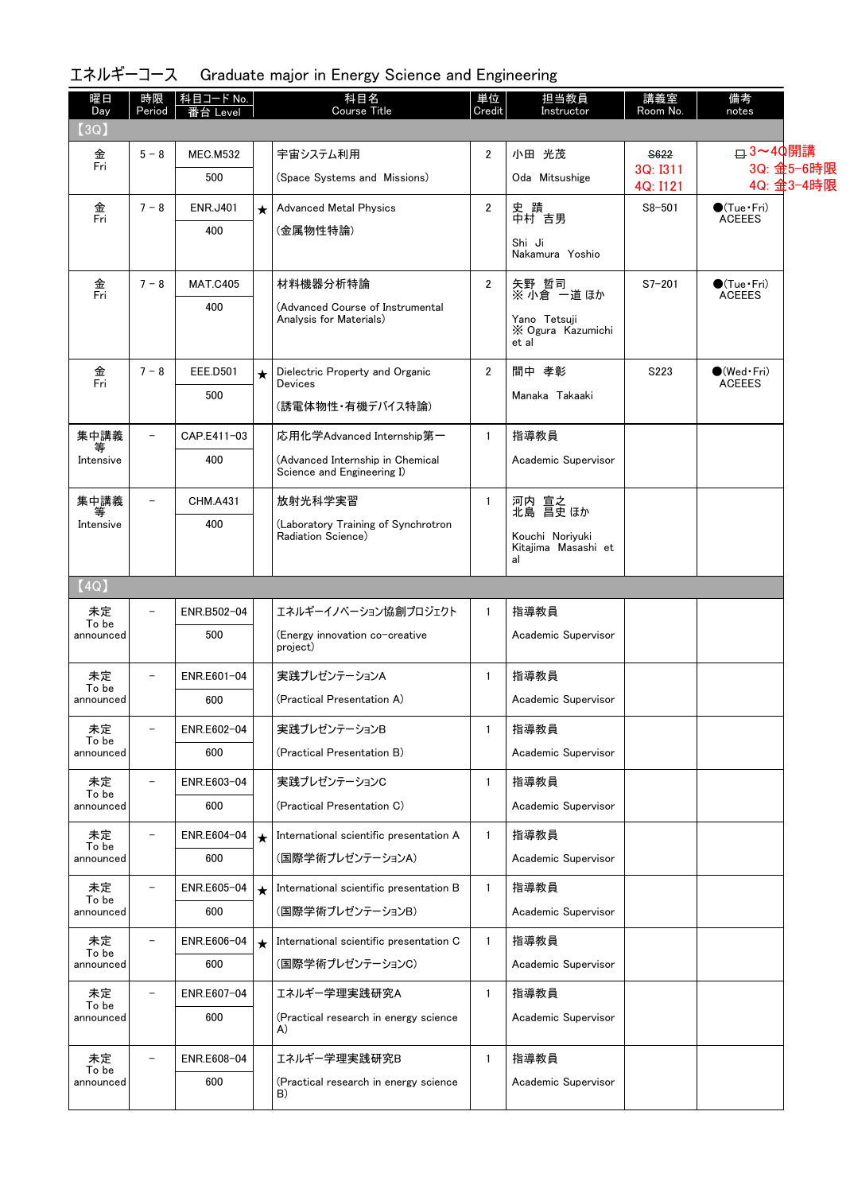| 曜日<br>Day          | 時限<br>Period             | 科目コード No.<br>台 Level |         | 科目名<br><b>Course Title</b>                                     | 単位<br>Credit   | 担当教員<br>Instructor         | 講義室<br>Room No.      | 備考<br>notes                            |                          |
|--------------------|--------------------------|----------------------|---------|----------------------------------------------------------------|----------------|----------------------------|----------------------|----------------------------------------|--------------------------|
| (3Q)               |                          |                      |         |                                                                |                |                            |                      |                                        |                          |
| 金<br>Fri           | $5 - 8$                  | <b>MEC.M532</b>      |         | 宇宙システム利用                                                       | $\overline{2}$ | 小田 光茂                      | S622                 | <b>□ 3~40開講</b>                        |                          |
|                    |                          | 500                  |         | (Space Systems and Missions)                                   |                | Oda Mitsushige             | 3Q: I311<br>4Q: I121 |                                        | 3Q: 金5-6時限<br>4Q: 金3-4時限 |
| 金<br>Fri           | $7 - 8$                  | <b>ENR.J401</b>      | $\star$ | <b>Advanced Metal Physics</b>                                  | $\overline{2}$ | 史 蹟<br>中村 吉男               | $S8 - 501$           | $\bigcirc$ (Tue•Fri)                   |                          |
|                    |                          | 400                  |         | (金属物性特論)                                                       |                | Shi Ji                     |                      | <b>ACEEES</b>                          |                          |
|                    |                          |                      |         |                                                                |                | Nakamura Yoshio            |                      |                                        |                          |
| 金<br>Fri           | $7 - 8$                  | <b>MAT.C405</b>      |         | 材料機器分析特論                                                       | $\overline{2}$ | 矢野 哲司<br>※ 小倉 一道 ほか        | $S7 - 201$           | $\bullet$ (Tue · Fri)<br><b>ACEEES</b> |                          |
|                    |                          | 400                  |         | (Advanced Course of Instrumental<br>Analysis for Materials)    |                | Yano Tetsuji               |                      |                                        |                          |
|                    |                          |                      |         |                                                                |                | X Ogura Kazumichi<br>et al |                      |                                        |                          |
| 金<br>Fri           | $7 - 8$                  | <b>EEE.D501</b>      | $\star$ | Dielectric Property and Organic                                | $\overline{2}$ | 間中 孝彰                      | S223                 | $\bigcirc$ (Wed · Fri)                 |                          |
|                    |                          | 500                  |         | <b>Devices</b>                                                 |                | Manaka Takaaki             |                      | <b>ACEEES</b>                          |                          |
|                    |                          |                      |         | (誘電体物性・有機デバイス特論)                                               |                |                            |                      |                                        |                          |
| 集中講義               | $\overline{\phantom{0}}$ | CAP.E411-03          |         | 応用化学Advanced Internship第一                                      | $\mathbf{1}$   | 指導教員                       |                      |                                        |                          |
| Intensive          |                          | 400                  |         | (Advanced Internship in Chemical<br>Science and Engineering I) |                | Academic Supervisor        |                      |                                        |                          |
| 集中講義<br>等          | $\overline{\phantom{a}}$ | <b>CHM.A431</b>      |         | 放射光科学実習                                                        | $\mathbf{1}$   | 河内 宣之<br>北島 昌史 ほか          |                      |                                        |                          |
| Intensive          |                          | 400                  |         | (Laboratory Training of Synchrotron<br>Radiation Science)      |                | Kouchi Noriyuki            |                      |                                        |                          |
|                    |                          |                      |         |                                                                |                | Kitajima Masashi et<br>al  |                      |                                        |                          |
| (4Q)               |                          |                      |         |                                                                |                |                            |                      |                                        |                          |
| 未定<br>To be        | $\overline{a}$           | ENR.B502-04          |         | エネルギーイノベーション協創プロジェクト                                           | $\mathbf{1}$   | 指導教員                       |                      |                                        |                          |
| announced          |                          | 500                  |         | (Energy innovation co-creative<br>project)                     |                | Academic Supervisor        |                      |                                        |                          |
| 未定                 | $\overline{\phantom{0}}$ | ENR.E601-04          |         | 実践プレゼンテーションA                                                   | $\mathbf{1}$   | 指導教員                       |                      |                                        |                          |
| To be<br>announced |                          | 600                  |         | (Practical Presentation A)                                     |                | Academic Supervisor        |                      |                                        |                          |
| 未定                 | -                        | ENR.E602-04          |         | 実践プレゼンテーションB                                                   | 1              | 指導教員                       |                      |                                        |                          |
| To be<br>announced |                          | 600                  |         | (Practical Presentation B)                                     |                | Academic Supervisor        |                      |                                        |                          |
| 未定                 | $\qquad \qquad -$        | ENR.E603-04          |         | 実践プレゼンテーションC                                                   | 1              | 指導教員                       |                      |                                        |                          |
| To be<br>announced |                          | 600                  |         | (Practical Presentation C)                                     |                | Academic Supervisor        |                      |                                        |                          |
| 未定                 | $\overline{\phantom{0}}$ | ENR.E604-04          | $\star$ | International scientific presentation A                        | 1              | 指導教員                       |                      |                                        |                          |
| To be<br>announced |                          | 600                  |         | (国際学術プレゼンテーションA)                                               |                | Academic Supervisor        |                      |                                        |                          |
| 未定                 | $\qquad \qquad -$        | ENR.E605-04          | $\star$ | International scientific presentation B                        | $\mathbf{1}$   | 指導教員                       |                      |                                        |                          |
| To be<br>announced |                          | 600                  |         | (国際学術プレゼンテーションB)                                               |                | Academic Supervisor        |                      |                                        |                          |
| 未定                 | $\qquad \qquad -$        | ENR.E606-04          | $\star$ | International scientific presentation C                        | $\mathbf{1}$   | 指導教員                       |                      |                                        |                          |
| To be<br>announced |                          | 600                  |         | (国際学術プレゼンテーションC)                                               |                | Academic Supervisor        |                      |                                        |                          |
| 未定                 | $\qquad \qquad -$        | ENR.E607-04          |         | エネルギー学理実践研究A                                                   | 1              | 指導教員                       |                      |                                        |                          |
| To be<br>announced |                          | 600                  |         | (Practical research in energy science                          |                | Academic Supervisor        |                      |                                        |                          |
|                    |                          |                      |         | A)                                                             |                |                            |                      |                                        |                          |
| 未定<br>To be        |                          | ENR.E608-04          |         | エネルギー学理実践研究B                                                   | $\mathbf{1}$   | 指導教員                       |                      |                                        |                          |
| announced          |                          | 600                  |         | (Practical research in energy science<br>B)                    |                | Academic Supervisor        |                      |                                        |                          |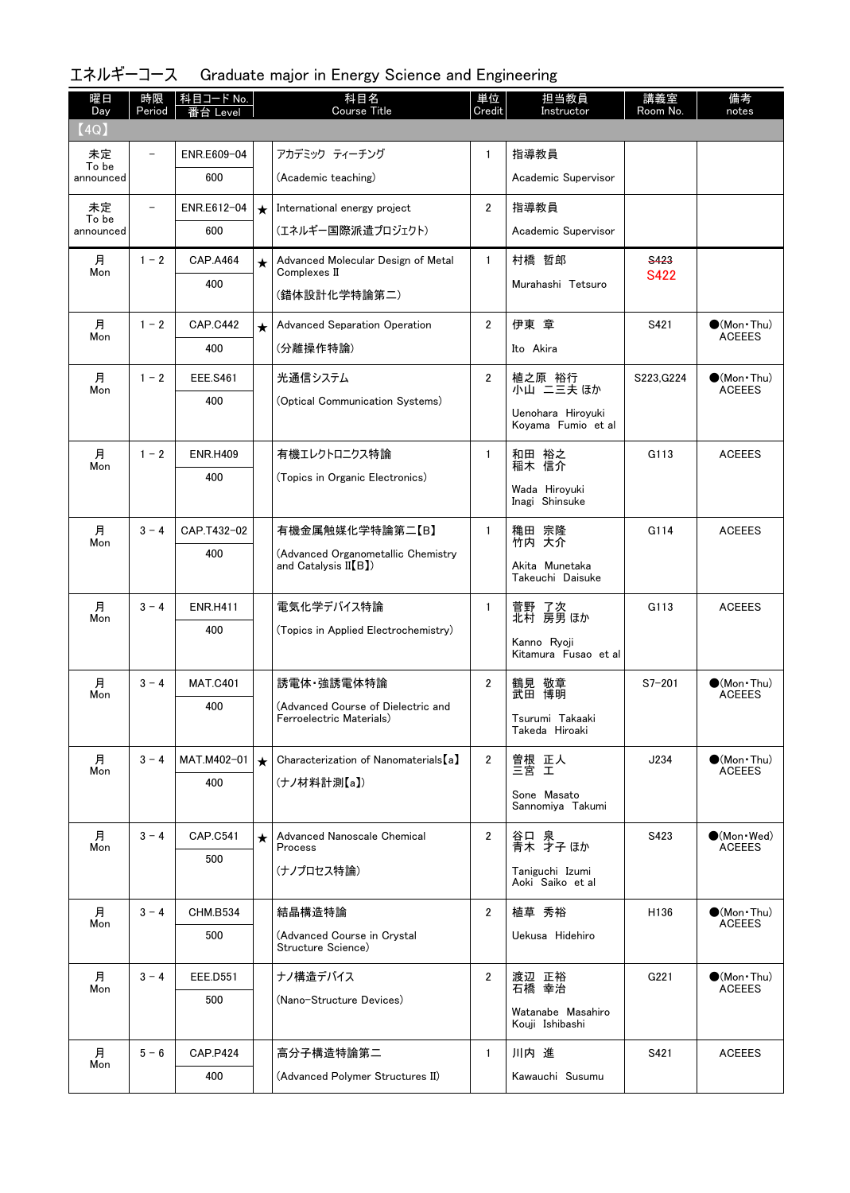| 曜日<br>Day   | 時限<br>Period   | │ 科目コード No.<br>番台 Level |         | 科目名<br><b>Course Title</b>                                     | 単位<br>Credit   | 担当教員<br>Instructor                   | 講義室<br>Room No. | 備考<br>notes                                  |
|-------------|----------------|-------------------------|---------|----------------------------------------------------------------|----------------|--------------------------------------|-----------------|----------------------------------------------|
| (4Q)        |                |                         |         |                                                                |                |                                      |                 |                                              |
| 未定<br>To be |                | ENR.E609-04             |         | アカデミック ティーチング                                                  | $\mathbf{1}$   | 指導教員                                 |                 |                                              |
| announced   |                | 600                     |         | (Academic teaching)                                            |                | Academic Supervisor                  |                 |                                              |
| 未定<br>To be | $\overline{a}$ | ENR.E612-04             | $\star$ | International energy project                                   | $\overline{2}$ | 指導教員                                 |                 |                                              |
| announced   |                | 600                     |         | (エネルギー国際派遣プロジェクト)                                              |                | Academic Supervisor                  |                 |                                              |
| 月<br>Mon    | $1 - 2$        | <b>CAP.A464</b>         | ★       | Advanced Molecular Design of Metal<br>Complexes II             | $\mathbf{1}$   | 村橋 哲郎                                | <b>S423</b>     |                                              |
|             |                | 400                     |         | (錯体設計化学特論第二)                                                   |                | Murahashi Tetsuro                    | S422            |                                              |
| 月<br>Mon    | $1 - 2$        | <b>CAP.C442</b>         | $\star$ | <b>Advanced Separation Operation</b>                           | $\overline{2}$ | 伊東 章                                 | S421            | $\bigcirc$ (Mon•Thu)<br><b>ACEEES</b>        |
|             |                | 400                     |         | (分離操作特論)                                                       |                | Ito Akira                            |                 |                                              |
| 月<br>Mon    | $1 - 2$        | <b>EEE.S461</b>         |         | 光通信システム                                                        | $\mathbf{2}$   | 植之原 裕行<br>小山 二三夫 ほか                  | S223, G224      | $\bigcirc$ (Mon · Thu)<br><b>ACEEES</b>      |
|             |                | 400                     |         | (Optical Communication Systems)                                |                | Uenohara Hiroyuki                    |                 |                                              |
|             |                |                         |         |                                                                |                | Koyama Fumio et al                   |                 |                                              |
| 月<br>Mon    | $1 - 2$        | <b>ENR.H409</b>         |         | 有機エレクトロニクス特論                                                   | $\mathbf{1}$   | 和田 裕之<br>稲木 信介                       | G113            | <b>ACEEES</b>                                |
|             |                | 400                     |         | (Topics in Organic Electronics)                                |                | Wada Hiroyuki                        |                 |                                              |
|             |                |                         |         |                                                                |                | Inagi Shinsuke                       |                 |                                              |
| 月<br>Mon    | $3 - 4$        | CAP.T432-02             |         | 有機金属触媒化学特論第二【B】                                                | 1              | 穐田 宗隆<br>竹内 大介                       | G114            | <b>ACEEES</b>                                |
|             |                | 400                     |         | (Advanced Organometallic Chemistry<br>and Catalysis $II(B)$    |                | Akita Munetaka                       |                 |                                              |
|             |                |                         |         |                                                                |                | Takeuchi Daisuke                     |                 |                                              |
| 月<br>Mon    | $3 - 4$        | <b>ENR.H411</b>         |         | 電気化学デバイス特論                                                     | $\mathbf{1}$   | 菅野 了次<br>北村 房男ほか                     | G113            | <b>ACEEES</b>                                |
|             |                | 400                     |         | (Topics in Applied Electrochemistry)                           |                | Kanno Ryoji                          |                 |                                              |
|             |                |                         |         |                                                                |                | Kitamura Fusao et al                 |                 |                                              |
| 月<br>Mon    | $3 - 4$        | <b>MAT.C401</b>         |         | 誘電体 強誘電体特論                                                     | $\overline{2}$ | 鶴見 敬章<br>武田 博明                       | $S7 - 201$      | $\bullet$ (Mon $\cdot$ Thu)<br><b>ACEEES</b> |
|             |                | 400                     |         | (Advanced Course of Dielectric and<br>Ferroelectric Materials) |                | Tsurumi Takaaki                      |                 |                                              |
|             |                |                         |         |                                                                |                | Takeda Hiroaki                       |                 |                                              |
| 月<br>Mon    | $3 - 4$        | MAT.M402-01             | $\star$ | Characterization of Nanomaterials [a]                          | $\mathbf{2}$   | 曽根 正人<br>三宮 工                        | J234            | $\bigcirc$ (Mon · Thu)<br><b>ACEEES</b>      |
|             |                | 400                     |         | (ナノ材料計測【a】)                                                    |                | Sone Masato                          |                 |                                              |
|             |                |                         |         |                                                                |                | Sannomiya Takumi                     |                 |                                              |
| 月<br>Mon    | $3 - 4$        | <b>CAP.C541</b>         | $\star$ | Advanced Nanoscale Chemical<br>Process                         | $\overline{2}$ | 谷口 泉<br>青木 才子ほか                      | S423            | $\bullet$ (Mon · Wed)<br><b>ACEEES</b>       |
|             |                | 500                     |         | (ナノプロセス特論)                                                     |                | Taniguchi Izumi                      |                 |                                              |
|             |                |                         |         |                                                                |                | Aoki Saiko et al                     |                 |                                              |
| 月<br>Mon    | $3 - 4$        | <b>CHM.B534</b>         |         | 結晶構造特論                                                         | $\overline{2}$ | 植草 秀裕                                | H136            | $\bullet$ (Mon $\cdot$ Thu)<br><b>ACEEES</b> |
|             |                | 500                     |         | (Advanced Course in Crystal<br>Structure Science)              |                | Uekusa Hidehiro                      |                 |                                              |
| 月           | $3 - 4$        | EEE.D551                |         | ナノ構造デバイス                                                       | $\mathbf{2}$   | 渡辺 正裕                                | G221            | $\bullet$ (Mon•Thu)                          |
| Mon         |                | 500                     |         | (Nano-Structure Devices)                                       |                | 石橋 幸治                                |                 | <b>ACEEES</b>                                |
|             |                |                         |         |                                                                |                | Watanabe Masahiro<br>Kouji Ishibashi |                 |                                              |
| 月           | $5 - 6$        | <b>CAP.P424</b>         |         | 高分子構造特論第二                                                      | $\mathbf{1}$   | 川内 進                                 | S421            | <b>ACEEES</b>                                |
| Mon         |                | 400                     |         | (Advanced Polymer Structures II)                               |                | Kawauchi Susumu                      |                 |                                              |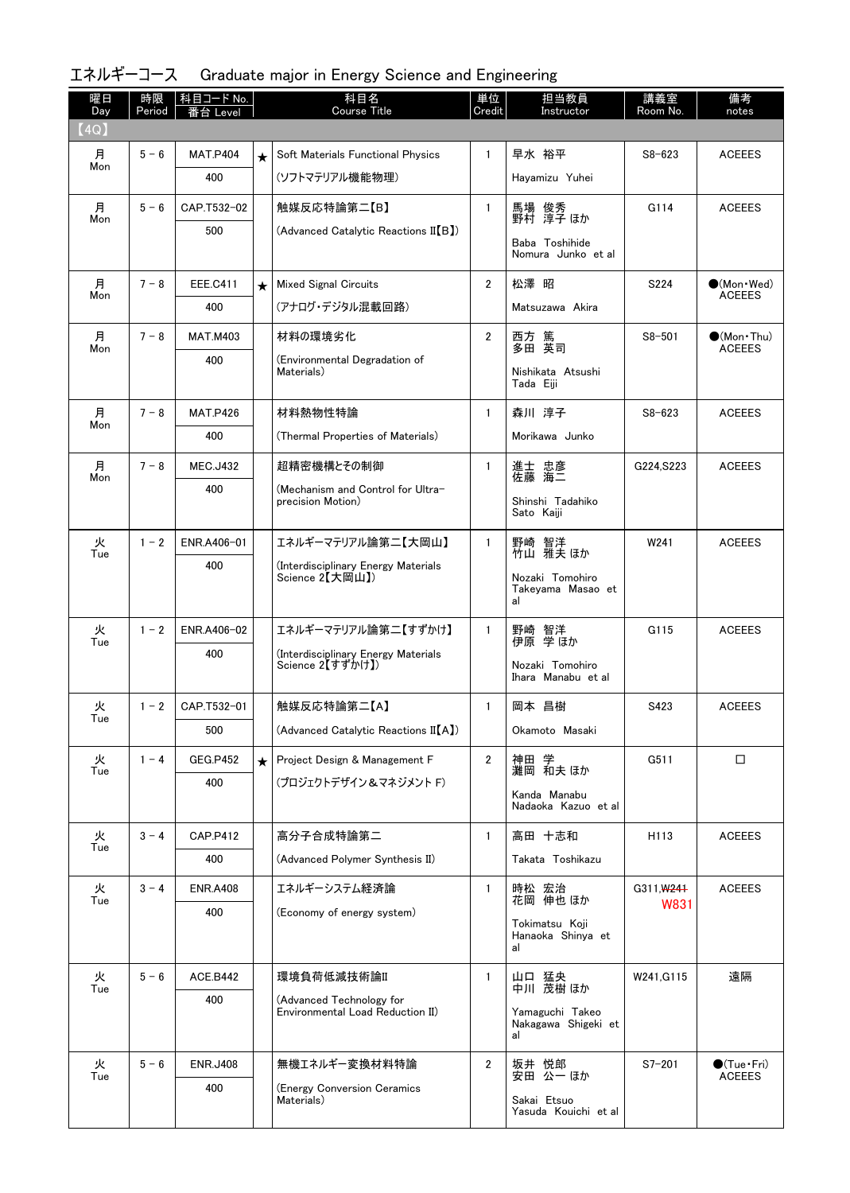| 曜日<br>Day | 時限<br>Period | 科目コード No.<br>Level<br>台 |         | 科目名<br><b>Course Title</b>                                   | 単位<br>Credit   | 担当教員<br>Instructor                    | 講義室<br>Room No. | 備考<br>notes           |
|-----------|--------------|-------------------------|---------|--------------------------------------------------------------|----------------|---------------------------------------|-----------------|-----------------------|
| (4Q)      |              |                         |         |                                                              |                |                                       |                 |                       |
| 月         | $5 - 6$      | <b>MAT.P404</b>         | $\star$ | Soft Materials Functional Physics                            | $\mathbf{1}$   | 早水 裕平                                 | $S8 - 623$      | <b>ACEEES</b>         |
| Mon       |              | 400                     |         | (ソフトマテリアル機能物理)                                               |                | Hayamizu Yuhei                        |                 |                       |
| 月         | $5 - 6$      | CAP.T532-02             |         | 触媒反応特論第二【B】                                                  | $\mathbf{1}$   | 馬場 俊秀<br>野村 淳子ほか                      | G114            | <b>ACEEES</b>         |
| Mon       |              | 500                     |         | (Advanced Catalytic Reactions II[B])                         |                | Baba Toshihide<br>Nomura Junko et al  |                 |                       |
| 月         | $7 - 8$      | <b>EEE.C411</b>         | $\star$ | <b>Mixed Signal Circuits</b>                                 | $\overline{2}$ | 松澤 昭                                  | S224            | $\bullet$ (Mon · Wed) |
| Mon       |              | 400                     |         | (アナログ・デジタル混載回路)                                              |                | Matsuzawa Akira                       |                 | <b>ACEEES</b>         |
| 月         | $7 - 8$      | <b>MAT.M403</b>         |         | 材料の環境劣化                                                      | $\mathbf{2}$   | 西方 篤<br>多田 英司                         | $S8 - 501$      | $\bullet$ (Mon•Thu)   |
| Mon       |              | 400                     |         | (Environmental Degradation of                                |                |                                       |                 | <b>ACEEES</b>         |
|           |              |                         |         | Materials)                                                   |                | Nishikata Atsushi<br>Tada Eiii        |                 |                       |
| 月         | $7 - 8$      | <b>MAT.P426</b>         |         | 材料熱物性特論                                                      | 1              | 森川 淳子                                 | $S8 - 623$      | <b>ACEEES</b>         |
| Mon       |              | 400                     |         | (Thermal Properties of Materials)                            |                | Morikawa Junko                        |                 |                       |
| 月<br>Mon  | $7 - 8$      | <b>MEC.J432</b>         |         | 超精密機構とその制御                                                   | $\mathbf{1}$   | 進士 忠彦<br>佐藤 海二                        | G224, S223      | <b>ACEEES</b>         |
|           |              | 400                     |         | (Mechanism and Control for Ultra-<br>precision Motion)       |                | Shinshi Tadahiko                      |                 |                       |
|           |              |                         |         |                                                              |                | Sato Kaiji                            |                 |                       |
| 火<br>Tue  | $1 - 2$      | ENR.A406-01             |         | エネルギーマテリアル論第二【大岡山】                                           | $\mathbf{1}$   | 野崎 智洋<br>竹山 雅夫ほか                      | W241            | <b>ACEEES</b>         |
|           |              | 400                     |         | (Interdisciplinary Energy Materials<br>Science 2【大岡山】)       |                | Nozaki Tomohiro                       |                 |                       |
|           |              |                         |         |                                                              |                | Takeyama Masao et<br>al               |                 |                       |
| 火         | $1 - 2$      | ENR.A406-02             |         | エネルギーマテリアル論第二【すずかけ】                                          | $\mathbf{1}$   |                                       | G115            | <b>ACEEES</b>         |
| Tue       |              | 400                     |         | (Interdisciplinary Energy Materials                          |                | 野崎 智洋<br>伊原 学ほか                       |                 |                       |
|           |              |                         |         | Science 2【すずかけ】)                                             |                | Nozaki Tomohiro<br>Ihara Manabu et al |                 |                       |
| 火         | $1 - 2$      | CAP.T532-01             |         | 触媒反応特論第二【A】                                                  | $\mathbf{1}$   | 岡本 昌樹                                 | S423            | <b>ACEEES</b>         |
| Tue       |              | 500                     |         | (Advanced Catalytic Reactions II[A])                         |                | Okamoto Masaki                        |                 |                       |
| 火         | $1 - 4$      | <b>GEG.P452</b>         | $\star$ | Project Design & Management F                                | $\mathbf{2}$   | 神田 学                                  | G511            | □                     |
| Tue       |              | 400                     |         | (プロジェクトデザイン&マネジメント F)                                        |                | 灘岡 和夫 ほか<br>Kanda Manabu              |                 |                       |
|           |              |                         |         |                                                              |                | Nadaoka Kazuo et al                   |                 |                       |
| 火<br>Tue  | $3 - 4$      | CAP.P412                |         | 高分子合成特論第二                                                    | $\mathbf{1}$   | 高田 十志和                                | H113            | <b>ACEEES</b>         |
|           |              | 400                     |         | (Advanced Polymer Synthesis II)                              |                | Takata Toshikazu                      |                 |                       |
| 火<br>Tue  | $3 - 4$      | <b>ENR.A408</b>         |         | エネルギーシステム経済論                                                 | 1              | 時松 宏治<br>花岡 伸也ほか                      | G311, W241      | <b>ACEEES</b>         |
|           |              | 400                     |         | (Economy of energy system)                                   |                | Tokimatsu Koji                        | W831            |                       |
|           |              |                         |         |                                                              |                | Hanaoka Shinya et<br>al               |                 |                       |
| 火         | $5 - 6$      | ACE.B442                |         | 環境負荷低減技術論II                                                  | $\mathbf{1}$   | 山口 猛央                                 | W241, G115      | 遠隔                    |
| Tue       |              | 400                     |         | (Advanced Technology for<br>Environmental Load Reduction II) |                | 中川 茂樹 ほか<br>Yamaguchi Takeo           |                 |                       |
|           |              |                         |         |                                                              |                | Nakagawa Shigeki et<br>al             |                 |                       |
| 火         | $5 - 6$      | <b>ENR.J408</b>         |         | 無機エネルギー変換材料特論                                                | $\overline{2}$ | 坂井 悦郎                                 | $S7 - 201$      | $\bullet$ (Tue•Fri)   |
| Tue       |              | 400                     |         | (Energy Conversion Ceramics                                  |                | 安田 公一ほか                               |                 | <b>ACEEES</b>         |
|           |              |                         |         | Materials)                                                   |                | Sakai Etsuo<br>Yasuda Kouichi et al   |                 |                       |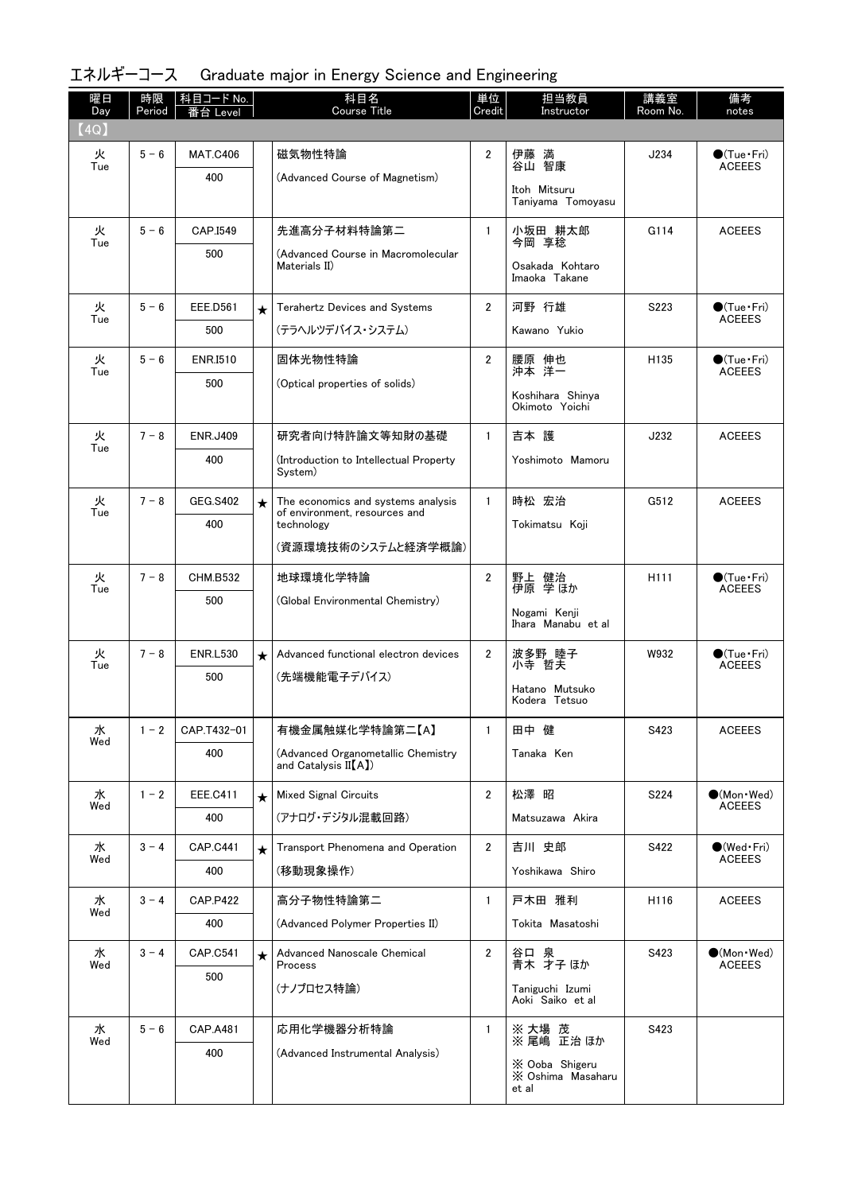| 曜日<br>Day | 時限<br>Period | 科目コード No.<br>番台 Level |         | 科目名<br><b>Course Title</b>                          | 単位<br>Credit   | 担当教員<br>Instructor                 | 講義室<br>Room No.  | 備考<br>notes                                   |
|-----------|--------------|-----------------------|---------|-----------------------------------------------------|----------------|------------------------------------|------------------|-----------------------------------------------|
| (4Q)      |              |                       |         |                                                     |                |                                    |                  |                                               |
| 火<br>Tue  | $5 - 6$      | <b>MAT.C406</b>       |         | 磁気物性特論                                              | $\overline{2}$ | 伊藤 満<br>谷山 智康                      | J234             | $\bigcirc$ (Tue · Fri)<br><b>ACEEES</b>       |
|           |              | 400                   |         | (Advanced Course of Magnetism)                      |                | Itoh Mitsuru                       |                  |                                               |
|           |              |                       |         |                                                     |                | Taniyama Tomoyasu                  |                  |                                               |
| 火<br>Tue  | $5 - 6$      | CAP.I549              |         | 先進高分子材料特論第二                                         | $\mathbf{1}$   | 小坂田 耕太郎<br>今岡 享稔                   | G114             | <b>ACEEES</b>                                 |
|           |              | 500                   |         | (Advanced Course in Macromolecular<br>Materials II) |                | Osakada Kohtaro                    |                  |                                               |
|           |              |                       |         |                                                     |                | Imaoka Takane                      |                  |                                               |
| 火<br>Tue  | $5 - 6$      | EEE.D561              | $\star$ | Terahertz Devices and Systems                       | $\overline{2}$ | 河野 行雄                              | S223             | $\bigcirc$ (Tue $\cdot$ Fri)<br><b>ACEEES</b> |
|           |              | 500                   |         | (テラヘルツデバイス・システム)                                    |                | Kawano Yukio                       |                  |                                               |
| 火<br>Tue  | $5 - 6$      | <b>ENR.I510</b>       |         | 固体光物性特論                                             | $\overline{2}$ | 腰原 伸也<br>沖本 洋一                     | H <sub>135</sub> | $\bigcirc$ (Tue $\cdot$ Fri)<br><b>ACEEES</b> |
|           |              | 500                   |         | (Optical properties of solids)                      |                | Koshihara Shinya                   |                  |                                               |
|           |              |                       |         |                                                     |                | Okimoto Yoichi                     |                  |                                               |
| 火<br>Tue  | $7 - 8$      | <b>ENR.J409</b>       |         | 研究者向け特許論文等知財の基礎                                     | $\mathbf{1}$   | 吉本 護                               | J232             | <b>ACEEES</b>                                 |
|           |              | 400                   |         | (Introduction to Intellectual Property<br>System)   |                | Yoshimoto Mamoru                   |                  |                                               |
| 火         | $7 - 8$      | GEG.S402              |         | The economics and systems analysis                  | $\mathbf{1}$   | 時松 宏治                              | G512             | <b>ACEEES</b>                                 |
| Tue       |              | 400                   | $\star$ | of environment, resources and<br>technology         |                | Tokimatsu Koji                     |                  |                                               |
|           |              |                       |         | (資源環境技術のシステムと経済学概論)                                 |                |                                    |                  |                                               |
| 火         | $7 - 8$      | <b>CHM.B532</b>       |         | 地球環境化学特論                                            | $\overline{2}$ |                                    | H111             | $\bigcirc$ (Tue $\cdot$ Fri)                  |
| Tue       |              | 500                   |         | (Global Environmental Chemistry)                    |                | 野上 健治<br>伊原 学ほか                    |                  | <b>ACEEES</b>                                 |
|           |              |                       |         |                                                     |                | Nogami Kenji<br>Ihara Manabu et al |                  |                                               |
| 火         | $7 - 8$      | <b>ENR.L530</b>       | $\star$ | Advanced functional electron devices                | $\overline{2}$ | 波多野 睦子                             | W932             | $\bigcirc$ (Tue·Fri)                          |
| Tue       |              | 500                   |         | (先端機能電子デバイス)                                        |                | 小寺 哲夫                              |                  | <b>ACEEES</b>                                 |
|           |              |                       |         |                                                     |                | Hatano Mutsuko<br>Kodera Tetsuo    |                  |                                               |
| 水         | $1 - 2$      | CAP.T432-01           |         | 有機金属触媒化学特論第二【A】                                     | $\mathbf{1}$   | 田中 健                               | S423             | <b>ACEEES</b>                                 |
| Wed       |              | 400                   |         | (Advanced Organometallic Chemistry                  |                | Tanaka Ken                         |                  |                                               |
|           |              |                       |         | and Catalysis $II(A)$                               |                |                                    |                  |                                               |
| 水<br>Wed  | $1 - 2$      | <b>EEE.C411</b>       | $\star$ | <b>Mixed Signal Circuits</b>                        | $\overline{2}$ | 松澤 昭                               | S224             | $\bullet$ (Mon Wed)<br><b>ACEEES</b>          |
|           |              | 400                   |         | (アナログ・デジタル混載回路)                                     |                | Matsuzawa Akira                    |                  |                                               |
| 水<br>Wed  | $3 - 4$      | <b>CAP.C441</b>       | $\star$ | Transport Phenomena and Operation                   | $\overline{2}$ | 吉川 史郎                              | S422             | $\bigcirc$ (Wed•Fri)<br><b>ACEEES</b>         |
|           |              | 400                   |         | (移動現象操作)                                            |                | Yoshikawa Shiro                    |                  |                                               |
| 水<br>Wed  | $3 - 4$      | <b>CAP.P422</b>       |         | 高分子物性特論第二                                           | $\mathbf{1}$   | 戸木田 雅利                             | H116             | <b>ACEEES</b>                                 |
|           |              | 400                   |         | (Advanced Polymer Properties II)                    |                | Tokita Masatoshi                   |                  |                                               |
| 水<br>Wed  | $3 - 4$      | <b>CAP.C541</b>       | $\star$ | Advanced Nanoscale Chemical<br>Process              | $\overline{2}$ | 谷口 泉<br>青木 才子ほか                    | S423             | $\bullet$ (Mon · Wed)<br><b>ACEEES</b>        |
|           |              | 500                   |         | (ナノプロセス特論)                                          |                | Taniguchi Izumi                    |                  |                                               |
|           |              |                       |         |                                                     |                | Aoki Saiko et al                   |                  |                                               |
| 水<br>Wed  | $5 - 6$      | CAP.A481              |         | 応用化学機器分析特論                                          | $\mathbf{1}$   | ※ 大場  茂<br>※ 尾嶋  正治 ほか             | S423             |                                               |
|           |              | 400                   |         | (Advanced Instrumental Analysis)                    |                | X Ooba Shigeru                     |                  |                                               |
|           |              |                       |         |                                                     |                | X Oshima Masaharu<br>et al         |                  |                                               |
|           |              |                       |         |                                                     |                |                                    |                  |                                               |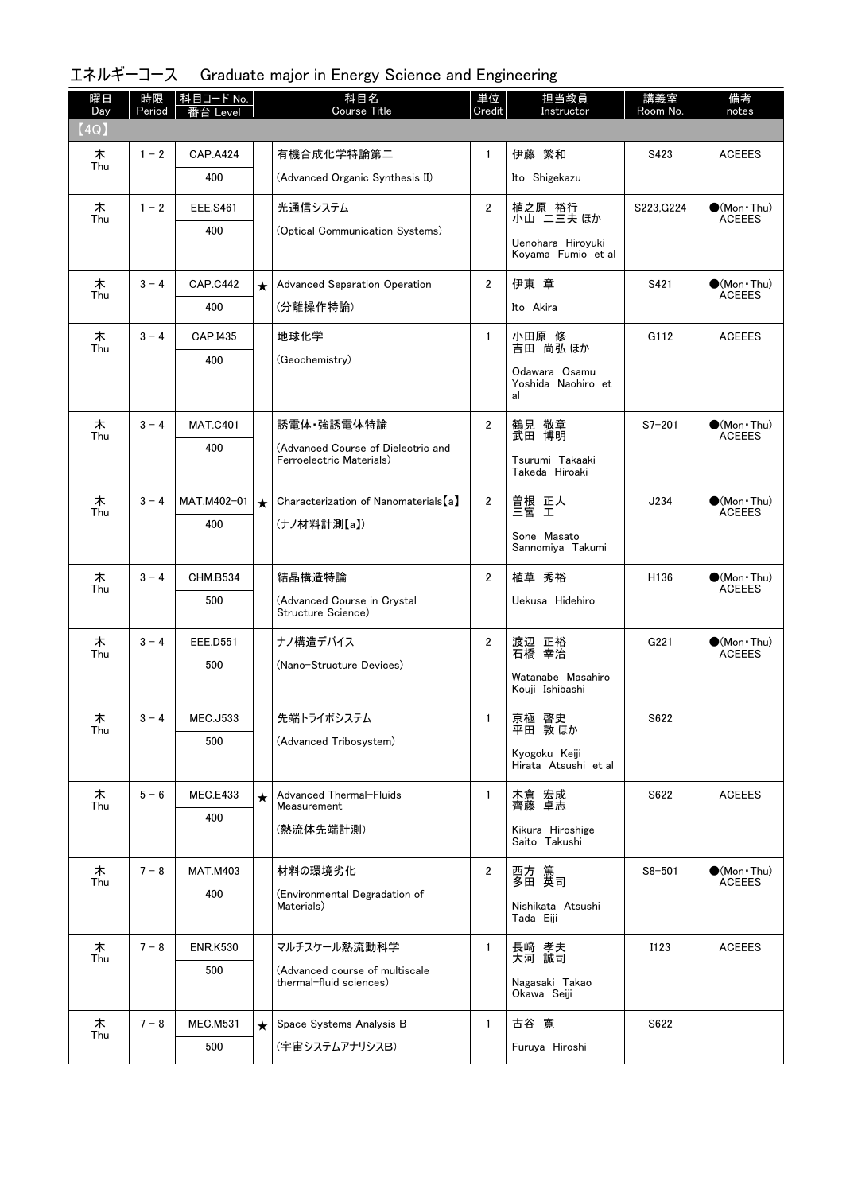| 曜日<br>Day | 時限<br>Period | │科目コード No.<br>番台 Level |         | 科目名<br>Course Title                               | 単位<br>Credit   | 担当教員<br>Instructor                        | 講義室<br>Room No. | 備考<br>notes                                  |
|-----------|--------------|------------------------|---------|---------------------------------------------------|----------------|-------------------------------------------|-----------------|----------------------------------------------|
| (4Q)      |              |                        |         |                                                   |                |                                           |                 |                                              |
| 木         | $1 - 2$      | <b>CAP.A424</b>        |         | 有機合成化学特論第二                                        | $\mathbf{1}$   | 伊藤 繁和                                     | S423            | <b>ACEEES</b>                                |
| Thu       |              | 400                    |         | (Advanced Organic Synthesis II)                   |                | Ito Shigekazu                             |                 |                                              |
| 木<br>Thu  | $1 - 2$      | <b>EEE.S461</b>        |         | 光通信システム                                           | $\overline{2}$ | 植之原 裕行<br>小山 ニ三夫 ほか                       | S223, G224      | $\bigcirc$ (Mon · Thu)                       |
|           |              | 400                    |         | (Optical Communication Systems)                   |                | Uenohara Hiroyuki                         |                 | <b>ACEEES</b>                                |
|           |              |                        |         |                                                   |                | Koyama Fumio et al                        |                 |                                              |
| 木<br>Thu  | $3 - 4$      | <b>CAP.C442</b>        | $\star$ | <b>Advanced Separation Operation</b>              | $\overline{2}$ | 伊東 章                                      | S421            | $\bullet$ (Mon $\cdot$ Thu)<br><b>ACEEES</b> |
|           |              | 400                    |         | (分離操作特論)                                          |                | Ito Akira                                 |                 |                                              |
| 木<br>Thu  | $3 - 4$      | CAP.I435               |         | 地球化学                                              | $\mathbf{1}$   | 小田原 修<br>吉田 尚弘 ほか                         | G112            | <b>ACEEES</b>                                |
|           |              | 400                    |         | (Geochemistry)                                    |                | Odawara Osamu<br>Yoshida Naohiro et<br>al |                 |                                              |
| 木         | $3 - 4$      | <b>MAT.C401</b>        |         | 誘電体·強誘電体特論                                        | $\overline{2}$ | 鶴見 敬章                                     | $S7 - 201$      | $\bullet$ (Mon • Thu)                        |
| Thu       |              | 400                    |         | (Advanced Course of Dielectric and                |                | 武田 博明                                     |                 | <b>ACEEES</b>                                |
|           |              |                        |         | Ferroelectric Materials)                          |                | Tsurumi Takaaki<br>Takeda Hiroaki         |                 |                                              |
| 木<br>Thu  | $3 - 4$      | MAT.M402-01            | $\star$ | Characterization of Nanomaterials [a]             | $\overline{2}$ | 曽根 正人<br>三宮 工                             | J234            | $\bullet$ (Mon · Thu)<br><b>ACEEES</b>       |
|           |              | 400                    |         | (ナノ材料計測【a】)                                       |                | Sone Masato                               |                 |                                              |
|           |              |                        |         |                                                   |                | Sannomiya Takumi                          |                 |                                              |
| 木<br>Thu  | $3 - 4$      | <b>CHM.B534</b>        |         | 結晶構造特論                                            | $\overline{2}$ | 植草 秀裕                                     | H136            | $\bullet$ (Mon•Thu)<br><b>ACEEES</b>         |
|           |              | 500                    |         | (Advanced Course in Crystal<br>Structure Science) |                | Uekusa Hidehiro                           |                 |                                              |
| 木<br>Thu  | $3 - 4$      | <b>EEE.D551</b>        |         | ナノ構造デバイス                                          | $\overline{2}$ | 渡辺 正裕<br>石橋 幸治                            | G221            | $\bullet$ (Mon · Thu)<br><b>ACEEES</b>       |
|           |              | 500                    |         | (Nano-Structure Devices)                          |                | Watanabe Masahiro                         |                 |                                              |
|           |              |                        |         |                                                   |                | Kouji Ishibashi                           |                 |                                              |
| ᄎ<br>Thu  | $3 - 4$      | <b>MEC.J533</b>        |         | 先端トライボシステム                                        | $\mathbf{1}$   | 京極 啓史<br>平田 敦ほか                           | S622            |                                              |
|           |              | 500                    |         | (Advanced Tribosystem)                            |                | Kyogoku Keiji                             |                 |                                              |
|           |              |                        |         |                                                   |                | Hirata Atsushi et al                      |                 |                                              |
| 木<br>Thu  | $5 - 6$      | <b>MEC.E433</b>        | $\star$ | Advanced Thermal-Fluids<br>Measurement            | $\mathbf{1}$   | 木倉 宏成<br>齊藤 卓志                            | S622            | <b>ACEEES</b>                                |
|           |              | 400                    |         | (熱流体先端計測)                                         |                | Kikura Hiroshige                          |                 |                                              |
|           |              |                        |         |                                                   |                | Saito Takushi                             |                 |                                              |
| 木<br>Thu  | $7 - 8$      | <b>MAT.M403</b>        |         | 材料の環境劣化                                           | $\overline{2}$ | 西方 篤<br>多田 英司                             | $S8 - 501$      | $\bullet$ (Mon · Thu)<br><b>ACEEES</b>       |
|           |              | 400                    |         | (Environmental Degradation of<br>Materials)       |                | Nishikata Atsushi<br>Tada Eiji            |                 |                                              |
| 木         | $7 - 8$      | <b>ENR.K530</b>        |         | マルチスケール熱流動科学                                      | $\mathbf{1}$   |                                           | I123            | <b>ACEEES</b>                                |
| Thu       |              | 500                    |         | (Advanced course of multiscale                    |                | 長﨑 孝夫<br>大河 誠司                            |                 |                                              |
|           |              |                        |         | thermal-fluid sciences)                           |                | Nagasaki Takao<br>Okawa Seiji             |                 |                                              |
| 木         | $7 - 8$      | <b>MEC.M531</b>        | $\star$ | Space Systems Analysis B                          | $\mathbf{1}$   | 古谷 寛                                      | S622            |                                              |
| Thu       |              | 500                    |         | (宇宙システムアナリシスB)                                    |                | Furuya Hiroshi                            |                 |                                              |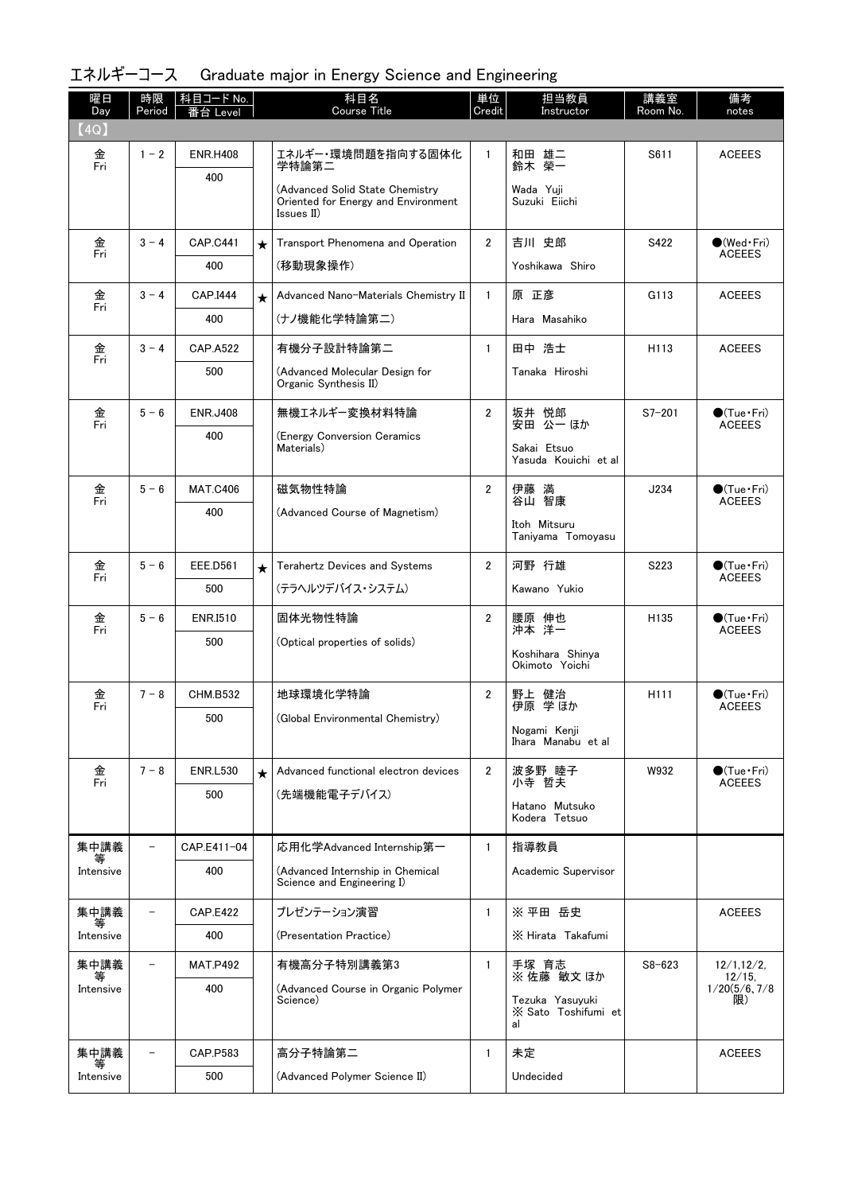| エネルギーコース Graduate major in Energy Science and Engineering |  |  |  |  |
|-----------------------------------------------------------|--|--|--|--|
|-----------------------------------------------------------|--|--|--|--|

| 曜日<br>Day | 時限<br>Period             | 科目コード No.<br>番台 Level |         | 科目名<br>Course Title                                                                   | 単位<br>Credit   | 担当教員<br>Instructor                           | 講義室<br>Room No.  | 備考<br>notes                            |
|-----------|--------------------------|-----------------------|---------|---------------------------------------------------------------------------------------|----------------|----------------------------------------------|------------------|----------------------------------------|
| (4Q)      |                          |                       |         |                                                                                       |                |                                              |                  |                                        |
| 金<br>Fri  | $1 - 2$                  | <b>ENR.H408</b>       |         | エネルギー・環境問題を指向する固体化<br>学特論第二                                                           | $\mathbf{1}$   | 和田 雄二<br>鈴木 榮一                               | S611             | <b>ACEEES</b>                          |
|           |                          | 400                   |         | (Advanced Solid State Chemistry)<br>Oriented for Energy and Environment<br>Issues II) |                | Wada Yuji<br>Suzuki Eiichi                   |                  |                                        |
| 金<br>Fri  | $3 - 4$                  | <b>CAP.C441</b>       | $\star$ | Transport Phenomena and Operation                                                     | $\mathbf{2}$   | 吉川 史郎                                        | S422             | $\bigcirc$ (Wed Fri)<br><b>ACEEES</b>  |
|           |                          | 400                   |         | (移動現象操作)                                                                              |                | Yoshikawa Shiro                              |                  |                                        |
| 金<br>Fri  | $3 - 4$                  | <b>CAP.I444</b>       | $\star$ | Advanced Nano-Materials Chemistry II                                                  | $\mathbf{1}$   | 原 正彦                                         | G113             | <b>ACEEES</b>                          |
|           |                          | 400                   |         | (ナノ機能化学特論第二)                                                                          |                | Hara Masahiko                                |                  |                                        |
| 金<br>Fri  | $3 - 4$                  | <b>CAP.A522</b>       |         | 有機分子設計特論第二                                                                            | $\mathbf{1}$   | 田中 浩士                                        | H <sub>113</sub> | <b>ACEEES</b>                          |
|           |                          | 500                   |         | (Advanced Molecular Design for<br>Organic Synthesis II)                               |                | Tanaka Hiroshi                               |                  |                                        |
| 金<br>Fri  | $5 - 6$                  | <b>ENR.J408</b>       |         | 無機エネルギー変換材料特論                                                                         | $\overline{2}$ | 坂井 悦郎<br>安田 公一 ほか                            | $S7 - 201$       | $\bigcirc$ (Tue•Fri)<br><b>ACEEES</b>  |
|           |                          | 400                   |         | (Energy Conversion Ceramics<br>Materials)                                             |                | Sakai Etsuo<br>Yasuda Kouichi et al          |                  |                                        |
| 金<br>Fri  | $5 - 6$                  | <b>MAT.C406</b>       |         | 磁気物性特論                                                                                | $\overline{2}$ | 伊藤 満<br>谷山 智康                                | J234             | $\bullet$ (Tue•Fri)<br><b>ACEEES</b>   |
|           |                          | 400                   |         | (Advanced Course of Magnetism)                                                        |                | Itoh Mitsuru<br>Taniyama Tomoyasu            |                  |                                        |
| 金<br>Fri  | $5 - 6$                  | <b>EEE.D561</b>       | $\star$ | <b>Terahertz Devices and Systems</b>                                                  | $\overline{2}$ | 河野 行雄                                        | S223             | $\bullet$ (Tue•Fri)                    |
|           |                          | 500                   |         | (テラヘルツデバイス・システム)                                                                      |                | Kawano Yukio                                 |                  | <b>ACEEES</b>                          |
| 金<br>Fri  | $5 - 6$                  | <b>ENR.I510</b>       |         | 固体光物性特論                                                                               | $\overline{2}$ | 腰原 伸也<br>沖本 洋一                               | H <sub>135</sub> | $\bigcirc$ (Tue·Fri)<br><b>ACEEES</b>  |
|           |                          | 500                   |         | (Optical properties of solids)                                                        |                | Koshihara Shinya<br>Okimoto Yoichi           |                  |                                        |
| 金<br>Fri  | $7 - 8$                  | <b>CHM.B532</b>       |         | 地球環境化学特論                                                                              | 2              | 野上 健治<br>伊原 学ほか                              | H <sub>111</sub> | $\bullet$ (Tue · Fri)<br><b>ACEEES</b> |
|           |                          | 500                   |         | (Global Environmental Chemistry)                                                      |                | Nogami Kenji<br>Ihara Manabu et al           |                  |                                        |
| 金<br>Fri  | $7 - 8$                  | <b>ENR.L530</b>       | $\star$ | Advanced functional electron devices                                                  | $\overline{2}$ | 波多野 睦子<br>小寺 哲夫                              | W932             | $\bullet$ (Tue Fri)<br><b>ACEEES</b>   |
|           |                          | 500                   |         | (先端機能電子デバイス)                                                                          |                | Hatano Mutsuko<br>Kodera Tetsuo              |                  |                                        |
| 集中講義      | $\equiv$                 | CAP.E411-04           |         | 応用化学Advanced Internship第一                                                             | $\mathbf{1}$   | 指導教員                                         |                  |                                        |
| Intensive |                          | 400                   |         | (Advanced Internship in Chemical<br>Science and Engineering I)                        |                | Academic Supervisor                          |                  |                                        |
| 集中講義<br>等 |                          | <b>CAP.E422</b>       |         | プレゼンテーション演習                                                                           | $\mathbf{1}$   | ※ 平田 岳史                                      |                  | <b>ACEEES</b>                          |
| Intensive |                          | 400                   |         | (Presentation Practice)                                                               |                | X Hirata Takafumi                            |                  |                                        |
| 集中講義<br>等 | $\overline{\phantom{0}}$ | <b>MAT.P492</b>       |         | 有機高分子特別講義第3                                                                           | $\mathbf{1}$   | 手塚 育志<br>※ 佐藤 敏文 ほか                          | $S8 - 623$       | 12/1, 12/2<br>12/15,                   |
| Intensive |                          | 400                   |         | (Advanced Course in Organic Polymer<br>Science)                                       |                | Tezuka Yasuyuki<br>X Sato Toshifumi et<br>al |                  | 1/20(5/6, 7/8)<br>限)                   |
| 集中講義      |                          | CAP.P583              |         | 高分子特論第二                                                                               | $\mathbf{1}$   | 未定                                           |                  | <b>ACEEES</b>                          |
| Intensive |                          | 500                   |         | (Advanced Polymer Science II)                                                         |                | Undecided                                    |                  |                                        |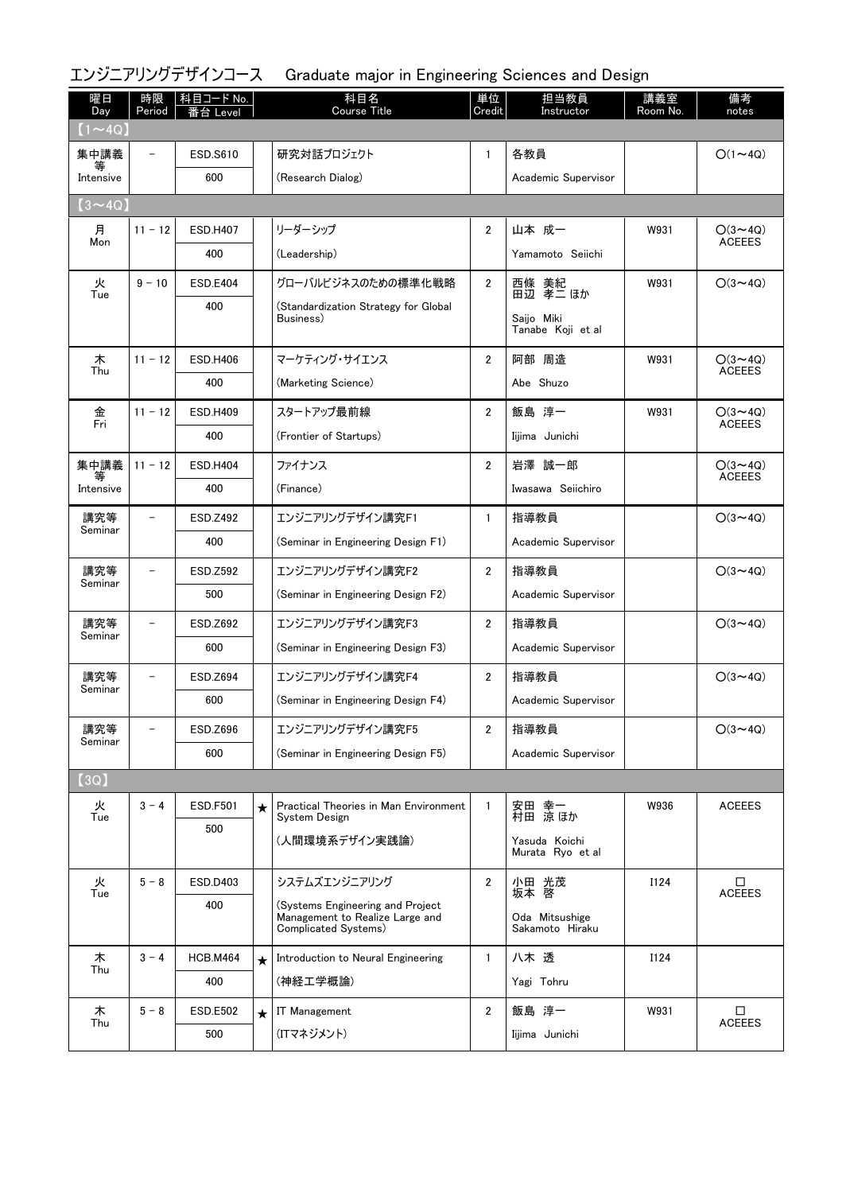# エンジニアリングデザインコース Graduate major in Engineering Sciences and Design

| 曜日<br>Day      | 時限<br>Period             | 科目コード No.<br>台<br>Level |         | 科目名<br><b>Course Title</b>                                          | 単位<br>Credit   | 担当教員<br>Instructor  | 講義室<br>Room No. | 備考<br>notes                     |
|----------------|--------------------------|-------------------------|---------|---------------------------------------------------------------------|----------------|---------------------|-----------------|---------------------------------|
| $(1 \sim 4Q)$  |                          |                         |         |                                                                     |                |                     |                 |                                 |
| 集中講義           |                          | <b>ESD.S610</b>         |         | 研究対話プロジェクト                                                          | $\mathbf{1}$   | 各教員                 |                 | $O(1 \sim 4Q)$                  |
| Intensive      |                          | 600                     |         | (Research Dialog)                                                   |                | Academic Supervisor |                 |                                 |
| $(3 \sim 4Q)$  |                          |                         |         |                                                                     |                |                     |                 |                                 |
| 月<br>Mon       | $11 - 12$                | <b>ESD.H407</b>         |         | リーダーシップ                                                             | $\overline{2}$ | 山本 成一               | W931            | $O(3 \sim 4Q)$<br><b>ACEEES</b> |
|                |                          | 400                     |         | (Leadership)                                                        |                | Yamamoto Seiichi    |                 |                                 |
| 火<br>Tue       | $9 - 10$                 | <b>ESD.E404</b>         |         | グローバルビジネスのための標準化戦略                                                  | $\mathbf{2}$   | 西條 美紀<br>田辺 孝二 ほか   | W931            | $O(3 \sim 4Q)$                  |
|                |                          | 400                     |         | (Standardization Strategy for Global<br>Business)                   |                | Saijo Miki          |                 |                                 |
|                |                          |                         |         |                                                                     |                | Tanabe Koji et al   |                 |                                 |
| 木<br>Thu       | $11 - 12$                | <b>ESD.H406</b>         |         | マーケティング・サイエンス                                                       | $\overline{2}$ | 阿部 周造               | W931            | $O(3 \sim 4Q)$<br><b>ACEEES</b> |
|                |                          | 400                     |         | (Marketing Science)                                                 |                | Abe Shuzo           |                 |                                 |
| 金              | $11 - 12$                | <b>ESD.H409</b>         |         | スタートアップ最前線                                                          | $\overline{2}$ | 飯島 淳一               | W931            | $O(3 \sim 4Q)$                  |
| Fri            |                          | 400                     |         | (Frontier of Startups)                                              |                | Iijima Junichi      |                 | <b>ACEEES</b>                   |
| 集中講義           | $11 - 12$                | <b>ESD.H404</b>         |         | ファイナンス                                                              | $\overline{2}$ | 岩澤 誠一郎              |                 | $O(3 \sim 4Q)$                  |
| 等<br>Intensive |                          | 400                     |         | (Finance)                                                           |                | Iwasawa Seiichiro   |                 | <b>ACEEES</b>                   |
| 講究等            | $\overline{\phantom{0}}$ | ESD.Z492                |         | エンジニアリングデザイン講究F1                                                    | $\mathbf{1}$   | 指導教員                |                 | $O(3 \sim 4Q)$                  |
| Seminar        |                          | 400                     |         | (Seminar in Engineering Design F1)                                  |                | Academic Supervisor |                 |                                 |
| 講究等            |                          | <b>ESD.Z592</b>         |         | エンジニアリングデザイン講究F2                                                    | $\overline{2}$ | 指導教員                |                 | $O(3 \sim 4Q)$                  |
| Seminar        |                          | 500                     |         | (Seminar in Engineering Design F2)                                  |                | Academic Supervisor |                 |                                 |
| 講究等            |                          | ESD.Z692                |         | エンジニアリングデザイン講究F3                                                    | $\overline{2}$ | 指導教員                |                 | $O(3 \sim 4Q)$                  |
| Seminar        |                          | 600                     |         | (Seminar in Engineering Design F3)                                  |                | Academic Supervisor |                 |                                 |
| 講究等            |                          | ESD.Z694                |         | エンジニアリングデザイン講究F4                                                    | $\overline{2}$ | 指導教員                |                 | $O(3 \sim 4Q)$                  |
| Seminar        |                          | 600                     |         | (Seminar in Engineering Design F4)                                  |                | Academic Supervisor |                 |                                 |
| 講究等            |                          | ESD.Z696                |         | エンジニアリングデザイン講究F5                                                    | 2              | 指導教員                |                 | $O(3 \sim 4Q)$                  |
| Seminar        |                          | 600                     |         | (Seminar in Engineering Design F5)                                  |                | Academic Supervisor |                 |                                 |
| (3Q)           |                          |                         |         |                                                                     |                |                     |                 |                                 |
| 火<br>Tue       | $3 - 4$                  | <b>ESD.F501</b>         | $\star$ | Practical Theories in Man Environment<br>System Design              | $\mathbf{1}$   | 安田 幸一<br>村田 涼ほか     | W936            | <b>ACEEES</b>                   |
|                |                          | 500                     |         | (人間環境系デザイン実践論)                                                      |                | Yasuda Koichi       |                 |                                 |
|                |                          |                         |         |                                                                     |                | Murata Ryo et al    |                 |                                 |
| 火<br>Tue       | $5 - 8$                  | ESD.D403                |         | システムズエンジニアリング                                                       | $\overline{2}$ | 小田 光茂<br>坂本 啓       | I124            | □<br><b>ACEEES</b>              |
|                |                          | 400                     |         | (Systems Engineering and Project<br>Management to Realize Large and |                | Oda Mitsushige      |                 |                                 |
|                |                          |                         |         | Complicated Systems)                                                |                | Sakamoto Hiraku     |                 |                                 |
| 木<br>Thu       | $3 - 4$                  | <b>HCB.M464</b>         | $\star$ | Introduction to Neural Engineering                                  | $\mathbf{1}$   | 八木 透                | I124            |                                 |
|                |                          | 400                     |         | (神経工学概論)                                                            |                | Yagi Tohru          |                 |                                 |
| 木<br>Thu       | $5 - 8$                  | <b>ESD.E502</b>         | $\star$ | <b>IT Management</b>                                                | $\overline{2}$ | 飯島 淳一               | W931            | □<br>ACEEES                     |
|                |                          | 500                     |         | (ITマネジメント)                                                          |                | Iijima Junichi      |                 |                                 |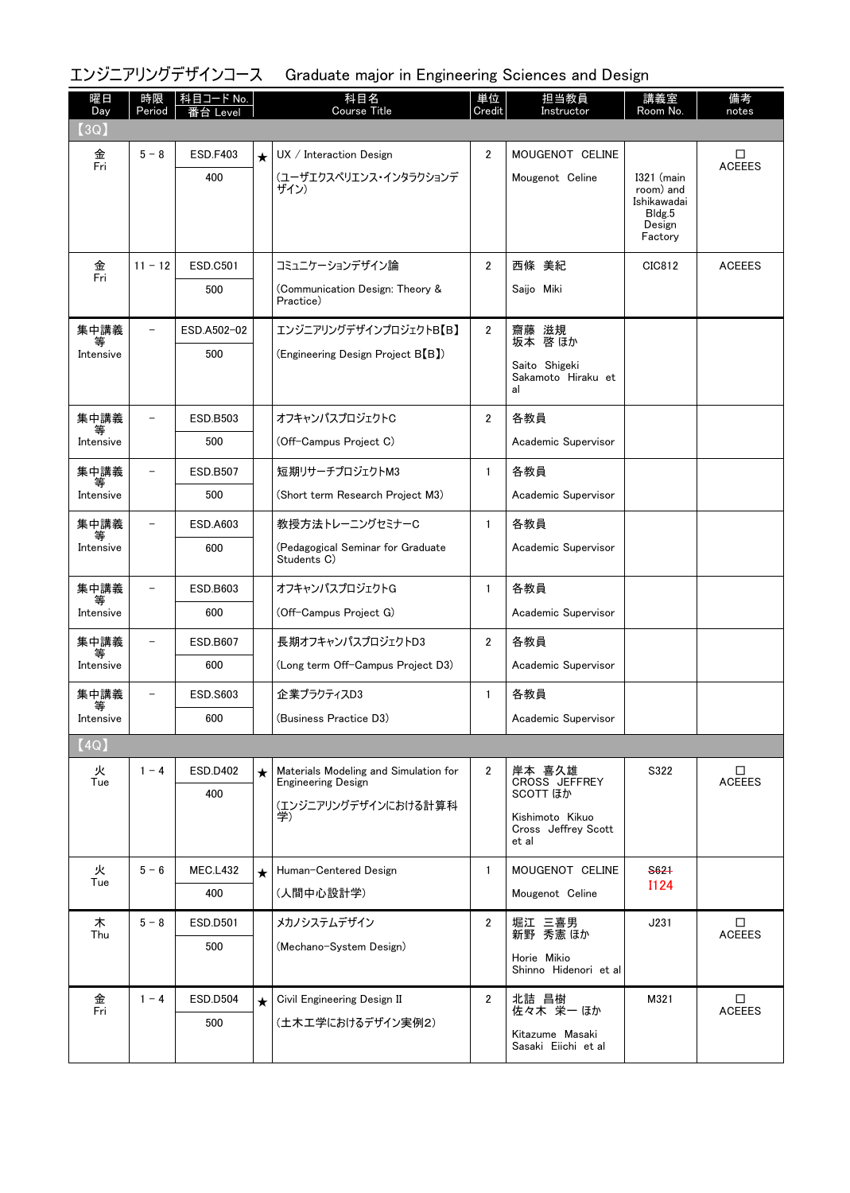エンジニアリングデザインコース Graduate major in Engineering Sciences and Design

| 曜日<br>Day | 時限<br>Period   | 科目コード No.<br>≸台 Level |         | 科目名<br><b>Course Title</b>                                         | 単位<br>Credit   | 担当教員<br>Instructor                              | 講義室<br>Room No.                                                         | 備考<br>notes        |
|-----------|----------------|-----------------------|---------|--------------------------------------------------------------------|----------------|-------------------------------------------------|-------------------------------------------------------------------------|--------------------|
| (3Q)      |                |                       |         |                                                                    |                |                                                 |                                                                         |                    |
| 金<br>Fri  | $5 - 8$        | <b>ESD.F403</b>       | $\star$ | UX / Interaction Design                                            | $\overline{2}$ | MOUGENOT CELINE                                 |                                                                         | □<br><b>ACEEES</b> |
|           |                | 400                   |         | (ユーザエクスペリエンス・インタラクションデ<br>ザイン)                                     |                | Mougenot Celine                                 | $I321$ (main<br>room) and<br>Ishikawadai<br>Bldg.5<br>Design<br>Factory |                    |
| 金         | $11 - 12$      | <b>ESD.C501</b>       |         | コミュニケーションデザイン論                                                     | $\overline{2}$ | 西條 美紀                                           | CIC812                                                                  | <b>ACEEES</b>      |
| Fri       |                | 500                   |         | (Communication Design: Theory &<br>Practice)                       |                | Saijo Miki                                      |                                                                         |                    |
| 集中講義<br>等 |                | ESD.A502-02           |         | エンジニアリングデザインプロジェクトB【B】                                             | $\overline{2}$ | 齋藤 滋規<br>坂本 啓ほか                                 |                                                                         |                    |
| Intensive |                | 500                   |         | (Engineering Design Project B <sup>[B]</sup> )                     |                |                                                 |                                                                         |                    |
|           |                |                       |         |                                                                    |                | Saito Shigeki<br>Sakamoto Hiraku et<br>al       |                                                                         |                    |
| 集中講義      |                | ESD.B503              |         | オフキャンパスプロジェクトC                                                     | $\overline{2}$ | 各教員                                             |                                                                         |                    |
| Intensive |                | 500                   |         | (Off-Campus Project C)                                             |                | Academic Supervisor                             |                                                                         |                    |
| 集中講義<br>等 |                | ESD.B507              |         | 短期リサーチプロジェクトM3                                                     | $\mathbf{1}$   | 各教員                                             |                                                                         |                    |
| Intensive |                | 500                   |         | (Short term Research Project M3)                                   |                | Academic Supervisor                             |                                                                         |                    |
| 集中講義<br>等 | -              | ESD.A603              |         | 教授方法トレーニングセミナーC                                                    | $\mathbf{1}$   | 各教員                                             |                                                                         |                    |
| Intensive |                | 600                   |         | (Pedagogical Seminar for Graduate<br>Students C)                   |                | Academic Supervisor                             |                                                                         |                    |
| 集中講義      |                | ESD.B603              |         | オフキャンパスプロジェクトG                                                     | $\mathbf{1}$   | 各教員                                             |                                                                         |                    |
| Intensive |                | 600                   |         | (Off-Campus Project G)                                             |                | Academic Supervisor                             |                                                                         |                    |
| 集中講義<br>等 |                | <b>ESD.B607</b>       |         | 長期オフキャンパスプロジェクトD3                                                  | 2              | 各教員                                             |                                                                         |                    |
| Intensive |                | 600                   |         | (Long term Off-Campus Project D3)                                  |                | Academic Supervisor                             |                                                                         |                    |
| 集中講義<br>等 | $\overline{a}$ | <b>ESD.S603</b>       |         | 企業プラクティスD3                                                         | $\mathbf{1}$   | 各教員                                             |                                                                         |                    |
| Intensive |                | 600                   |         | (Business Practice D3)                                             |                | Academic Supervisor                             |                                                                         |                    |
| [4Q]      |                |                       |         |                                                                    |                |                                                 |                                                                         |                    |
| 火<br>Tue  | $1 - 4$        | <b>ESD.D402</b>       | $\star$ | Materials Modeling and Simulation for<br><b>Engineering Design</b> | $\mathbf{2}$   | 岸本 喜久雄<br>CROSS JEFFREY                         | S322                                                                    | □<br><b>ACEEES</b> |
|           |                | 400                   |         | (エンジニアリングデザインにおける計算科                                               |                | <b>SCOTT ほか</b>                                 |                                                                         |                    |
|           |                |                       |         | 学)                                                                 |                | Kishimoto Kikuo<br>Cross Jeffrey Scott<br>et al |                                                                         |                    |
| 火<br>Tue  | $5 - 6$        | <b>MEC.L432</b>       | $\star$ | Human-Centered Design                                              | $\mathbf{1}$   | MOUGENOT CELINE                                 | S621                                                                    |                    |
|           |                | 400                   |         | (人間中心設計学)                                                          |                | Mougenot Celine                                 | <b>I124</b>                                                             |                    |
| 木<br>Thu  | $5 - 8$        | ESD.D501              |         | メカノシステムデザイン                                                        | $\mathbf{2}$   | 堀江 三喜男<br>新野 秀憲 ほか                              | J231                                                                    | □<br><b>ACEEES</b> |
|           |                | 500                   |         | (Mechano-System Design)                                            |                | Horie Mikio                                     |                                                                         |                    |
|           |                |                       |         |                                                                    |                | Shinno Hidenori et al                           |                                                                         |                    |
| 金<br>Fri  | $1 - 4$        | <b>ESD.D504</b>       | $\star$ | Civil Engineering Design II                                        | $\mathbf{2}$   | 北詰 昌樹<br>佐々木 栄一ほか                               | M321                                                                    | □<br><b>ACEEES</b> |
|           |                | 500                   |         | (土木工学におけるデザイン実例2)                                                  |                | Kitazume Masaki<br>Sasaki Eiichi et al          |                                                                         |                    |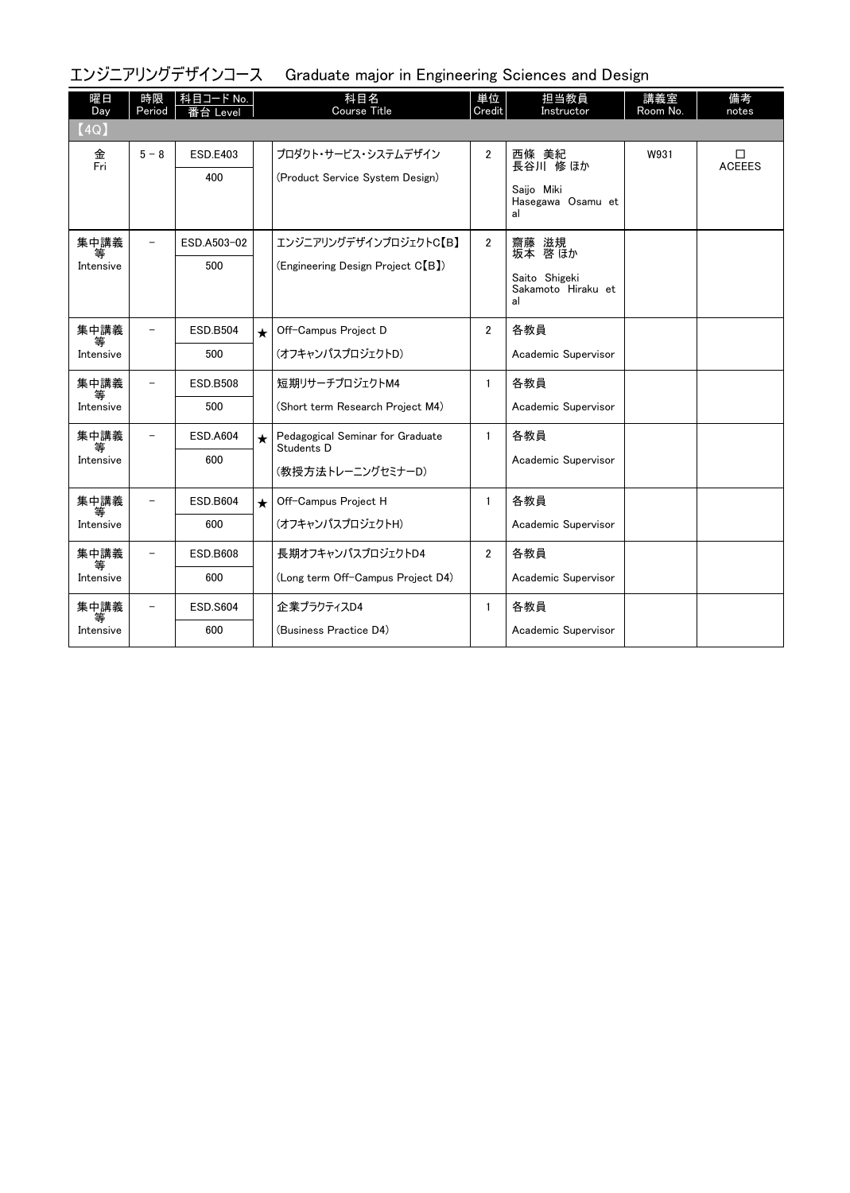エンジニアリングデザインコース Graduate major in Engineering Sciences and Design

| 曜日<br>Day<br>(4Q)      | 時限<br>Period             | 科目コード No.<br>番台 Level  |         | 科目名<br>Course Title                                                      | 単位<br>Credit   | 担当教員<br>Instructor                                            | 講義室<br>Room No. | 備考<br>notes        |
|------------------------|--------------------------|------------------------|---------|--------------------------------------------------------------------------|----------------|---------------------------------------------------------------|-----------------|--------------------|
| 金<br>Fri               | $5 - 8$                  | <b>ESD.E403</b><br>400 |         | プロダクト・サービス・システムデザイン<br>(Product Service System Design)                   | $\overline{2}$ | 西條 美紀<br>長谷川 修 ほか<br>Saijo Miki<br>Hasegawa Osamu et<br>al    | W931            | □<br><b>ACEEES</b> |
| 集中講義<br>等<br>Intensive | $\overline{\phantom{0}}$ | ESD.A503-02<br>500     |         | エンジニアリングデザインプロジェクトC【B】<br>(Engineering Design Project C <sup>[B]</sup> ) | $\mathbf{2}$   | 齋藤 滋規<br>坂本 啓 ほか<br>Saito Shigeki<br>Sakamoto Hiraku et<br>al |                 |                    |
| 集中講義<br>等<br>Intensive |                          | <b>ESD.B504</b><br>500 | $\star$ | Off-Campus Project D<br>(オフキャンパスプロジェクトD)                                 | $\overline{2}$ | 各教員<br>Academic Supervisor                                    |                 |                    |
| 集中講義<br>等<br>Intensive |                          | <b>ESD.B508</b><br>500 |         | 短期リサーチプロジェクトM4<br>(Short term Research Project M4)                       | $\mathbf{1}$   | 各教員<br>Academic Supervisor                                    |                 |                    |
| 集中講義<br>等<br>Intensive |                          | <b>ESD.A604</b><br>600 | $\star$ | Pedagogical Seminar for Graduate<br>Students D<br>(教授方法トレーニングセミナーD)      | $\mathbf{1}$   | 各教員<br>Academic Supervisor                                    |                 |                    |
| 集中講義<br>等<br>Intensive |                          | <b>ESD.B604</b><br>600 | $\star$ | Off-Campus Project H<br>(オフキャンパスプロジェクトH)                                 | $\mathbf{1}$   | 各教員<br>Academic Supervisor                                    |                 |                    |
| 集中講義<br>等<br>Intensive |                          | <b>ESD.B608</b><br>600 |         | 長期オフキャンパスプロジェクトD4<br>(Long term Off-Campus Project D4)                   | $\overline{2}$ | 各教員<br>Academic Supervisor                                    |                 |                    |
| 集中講義<br>等<br>Intensive |                          | <b>ESD.S604</b><br>600 |         | 企業プラクティスD4<br>(Business Practice D4)                                     | $\mathbf{1}$   | 各教員<br>Academic Supervisor                                    |                 |                    |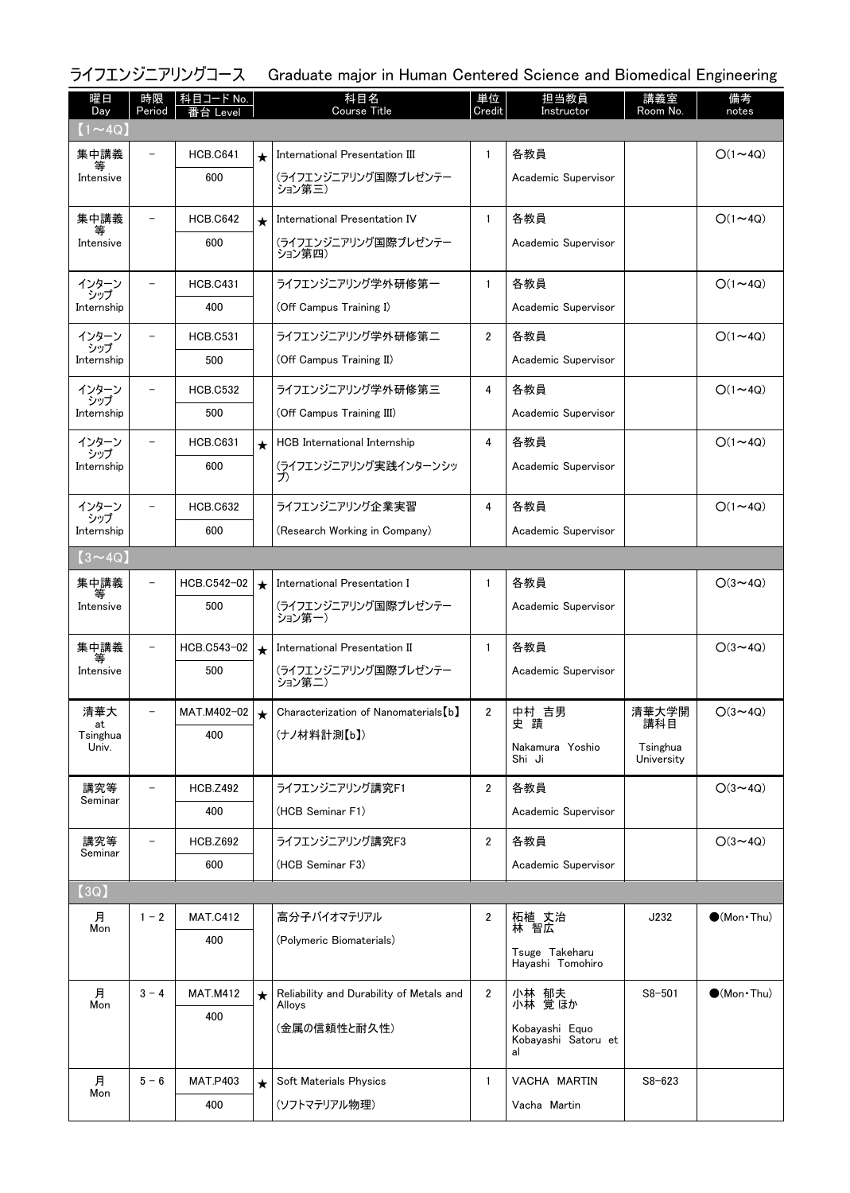#### ライフエンジニアリングコース Graduate major in Human Centered Science and Biomedical Engineering

| 曜日<br>Day         | 時限<br>Period             | │科目コード No. │<br>番台 Level |            | 科目名<br><b>Course Title</b>                         | 単位<br>Credit   | 担当教員<br>Instructor                    | 講義室<br>Room No. | 備考<br>notes            |
|-------------------|--------------------------|--------------------------|------------|----------------------------------------------------|----------------|---------------------------------------|-----------------|------------------------|
| $(1\sim 4Q)$      |                          |                          |            |                                                    |                |                                       |                 |                        |
| 集中講義<br>等         |                          | <b>HCB.C641</b>          | $\star$    | International Presentation III                     | $\mathbf{1}$   | 各教員                                   |                 | $O(1 \sim 4Q)$         |
| Intensive         |                          | 600                      |            | (ライフエンジニアリング国際プレゼンテー<br>ション第三)                     |                | Academic Supervisor                   |                 |                        |
| 集中講義              |                          | <b>HCB.C642</b>          | $\star$    | International Presentation IV                      | $\mathbf{1}$   | 各教員                                   |                 | $O(1 \sim 4Q)$         |
| Intensive         |                          | 600                      |            | (ライフエンジニアリング国際プレゼンテー<br>ション第四)                     |                | Academic Supervisor                   |                 |                        |
| インターン<br>シップ      |                          | <b>HCB.C431</b>          |            | ライフエンジニアリング学外研修第一                                  | $\mathbf{1}$   | 各教員                                   |                 | $O(1 \sim 4Q)$         |
| Internship        |                          | 400                      |            | (Off Campus Training I)                            |                | Academic Supervisor                   |                 |                        |
| インターン<br>シップ      |                          | <b>HCB.C531</b>          |            | ライフエンジニアリング学外研修第二                                  | $\overline{2}$ | 各教員                                   |                 | $O(1 \sim 4Q)$         |
| Internship        |                          | 500                      |            | (Off Campus Training II)                           |                | Academic Supervisor                   |                 |                        |
| インターン             |                          | <b>HCB.C532</b>          |            | ライフエンジニアリング学外研修第三                                  | 4              | 各教員                                   |                 | $O(1 \sim 4Q)$         |
| シップ<br>Internship |                          | 500                      |            | (Off Campus Training III)                          |                | Academic Supervisor                   |                 |                        |
| インターン             |                          | <b>HCB.C631</b>          | $\star$    | <b>HCB</b> International Internship                | 4              | 各教員                                   |                 | $O(1\sim 4Q)$          |
| シップ<br>Internship |                          | 600                      |            | (ライフエンジニアリング実践インターンシッ<br>プ)                        |                | Academic Supervisor                   |                 |                        |
| インターン<br>シップ      |                          | <b>HCB.C632</b>          |            | ライフエンジニアリング企業実習                                    | 4              | 各教員                                   |                 | $O(1 \sim 4Q)$         |
| Internship        |                          | 600                      |            | (Research Working in Company)                      |                | Academic Supervisor                   |                 |                        |
| $(3 \sim 4Q)$     |                          |                          |            |                                                    |                |                                       |                 |                        |
| 集中講義              | $\overline{\phantom{m}}$ | HCB.C542-02              | $\bigstar$ | International Presentation I                       | $\mathbf{1}$   | 各教員                                   |                 | $O(3 \sim 4Q)$         |
| Intensive         |                          | 500                      |            | (ライフエンジニアリング国際プレゼンテー<br>ション第一)                     |                | Academic Supervisor                   |                 |                        |
| 集中講義<br>等         | $\qquad \qquad -$        | HCB.C543-02              | $\star$    | International Presentation II                      | -1             | 各教員                                   |                 | $O(3 \sim 4Q)$         |
| Intensive         |                          | 500                      |            | (ライフエンジニアリング国際プレゼンテー<br>ション第二)                     |                | Academic Supervisor                   |                 |                        |
| 清華大<br>at         |                          | MAT.M402-02              | ╈          | Characterization of Nanomaterials [b]              | $\overline{2}$ | 中村 吉男<br>史蹟                           | 清華大学開<br>講科目    | $O(3 \sim 4Q)$         |
| Tsinghua<br>Univ. |                          | 400                      |            | (ナノ材料計測【b】)                                        |                | Nakamura Yoshio                       | Tsinghua        |                        |
|                   |                          |                          |            |                                                    |                | Shi Ji                                | University      |                        |
| 講究等<br>Seminar    |                          | <b>HCB.Z492</b>          |            | ライフエンジニアリング講究F1                                    | $\overline{2}$ | 各教員                                   |                 | $O(3 \sim 4Q)$         |
|                   |                          | 400                      |            | (HCB Seminar F1)                                   |                | Academic Supervisor                   |                 |                        |
| 講究等<br>Seminar    |                          | <b>HCB.Z692</b>          |            | ライフエンジニアリング講究F3                                    | $\overline{2}$ | 各教員                                   |                 | $O(3 \sim 4Q)$         |
|                   |                          | 600                      |            | (HCB Seminar F3)                                   |                | Academic Supervisor                   |                 |                        |
| [3Q]              |                          |                          |            |                                                    |                |                                       |                 |                        |
| 月<br>Mon          | $1 - 2$                  | <b>MAT.C412</b>          |            | 高分子バイオマテリアル                                        | $\overline{2}$ | 柘植 丈治<br>林 智広                         | J232            | $\bullet$ (Mon•Thu)    |
|                   |                          | 400                      |            | (Polymeric Biomaterials)                           |                | Tsuge Takeharu                        |                 |                        |
|                   |                          |                          |            |                                                    |                | Hayashi Tomohiro                      |                 |                        |
| 月<br>Mon          | $3 - 4$                  | <b>MAT.M412</b>          | $\star$    | Reliability and Durability of Metals and<br>Alloys | $\overline{2}$ | 小林 郁夫<br>小林 覚ほか                       | $S8 - 501$      | $\bigcirc$ (Mon · Thu) |
|                   |                          | 400                      |            | (金属の信頼性と耐久性)                                       |                | Kobayashi Equo<br>Kobayashi Satoru et |                 |                        |
|                   |                          |                          |            |                                                    |                | al                                    |                 |                        |
| 月<br>Mon          | $5 - 6$                  | <b>MAT.P403</b>          | $\star$    | Soft Materials Physics                             | -1             | VACHA MARTIN                          | $S8 - 623$      |                        |
|                   |                          | 400                      |            | (ソフトマテリアル物理)                                       |                | Vacha Martin                          |                 |                        |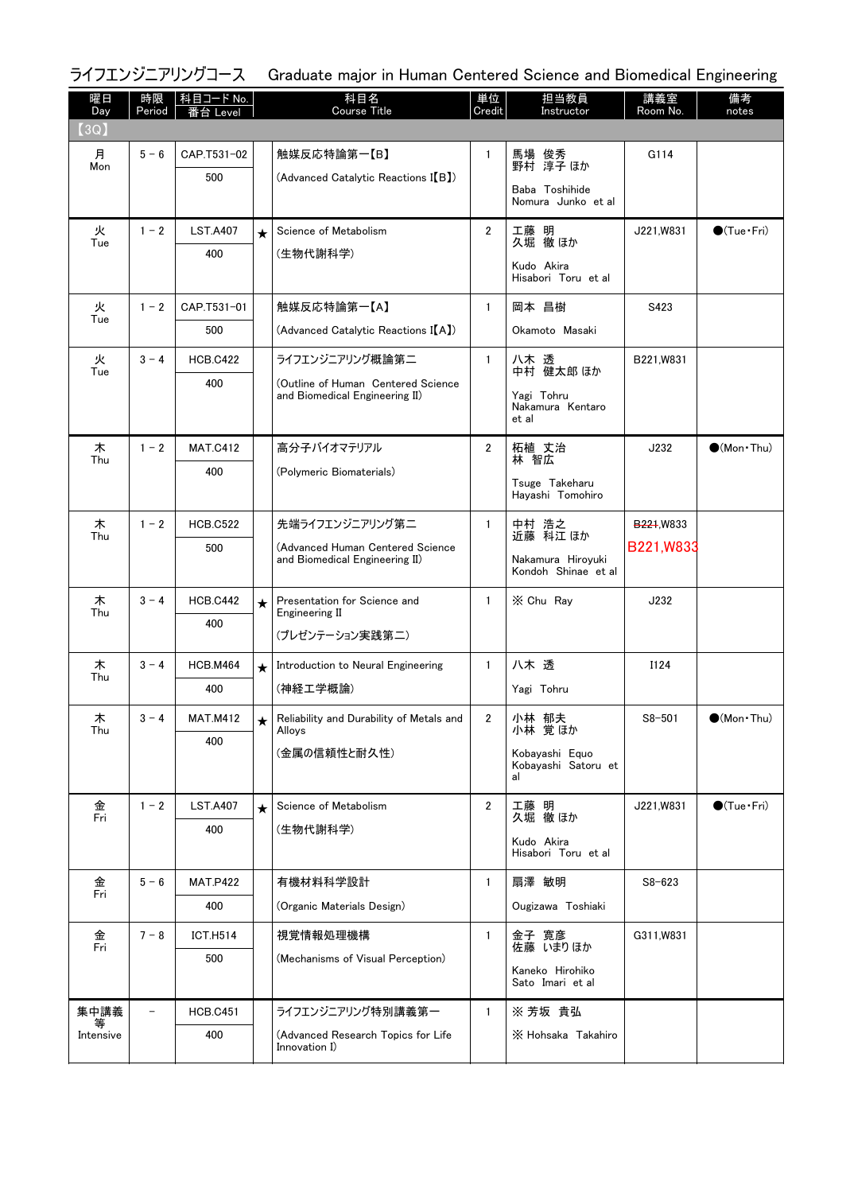|           |              | ライフエンジニアリングコース           |          | Graduate major in Human Centered Science and Biomedical Engineering  |                |                                             |                         |                              |
|-----------|--------------|--------------------------|----------|----------------------------------------------------------------------|----------------|---------------------------------------------|-------------------------|------------------------------|
| 曜日<br>Day | 時限<br>Period | │科目コード No. │<br>番台 Level |          | 科目名<br>Course Title                                                  | 単位<br>Credit   | 担当教員<br>Instructor                          | 講義室<br>Room No.         | 備考<br>notes                  |
| [3Q]      |              |                          |          |                                                                      |                |                                             |                         |                              |
| 月<br>Mon  | $5 - 6$      | CAP.T531-02              |          | 触媒反応特論第一【B】                                                          | 1              | 馬場 俊秀<br>野村 淳子ほか                            | G114                    |                              |
|           |              | 500                      |          | (Advanced Catalytic Reactions I(B))                                  |                | Baba Toshihide                              |                         |                              |
|           |              |                          |          |                                                                      |                | Nomura Junko et al                          |                         |                              |
| 火<br>Tue  | $1 - 2$      | <b>LST.A407</b>          | $\star$  | Science of Metabolism                                                | $\overline{2}$ | 工藤 明<br>久堀 徹ほか                              | J221.W831               | $\bigcirc$ (Tue · Fri)       |
|           |              | 400                      |          | (生物代謝科学)                                                             |                | Kudo Akira                                  |                         |                              |
|           |              |                          |          |                                                                      |                | Hisabori Toru et al                         |                         |                              |
| 火<br>Tue  | $1 - 2$      | CAP.T531-01              |          | 触媒反応特論第一【A】                                                          | $\mathbf{1}$   | 岡本 昌樹                                       | S423                    |                              |
|           |              | 500                      |          | (Advanced Catalytic Reactions I(A))                                  |                | Okamoto Masaki                              |                         |                              |
| 火<br>Tue  | $3 - 4$      | <b>HCB.C422</b>          |          | ライフエンジニアリング概論第二                                                      | $\mathbf{1}$   | 八木 透<br>中村 健太郎 ほか                           | B221, W831              |                              |
|           |              | 400                      |          | (Outline of Human Centered Science<br>and Biomedical Engineering II) |                | Yagi Tohru                                  |                         |                              |
|           |              |                          |          |                                                                      |                | Nakamura Kentaro<br>et al                   |                         |                              |
| 木         | $1 - 2$      | <b>MAT.C412</b>          |          | 高分子バイオマテリアル                                                          | $\overline{2}$ | 柘植 丈治<br>林 智広                               | J232                    | $\bigcirc$ (Mon $\cdot$ Thu) |
| Thu       |              | 400                      |          | (Polymeric Biomaterials)                                             |                | Tsuge Takeharu                              |                         |                              |
|           |              |                          |          |                                                                      |                | Hayashi Tomohiro                            |                         |                              |
| 木<br>Thu  | $1 - 2$      | <b>HCB.C522</b>          |          | 先端ライフエンジニアリング第二                                                      | $\mathbf{1}$   | 中村 浩之<br>近藤 科江 ほか                           | B <sub>221</sub> , W833 |                              |
|           |              | 500                      |          | (Advanced Human Centered Science<br>and Biomedical Engineering II)   |                | Nakamura Hiroyuki                           | B221, W833              |                              |
|           |              |                          |          |                                                                      |                | Kondoh Shinae et al                         |                         |                              |
| 木<br>Thu  | $3 - 4$      | <b>HCB.C442</b>          | $\star$  | Presentation for Science and<br>Engineering II                       | $\mathbf{1}$   | X Chu Ray                                   | J232                    |                              |
|           |              | 400                      |          | (プレゼンテーション実践第二)                                                      |                |                                             |                         |                              |
| 木         | $3 - 4$      | <b>HCB.M464</b>          | $\star$  | Introduction to Neural Engineering                                   | $\mathbf{1}$   | 八木透                                         | I124                    |                              |
| Thu       |              | 400                      |          | (神経工学概論)                                                             |                | Yagi Tohru                                  |                         |                              |
| 木         | $3 - 4$      | <b>MAT.M412</b>          | $^\star$ | Reliability and Durability of Metals and                             | $\overline{2}$ | 小林 郁夫                                       | $S8 - 501$              | $\bullet$ (Mon · Thu)        |
| Thu       |              | 400                      |          | Alloys                                                               |                | 小林 覚ほか                                      |                         |                              |
|           |              |                          |          | (金属の信頼性と耐久性)                                                         |                | Kobayashi Equo<br>Kobayashi Satoru et<br>al |                         |                              |
| 金         | $1 - 2$      | <b>LST.A407</b>          |          | Science of Metabolism                                                | $\overline{2}$ | 工藤 明                                        | J221, W831              | $\bigcirc$ (Tue•Fri)         |
| Fri       |              | 400                      | $\star$  | (生物代謝科学)                                                             |                | 久堀 徹 ほか                                     |                         |                              |
|           |              |                          |          |                                                                      |                | Kudo Akira<br>Hisabori Toru et al           |                         |                              |
| 金         | $5 - 6$      | <b>MAT.P422</b>          |          | 有機材料科学設計                                                             | $\mathbf{1}$   | 扇澤 敏明                                       | $S8 - 623$              |                              |
| Fri       |              | 400                      |          | (Organic Materials Design)                                           |                | Ougizawa Toshiaki                           |                         |                              |
| 金<br>Fri  | $7 - 8$      | <b>ICT.H514</b>          |          | 視覚情報処理機構                                                             | $\mathbf{1}$   | 金子 寛彦                                       | G311, W831              |                              |
|           |              | 500                      |          | (Mechanisms of Visual Perception)                                    |                | 佐藤 いまりほか<br>Kaneko Hirohiko                 |                         |                              |
|           |              |                          |          |                                                                      |                | Sato Imari et al                            |                         |                              |
| 集中講義      |              | <b>HCB.C451</b>          |          | ライフエンジニアリング特別講義第一                                                    | $\mathbf{1}$   | ※ 芳坂 貴弘                                     |                         |                              |
| Intensive |              | 400                      |          | (Advanced Research Topics for Life<br>Innovation I)                  |                | X Hohsaka Takahiro                          |                         |                              |
|           |              |                          |          |                                                                      |                |                                             |                         |                              |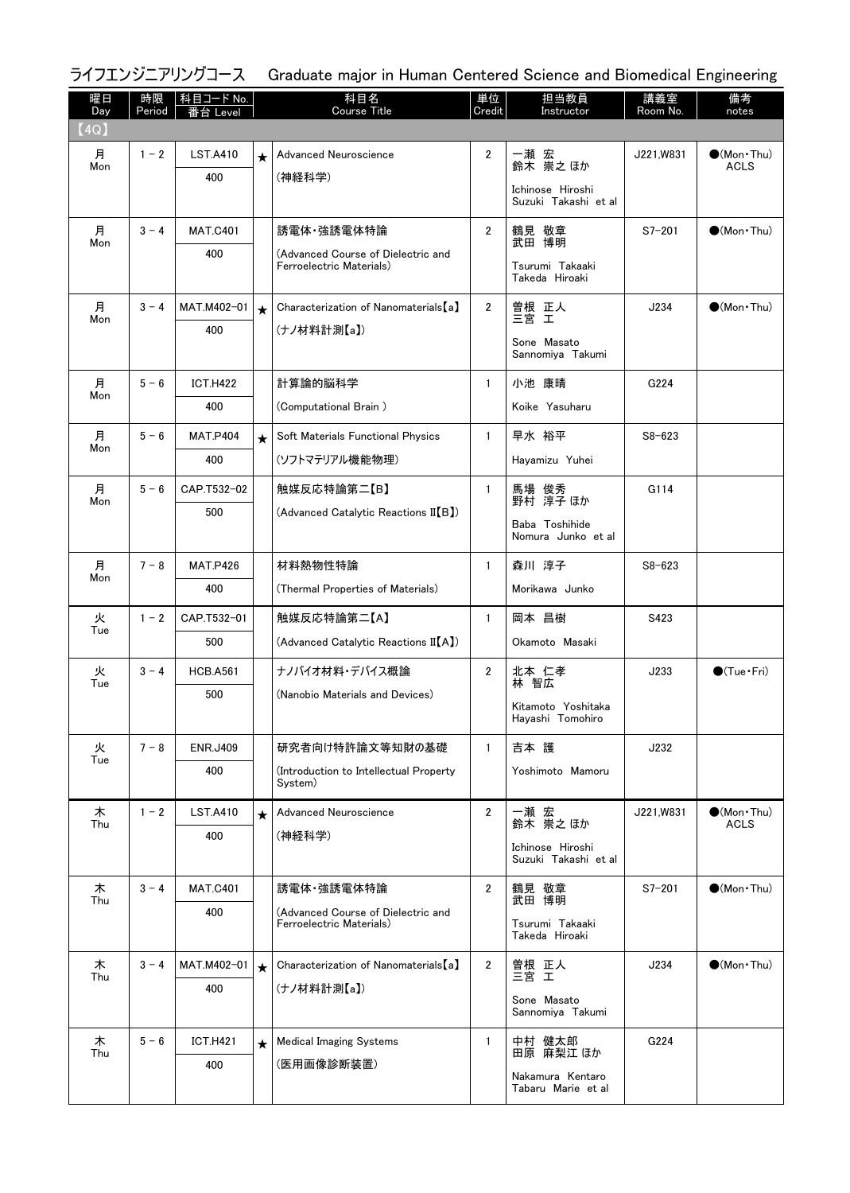#### ライフエンジニアリングコース Graduate major in Human Centered Science and Biomedical Engineering

| 曜日<br>Day | 時限<br>Period | 科目コード No.<br>≸台 Level |         | 科目名<br><b>Course Title</b>                                     | 単位<br>Credit   | 担当教員<br>Instructor                       | 講義室<br>Room No. | 備考<br>notes            |
|-----------|--------------|-----------------------|---------|----------------------------------------------------------------|----------------|------------------------------------------|-----------------|------------------------|
| (4Q)      |              |                       |         |                                                                |                |                                          |                 |                        |
| 月         | $1 - 2$      | <b>LST.A410</b>       | $\star$ | Advanced Neuroscience                                          | $\overline{2}$ | 一瀬 宏<br>鈴木 崇之ほか                          | J221, W831      | $\bullet$ (Mon Thu)    |
| Mon       |              | 400                   |         | (神経科学)                                                         |                |                                          |                 | <b>ACLS</b>            |
|           |              |                       |         |                                                                |                | Ichinose Hiroshi<br>Suzuki Takashi et al |                 |                        |
| 月<br>Mon  | $3 - 4$      | <b>MAT.C401</b>       |         | 誘電体·強誘電体特論                                                     | $\overline{2}$ | 鶴見 敬章<br>武田 博明                           | $S7 - 201$      | $(Mon\cdot Thu)$       |
|           |              | 400                   |         | (Advanced Course of Dielectric and<br>Ferroelectric Materials) |                | Tsurumi Takaaki                          |                 |                        |
|           |              |                       |         |                                                                |                | Takeda Hiroaki                           |                 |                        |
| 月<br>Mon  | $3 - 4$      | MAT.M402-01           | $\star$ | Characterization of Nanomaterials [a]                          | $\overline{2}$ | 曽根 正人<br>三宮 工                            | J234            | $\bigcirc$ (Mon · Thu) |
|           |              | 400                   |         | (ナノ材料計測【a】)                                                    |                | Sone Masato                              |                 |                        |
|           |              |                       |         |                                                                |                | Sannomiya Takumi                         |                 |                        |
| 月<br>Mon  | $5 - 6$      | <b>ICT.H422</b>       |         | 計算論的脳科学                                                        | $\mathbf{1}$   | 小池 康晴                                    | G224            |                        |
|           |              | 400                   |         | (Computational Brain)                                          |                | Koike Yasuharu                           |                 |                        |
| 月         | $5 - 6$      | <b>MAT.P404</b>       | $\star$ | Soft Materials Functional Physics                              | $\mathbf{1}$   | 早水 裕平                                    | $S8 - 623$      |                        |
| Mon       |              | 400                   |         | (ソフトマテリアル機能物理)                                                 |                | Hayamizu Yuhei                           |                 |                        |
| 月         | $5 - 6$      | CAP.T532-02           |         | 触媒反応特論第二【B】                                                    | $\mathbf{1}$   | 馬場 俊秀<br>野村 淳子ほか                         | G114            |                        |
| Mon       |              | 500                   |         | (Advanced Catalytic Reactions II(B))                           |                |                                          |                 |                        |
|           |              |                       |         |                                                                |                | Baba Toshihide<br>Nomura Junko et al     |                 |                        |
| 月         | $7 - 8$      | <b>MAT.P426</b>       |         | 材料熱物性特論                                                        | $\mathbf{1}$   | 森川 淳子                                    | $S8 - 623$      |                        |
| Mon       |              | 400                   |         | (Thermal Properties of Materials)                              |                | Morikawa Junko                           |                 |                        |
| 火         | $1 - 2$      | CAP.T532-01           |         | 触媒反応特論第二【A】                                                    | $\mathbf{1}$   | 岡本 昌樹                                    | S423            |                        |
| Tue       |              | 500                   |         | (Advanced Catalytic Reactions II[A])                           |                | Okamoto Masaki                           |                 |                        |
| 火<br>Tue  | $3 - 4$      | <b>HCB.A561</b>       |         | ナノバイオ材料・デバイス概論                                                 | $\overline{2}$ | 北本 仁孝<br>林 智広                            | J233            | $\bigcirc$ (Tue·Fri)   |
|           |              | 500                   |         | (Nanobio Materials and Devices)                                |                | Kitamoto Yoshitaka                       |                 |                        |
|           |              |                       |         |                                                                |                | Hayashi Tomohiro                         |                 |                        |
| 火<br>Tue  | $7 - 8$      | <b>ENR.J409</b>       |         | 研究者向け特許論文等知財の基礎                                                | $\mathbf{1}$   | 吉本 護                                     | J232            |                        |
|           |              | 400                   |         | (Introduction to Intellectual Property)<br>System)             |                | Yoshimoto Mamoru                         |                 |                        |
| 木         | $1 - 2$      | <b>LST.A410</b>       |         | Advanced Neuroscience                                          | $\overline{2}$ |                                          | J221, W831      | $\bullet$ (Mon · Thu)  |
| Thu       |              | 400                   | $\star$ | (神経科学)                                                         |                | 一瀬 宏<br>鈴木 崇之ほか                          |                 | <b>ACLS</b>            |
|           |              |                       |         |                                                                |                | Ichinose Hiroshi<br>Suzuki Takashi et al |                 |                        |
| 木         | $3 - 4$      | <b>MAT.C401</b>       |         | 誘電体·強誘電体特論                                                     | $\overline{2}$ | 鶴見 敬章                                    | $S7 - 201$      | $\bigcirc$ (Mon Thu)   |
| Thu       |              | 400                   |         | (Advanced Course of Dielectric and                             |                | 武田 博明                                    |                 |                        |
|           |              |                       |         | Ferroelectric Materials)                                       |                | Tsurumi Takaaki<br>Takeda Hiroaki        |                 |                        |
| 木<br>Thu  | $3 - 4$      | MAT.M402-01           | $\star$ | Characterization of Nanomaterials [a]                          | $\overline{2}$ | 曽根 正人<br>三宮 工                            | J234            | $\bigcirc$ (Mon · Thu) |
|           |              | 400                   |         | (ナノ材料計測【a】)                                                    |                | Sone Masato                              |                 |                        |
|           |              |                       |         |                                                                |                | Sannomiya Takumi                         |                 |                        |
| 木<br>Thu  | $5 - 6$      | <b>ICT.H421</b>       | $\star$ | <b>Medical Imaging Systems</b>                                 | $\mathbf{1}$   | 中村 健太郎<br>田原 麻梨江 ほか                      | G224            |                        |
|           |              | 400                   |         | (医用画像診断装置)                                                     |                | Nakamura Kentaro                         |                 |                        |
|           |              |                       |         |                                                                |                | Tabaru Marie et al                       |                 |                        |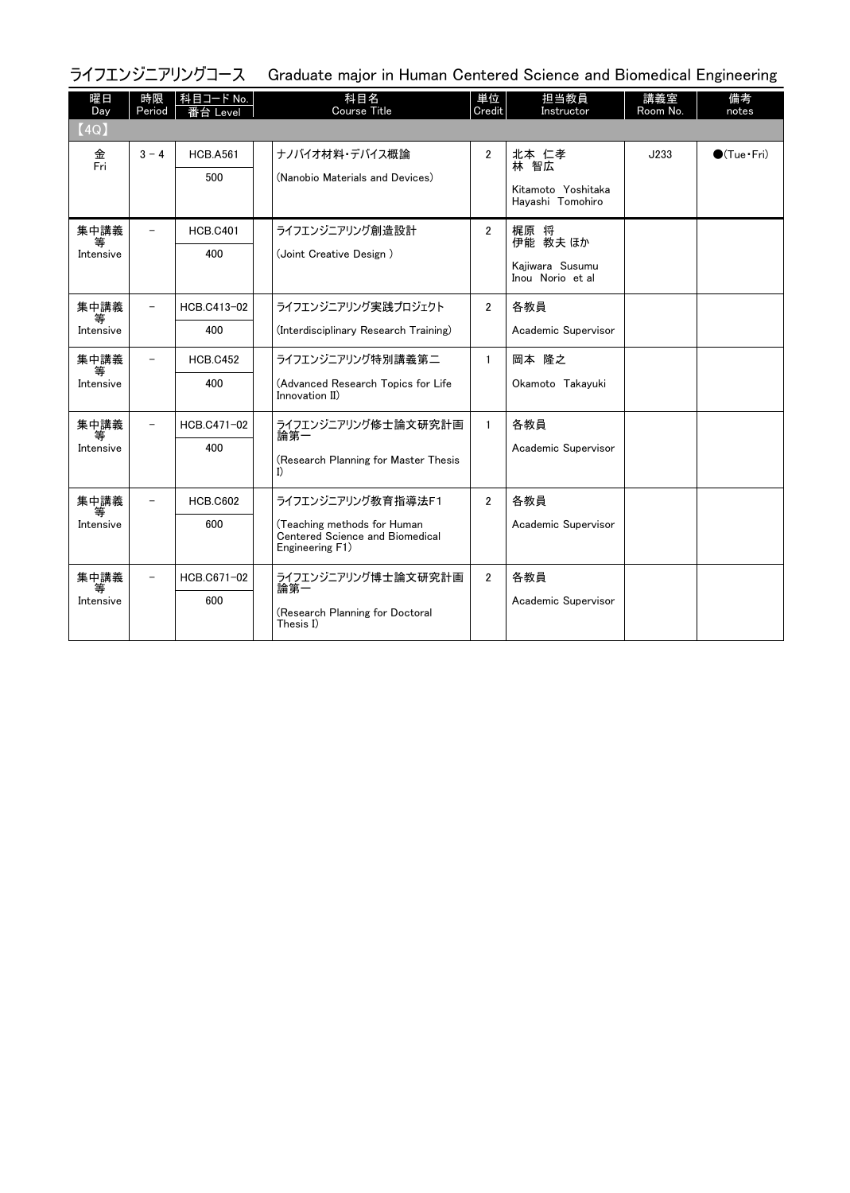| ライフエンジニアリングコース Graduate major in Human Centered Science and Biomedical Engineering |  |  |
|------------------------------------------------------------------------------------|--|--|
|                                                                                    |  |  |

| 曜日<br>Day              | 時限<br>Period             | 科目コード No.<br>台 Level   | 科目名<br><b>Course Title</b>                                                                                     | 単位<br>Credit   | 担当教員<br>Instructor                                      | 講義室<br>Room No. | 備考<br>notes          |
|------------------------|--------------------------|------------------------|----------------------------------------------------------------------------------------------------------------|----------------|---------------------------------------------------------|-----------------|----------------------|
| (4Q)                   |                          |                        |                                                                                                                |                |                                                         |                 |                      |
| 金<br>Fri               | $3 - 4$                  | <b>HCB.A561</b><br>500 | ナノバイオ材料・デバイス概論<br>(Nanobio Materials and Devices)                                                              | $\overline{2}$ | 北本 仁孝<br>林 智広<br>Kitamoto Yoshitaka<br>Havashi Tomohiro | J233            | $\bigcirc$ (Tue·Fri) |
| 集中講義<br>等<br>Intensive |                          | <b>HCB.C401</b><br>400 | ライフエンジニアリング創造設計<br>(Joint Creative Design)                                                                     | $\overline{2}$ | 梶原 将<br>伊能 教夫 ほか<br>Kajiwara Susumu<br>Inou Norio et al |                 |                      |
| 集中講義<br>等<br>Intensive | $\overline{\phantom{0}}$ | HCB.C413-02<br>400     | ライフエンジニアリング実践プロジェクト<br>(Interdisciplinary Research Training)                                                   | $\overline{2}$ | 各教員<br>Academic Supervisor                              |                 |                      |
| 集中講義<br>等<br>Intensive | $\overline{\phantom{0}}$ | <b>HCB.C452</b><br>400 | ライフエンジニアリング特別講義第二<br>(Advanced Research Topics for Life<br>Innovation II)                                      | $\mathbf{1}$   | 岡本 降之<br>Okamoto Takayuki                               |                 |                      |
| 集中講義<br>等<br>Intensive | $\qquad \qquad -$        | HCB.C471-02<br>400     | ライフエンジニアリング修士論文研究計画<br>論第一<br>(Research Planning for Master Thesis<br>I)                                       | $\mathbf{1}$   | 各教員<br>Academic Supervisor                              |                 |                      |
| 集中講義<br>等<br>Intensive |                          | <b>HCB.C602</b><br>600 | ライフエンジニアリング教育指導法F1<br>(Teaching methods for Human<br><b>Centered Science and Biomedical</b><br>Engineering F1) | $\overline{2}$ | 各教員<br>Academic Supervisor                              |                 |                      |
| 集中講義<br>等<br>Intensive | $\overline{\phantom{0}}$ | HCB.C671-02<br>600     | ライフエンジニアリング博士論文研究計画<br>論第一<br>(Research Planning for Doctoral<br>Thesis I)                                     | $\overline{2}$ | 各教員<br>Academic Supervisor                              |                 |                      |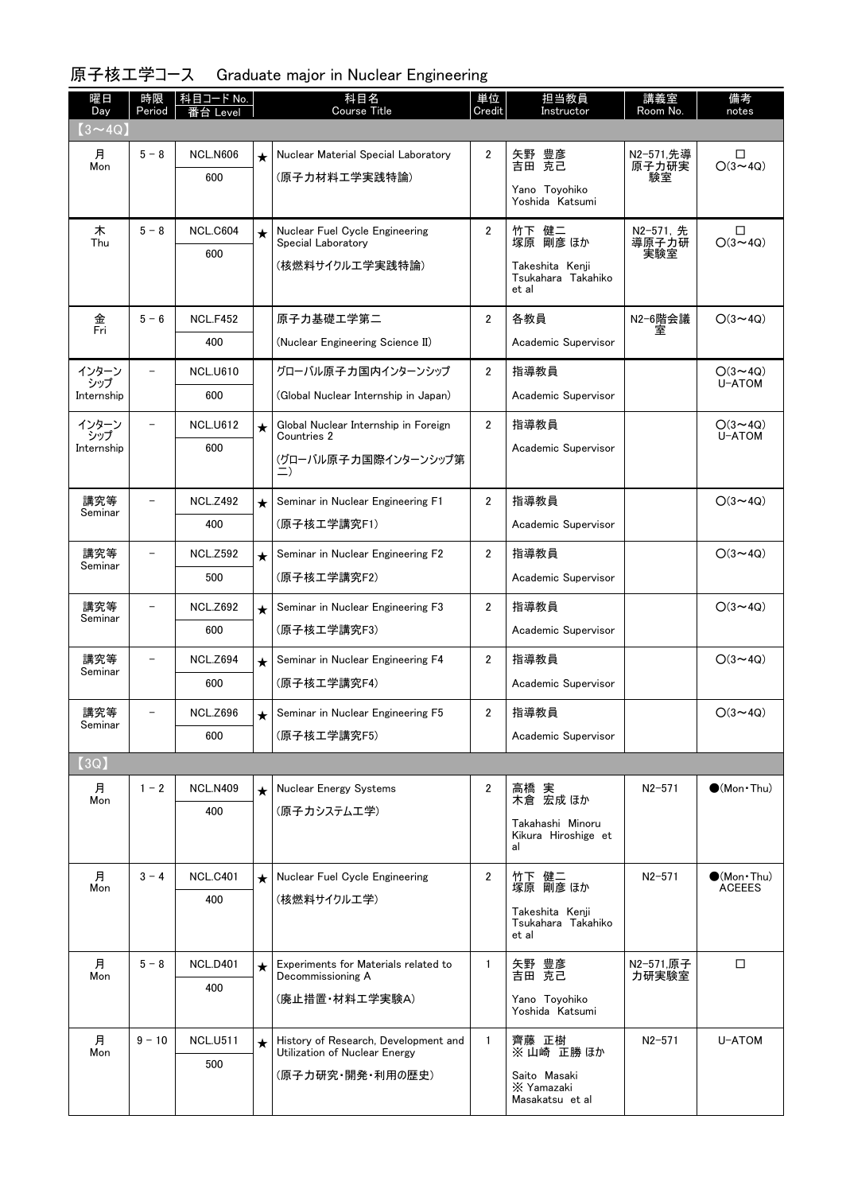| 曜日<br>Day      | 時限<br>Period | 科目コード No.<br>·台 Level |         | 科目名<br><b>Course Title</b>                                            | 単位<br>Credit   | 担当教員<br>Instructor                             | 講義室<br>Room No.    | 備考<br>notes                 |
|----------------|--------------|-----------------------|---------|-----------------------------------------------------------------------|----------------|------------------------------------------------|--------------------|-----------------------------|
| $(3 \sim 4Q)$  |              |                       |         |                                                                       |                |                                                |                    |                             |
| 月              | $5 - 8$      | <b>NCL.N606</b>       | $\star$ | Nuclear Material Special Laboratory                                   | $\overline{2}$ | 矢野<br>豊彦<br>克己                                 | N2-571,先導          | □                           |
| Mon            |              | 600                   |         | (原子力材料工学実践特論)                                                         |                | 吉田                                             | 原子力研実<br>験室        | $O(3 \sim 4Q)$              |
|                |              |                       |         |                                                                       |                | Yano Toyohiko<br>Yoshida Katsumi               |                    |                             |
| 木<br>Thu       | $5 - 8$      | <b>NCL.C604</b>       | $\star$ | Nuclear Fuel Cycle Engineering<br>Special Laboratory                  | $\overline{2}$ | 竹下 健二<br>塚原 剛彦 ほか                              | N2-571, 先<br>導原子力研 | □<br>$O(3 \sim 4Q)$         |
|                |              | 600                   |         | (核燃料サイクルエ学実践特論)                                                       |                | Takeshita Kenji                                | 実験室                |                             |
|                |              |                       |         |                                                                       |                | Tsukahara Takahiko<br>et al                    |                    |                             |
| 金<br>Fri       | $5 - 6$      | <b>NCL.F452</b>       |         | 原子力基礎工学第二                                                             | $\overline{2}$ | 各教員                                            | N2-6階会議<br>室       | $O(3 \sim 4Q)$              |
|                |              | 400                   |         | (Nuclear Engineering Science II)                                      |                | Academic Supervisor                            |                    |                             |
| インターン<br>シップ   |              | <b>NCL.U610</b>       |         | グローバル原子力国内インターンシップ                                                    | $\overline{2}$ | 指導教員                                           |                    | $O(3 \sim 4Q)$<br>U-ATOM    |
| Internship     |              | 600                   |         | (Global Nuclear Internship in Japan)                                  |                | Academic Supervisor                            |                    |                             |
| インターン<br>シップ   | $\equiv$     | <b>NCL.U612</b>       | $\star$ | Global Nuclear Internship in Foreign<br>Countries 2                   | $\overline{2}$ | 指導教員                                           |                    | $O(3 \sim 4Q)$<br>U-ATOM    |
| Internship     |              | 600                   |         | (グローバル原子力国際インターンシップ第<br>二)                                            |                | Academic Supervisor                            |                    |                             |
|                |              |                       |         |                                                                       |                |                                                |                    |                             |
| 講究等<br>Seminar |              | <b>NCL.Z492</b>       | $\star$ | Seminar in Nuclear Engineering F1                                     | $\overline{2}$ | 指導教員                                           |                    | $O(3 \sim 4Q)$              |
|                |              | 400                   |         | (原子核工学講究F1)                                                           |                | Academic Supervisor                            |                    |                             |
| 講究等<br>Seminar | $\equiv$     | <b>NCL.Z592</b>       | $\star$ | Seminar in Nuclear Engineering F2                                     | $\overline{2}$ | 指導教員                                           |                    | $O(3 \sim 4Q)$              |
|                |              | 500                   |         | (原子核工学講究F2)                                                           |                | Academic Supervisor                            |                    |                             |
| 講究等<br>Seminar |              | <b>NCL.Z692</b>       | $\star$ | Seminar in Nuclear Engineering F3                                     | 2              | 指導教員                                           |                    | $O(3 \sim 4Q)$              |
|                |              | 600                   |         | (原子核工学講究F3)                                                           |                | Academic Supervisor                            |                    |                             |
| 講究等<br>Seminar |              | <b>NCL.Z694</b>       | $\star$ | Seminar in Nuclear Engineering F4                                     | $\overline{2}$ | 指導教員                                           |                    | $O(3 \sim 4Q)$              |
|                |              | 600                   |         | (原子核工学講究F4)                                                           |                | Academic Supervisor                            |                    |                             |
| 講究等            |              | <b>NCL.Z696</b>       | $\star$ | Seminar in Nuclear Engineering F5                                     | 2              | 指導教員                                           |                    | $O(3 \sim 4Q)$              |
| Seminar        |              | 600                   |         | (原子核工学講究F5)                                                           |                | Academic Supervisor                            |                    |                             |
| [3Q]           |              |                       |         |                                                                       |                |                                                |                    |                             |
| 月<br>Mon       | $1 - 2$      | <b>NCL.N409</b>       | $\star$ | Nuclear Energy Systems                                                | 2              | 高橋 実<br>木倉 宏成 ほか                               | $N2 - 571$         | $\bullet$ (Mon $\cdot$ Thu) |
|                |              | 400                   |         | (原子カシステムエ学)                                                           |                | Takahashi Minoru                               |                    |                             |
|                |              |                       |         |                                                                       |                | Kikura Hiroshige et<br>al                      |                    |                             |
| 月              | $3 - 4$      | <b>NCL.C401</b>       | $\star$ | Nuclear Fuel Cycle Engineering                                        | $\overline{2}$ | 竹下 健二                                          | $N2 - 571$         | $\bullet$ (Mon•Thu)         |
| Mon            |              | 400                   |         | (核燃料サイクルエ学)                                                           |                | 塚原 剛彦 ほか                                       |                    | <b>ACEEES</b>               |
|                |              |                       |         |                                                                       |                | Takeshita Kenji<br>Tsukahara Takahiko<br>et al |                    |                             |
| 月<br>Mon       | $5 - 8$      | <b>NCL.D401</b>       | $\star$ | Experiments for Materials related to<br>Decommissioning A             | $\mathbf{1}$   | 矢野 豊彦<br>吉田 克己                                 | N2-571,原子<br>力研実験室 | □                           |
|                |              | 400                   |         | (廃止措置・材料工学実験A)                                                        |                | Yano Toyohiko                                  |                    |                             |
|                |              |                       |         |                                                                       |                | Yoshida Katsumi                                |                    |                             |
| 月<br>Mon       | $9 - 10$     | <b>NCL.U511</b>       | $\star$ | History of Research, Development and<br>Utilization of Nuclear Energy | $\mathbf{1}$   | 齊藤 正樹<br>※山崎 正勝ほか                              | $N2 - 571$         | U-ATOM                      |
|                |              | 500                   |         | (原子力研究・開発・利用の歴史)                                                      |                | Saito Masaki                                   |                    |                             |
|                |              |                       |         |                                                                       |                | X Yamazaki<br>Masakatsu et al                  |                    |                             |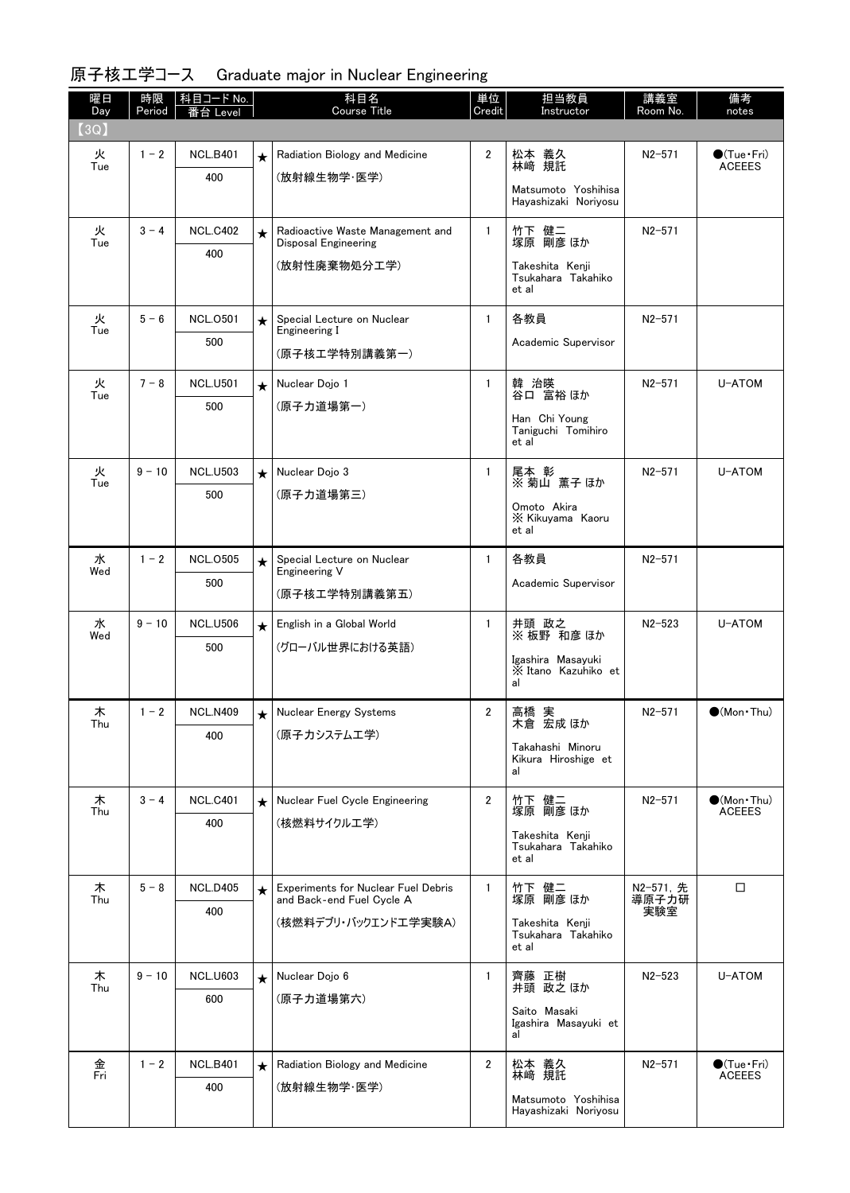| 曜日<br>Day              | 時限<br>Period | │科目コード No.<br>台 Level  |         | 科目名<br><b>Course Title</b>                                       | 単位<br>Credit   | 担当教員<br>Instructor                             | 講義室<br>Room No.    | 備考<br>notes                                  |
|------------------------|--------------|------------------------|---------|------------------------------------------------------------------|----------------|------------------------------------------------|--------------------|----------------------------------------------|
| $\textsf{\small (3Q)}$ |              |                        |         |                                                                  |                |                                                |                    |                                              |
| 火                      | $1 - 2$      | <b>NCL.B401</b>        | $\star$ | Radiation Biology and Medicine                                   | $\overline{2}$ | 松本 義久<br>林崎 規託                                 | N2-571             | $\bigcirc$ (Tue•Fri)                         |
| Tue                    |              | 400                    |         | (放射線生物学·医学)                                                      |                | Matsumoto Yoshihisa                            |                    | <b>ACEEES</b>                                |
|                        |              |                        |         |                                                                  |                | Hayashizaki Noriyosu                           |                    |                                              |
| 火<br>Tue               | $3 - 4$      | <b>NCL.C402</b>        | $\star$ | Radioactive Waste Management and                                 | $\mathbf{1}$   | 竹下 健二<br>塚原 剛彦 ほか                              | $N2 - 571$         |                                              |
|                        |              | 400                    |         | <b>Disposal Engineering</b><br>(放射性廃棄物処分工学)                      |                | Takeshita Kenji                                |                    |                                              |
|                        |              |                        |         |                                                                  |                | Tsukahara Takahiko<br>et al                    |                    |                                              |
| 火<br>Tue               | $5 - 6$      | <b>NCL.0501</b>        | $\star$ | Special Lecture on Nuclear<br>Engineering I                      | $\mathbf{1}$   | 各教員                                            | $N2 - 571$         |                                              |
|                        |              | 500                    |         | (原子核工学特別講義第一)                                                    |                | Academic Supervisor                            |                    |                                              |
| 火                      | $7 - 8$      | <b>NCL.U501</b>        | $\star$ | Nuclear Dojo 1                                                   | $\mathbf{1}$   | 韓 治暎                                           | $N2 - 571$         | U-ATOM                                       |
| Tue                    |              | 500                    |         | (原子力道場第一)                                                        |                | 谷口 富裕ほか                                        |                    |                                              |
|                        |              |                        |         |                                                                  |                | Han Chi Young<br>Taniguchi Tomihiro<br>et al   |                    |                                              |
| 火<br>Tue               | $9 - 10$     | <b>NCL.U503</b>        | $\star$ | Nuclear Dojo 3                                                   | $\mathbf{1}$   | 尾本 彰<br>※ 菊山 薫子ほか                              | $N2 - 571$         | U-ATOM                                       |
|                        |              | 500                    |         | (原子力道場第三)                                                        |                | Omoto Akira                                    |                    |                                              |
|                        |              |                        |         |                                                                  |                | <b>X</b> Kikuyama Kaoru<br>et al               |                    |                                              |
| 水                      | $1 - 2$      | <b>NCL.0505</b>        | $\star$ | Special Lecture on Nuclear                                       | $\mathbf{1}$   | 各教員                                            | $N2 - 571$         |                                              |
| Wed                    |              | 500                    |         | Engineering V<br>(原子核工学特別講義第五)                                   |                | Academic Supervisor                            |                    |                                              |
| 水                      | $9 - 10$     | <b>NCL.U506</b>        | $\star$ | English in a Global World                                        | $\mathbf{1}$   | 井頭 政之                                          | $N2 - 523$         | U-ATOM                                       |
| Wed                    |              | 500                    |         | (グローバル世界における英語)                                                  |                | ※板野 和彦 ほか                                      |                    |                                              |
|                        |              |                        |         |                                                                  |                | Igashira Masayuki<br>X Itano Kazuhiko et<br>al |                    |                                              |
|                        |              |                        |         |                                                                  |                |                                                |                    |                                              |
| 木<br>Thu               | $1 - 2$      | <b>NCL.N409</b><br>400 | $\star$ | Nuclear Energy Systems<br>(原子カシステム工学)                            | $\overline{2}$ | 高橋 実<br>木倉 宏成 ほか                               | $N2 - 571$         | $\bullet$ (Mon $\cdot$ Thu)                  |
|                        |              |                        |         |                                                                  |                | Takahashi Minoru<br>Kikura Hiroshige et        |                    |                                              |
|                        |              |                        |         |                                                                  |                | al                                             |                    |                                              |
| 木<br>Thu               | $3 - 4$      | <b>NCL.C401</b>        | $\star$ | Nuclear Fuel Cycle Engineering                                   | $\overline{2}$ | 竹下 健二<br>塚原 剛彦 ほか                              | $N2 - 571$         | $\bullet$ (Mon•Thu)<br><b>ACEEES</b>         |
|                        |              | 400                    |         | (核燃料サイクルエ学)                                                      |                | Takeshita Kenji<br>Tsukahara Takahiko          |                    |                                              |
|                        |              |                        |         |                                                                  |                | et al                                          |                    |                                              |
| 木<br>Thu               | $5 - 8$      | <b>NCL.D405</b>        | $\star$ | Experiments for Nuclear Fuel Debris<br>and Back-end Fuel Cycle A | $\mathbf{1}$   | 竹下 健二<br>塚原 剛彦 ほか                              | N2-571, 先<br>導原子力研 | □                                            |
|                        |              | 400                    |         | (核燃料デブリ・バックエンドエ学実験A)                                             |                | Takeshita Kenji                                | 実験室                |                                              |
|                        |              |                        |         |                                                                  |                | Tsukahara Takahiko<br>et al                    |                    |                                              |
| 木<br>Thu               | $9 - 10$     | <b>NCL.U603</b>        | $\star$ | Nuclear Dojo 6                                                   | 1              | 齊藤 正樹<br>井頭 政之 ほか                              | $N2 - 523$         | U-ATOM                                       |
|                        |              | 600                    |         | (原子力道場第六)                                                        |                | Saito Masaki                                   |                    |                                              |
|                        |              |                        |         |                                                                  |                | Igashira Masayuki et<br>al                     |                    |                                              |
| 金<br>Fri               | $1 - 2$      | <b>NCL.B401</b>        | $\star$ | Radiation Biology and Medicine                                   | $\overline{2}$ | 松本 義久<br>林崎 規託                                 | $N2 - 571$         | $\bullet$ (Tue $\cdot$ Fri)<br><b>ACEEES</b> |
|                        |              | 400                    |         | (放射線生物学·医学)                                                      |                | Matsumoto Yoshihisa                            |                    |                                              |
|                        |              |                        |         |                                                                  |                | Hayashizaki Noriyosu                           |                    |                                              |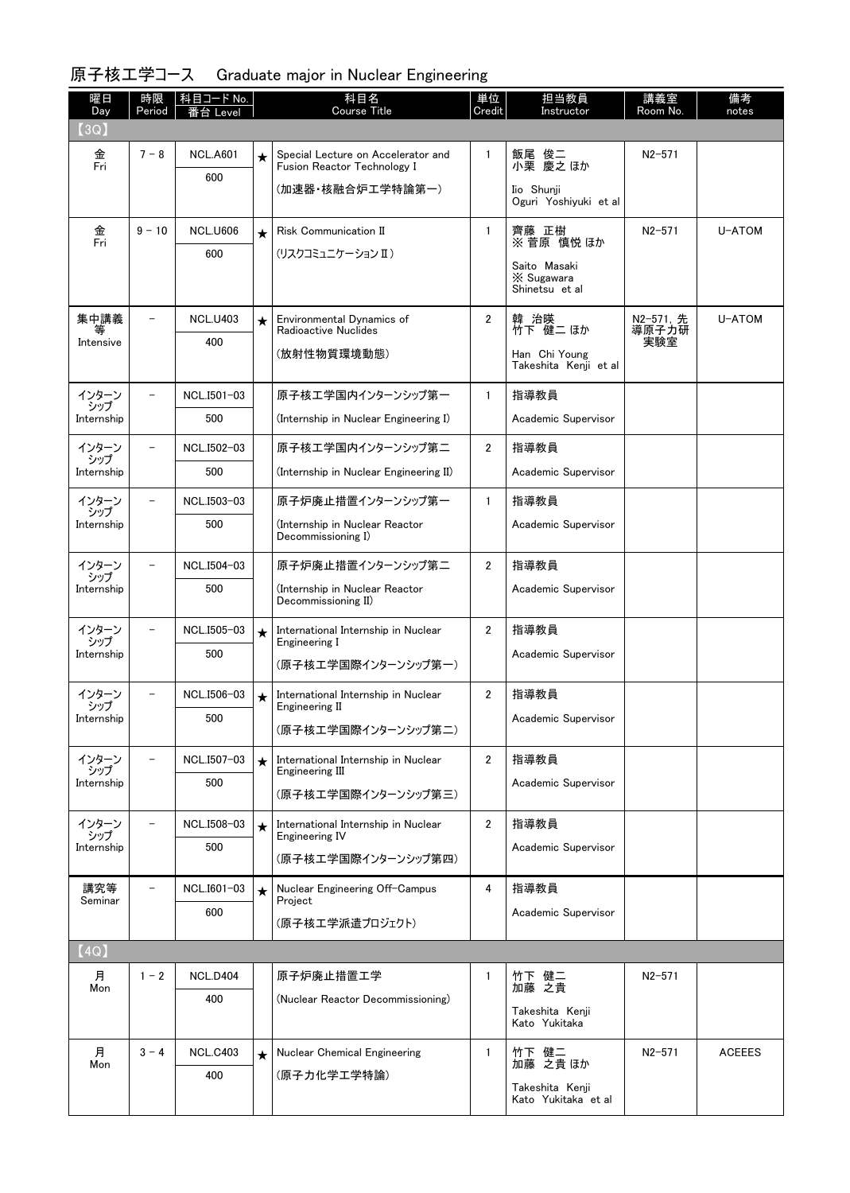| 曜日<br>Day                  | 時限<br>Period             | │科目コード No.<br>Level |         | 科目名<br>Course Title                                               | 単位<br>Credit         | 担当教員<br>Instructor                     | 講義室<br>Room No.    | 備考<br>notes   |
|----------------------------|--------------------------|---------------------|---------|-------------------------------------------------------------------|----------------------|----------------------------------------|--------------------|---------------|
| (3Q)                       |                          |                     |         |                                                                   |                      |                                        |                    |               |
| 金<br>Fri                   | $7 - 8$                  | <b>NCL.A601</b>     | $\star$ | Special Lecture on Accelerator and<br>Fusion Reactor Technology I | $\mathbf{1}$         | 飯尾 俊二<br>小栗 慶之ほか                       | $N2 - 571$         |               |
|                            |                          | 600                 |         | (加速器・核融合炉工学特論第一)                                                  |                      | Iio Shunji                             |                    |               |
|                            |                          |                     |         |                                                                   |                      | Oguri Yoshiyuki et al                  |                    |               |
| 金<br>Fri                   | $9 - 10$                 | <b>NCL.U606</b>     | $\star$ | <b>Risk Communication II</b>                                      | $\mathbf{1}$         | 齊藤 正樹<br>※ 菅原 慎悦 ほか                    | $N2 - 571$         | U-ATOM        |
|                            |                          | 600                 |         | (リスクコミュニケーション II)                                                 |                      | Saito Masaki                           |                    |               |
|                            |                          |                     |         |                                                                   |                      | X Sugawara<br>Shinetsu et al           |                    |               |
| 集中講義<br>等                  |                          | <b>NCL.U403</b>     | $\star$ | Environmental Dynamics of<br>Radioactive Nuclides                 | $\overline{2}$       | 韓 治暎<br>竹下 健二 ほか                       | N2-571, 先<br>導原子力研 | U-ATOM        |
| Intensive                  |                          | 400                 |         | (放射性物質環境動態)                                                       |                      | Han Chi Young                          | 実験室                |               |
|                            |                          |                     |         |                                                                   |                      | Takeshita Kenji et al                  |                    |               |
| インターン<br>シップ               |                          | NCL.I501-03         |         | 原子核工学国内インターンシップ第一                                                 | $\mathbf{1}$         | 指導教員                                   |                    |               |
| Internship                 |                          | 500                 |         | (Internship in Nuclear Engineering I)                             |                      | Academic Supervisor                    |                    |               |
| インターン<br>シップ               |                          | NCL.I502-03         |         | 原子核エ学国内インターンシップ第二                                                 | $\overline{2}$       | 指導教員                                   |                    |               |
| Internship                 |                          | 500                 |         | (Internship in Nuclear Engineering II)                            |                      | Academic Supervisor                    |                    |               |
| インターン<br>シップ               | $\overline{\phantom{0}}$ | NCL.I503-03         |         | 原子炉廃止措置インターンシップ第一                                                 | $\mathbf{1}$         | 指導教員                                   |                    |               |
| Internship                 |                          | 500                 |         | (Internship in Nuclear Reactor<br>Decommissioning I)              |                      | Academic Supervisor                    |                    |               |
| インターン<br>シップ               |                          | NCL.I504-03         |         | 原子炉廃止措置インターンシップ第二                                                 | $\overline{2}$       | 指導教員                                   |                    |               |
| Internship                 |                          | 500                 |         | (Internship in Nuclear Reactor<br>Decommissioning II)             |                      | Academic Supervisor                    |                    |               |
| インターン<br>シップ               |                          | NCL.I505-03         | $\star$ | International Internship in Nuclear<br>Engineering I              | $\mathbf{2}^{\circ}$ | 指導教員                                   |                    |               |
| Internship                 |                          | 500                 |         | (原子核工学国際インターンシップ第一)                                               |                      | Academic Supervisor                    |                    |               |
| インターン                      |                          | NCL.I506-03         | $\star$ | International Internship in Nuclear                               | $\mathbf{2}^{\circ}$ | 指導教員                                   |                    |               |
| シップ<br>Internship          |                          | 500                 |         | Engineering II<br>(原子核エ学国際インターンシップ第二)                             |                      | Academic Supervisor                    |                    |               |
|                            |                          |                     |         |                                                                   |                      |                                        |                    |               |
| インターン<br>シップ<br>Internship |                          | NCL.I507-03<br>500  | $\star$ | International Internship in Nuclear<br>Engineering III            | $\overline{2}$       | 指導教員<br>Academic Supervisor            |                    |               |
|                            |                          |                     |         | (原子核工学国際インターンシップ第三)                                               |                      |                                        |                    |               |
| インターン<br>シップ               | $\overline{\phantom{0}}$ | NCL.I508-03         | $\star$ | International Internship in Nuclear<br>Engineering IV             | $\overline{2}$       | 指導教員                                   |                    |               |
| Internship                 |                          | 500                 |         | (原子核工学国際インターンシップ第四)                                               |                      | Academic Supervisor                    |                    |               |
| 講究等<br>Seminar             |                          | NCL.I601-03         | $\star$ | Nuclear Engineering Off-Campus<br>Project                         | 4                    | 指導教員                                   |                    |               |
|                            |                          | 600                 |         | (原子核工学派遣プロジェクト)                                                   |                      | Academic Supervisor                    |                    |               |
| (4Q)                       |                          |                     |         |                                                                   |                      |                                        |                    |               |
| 月                          | $1 - 2$                  | <b>NCL.D404</b>     |         | 原子炉廃止措置工学                                                         | $\mathbf{1}$         | 竹下 健二                                  | $N2 - 571$         |               |
| Mon                        |                          | 400                 |         | (Nuclear Reactor Decommissioning)                                 |                      | 加藤 之貴<br>Takeshita Kenji               |                    |               |
|                            |                          |                     |         |                                                                   |                      | Kato Yukitaka                          |                    |               |
| 月<br>Mon                   | $3 - 4$                  | <b>NCL.C403</b>     | $\star$ | <b>Nuclear Chemical Engineering</b>                               | $\mathbf{1}$         | 竹下 健二<br>加藤 之貴ほか                       | $N2 - 571$         | <b>ACEEES</b> |
|                            |                          | 400                 |         | (原子力化学工学特論)                                                       |                      | Takeshita Kenji<br>Kato Yukitaka et al |                    |               |
|                            |                          |                     |         |                                                                   |                      |                                        |                    |               |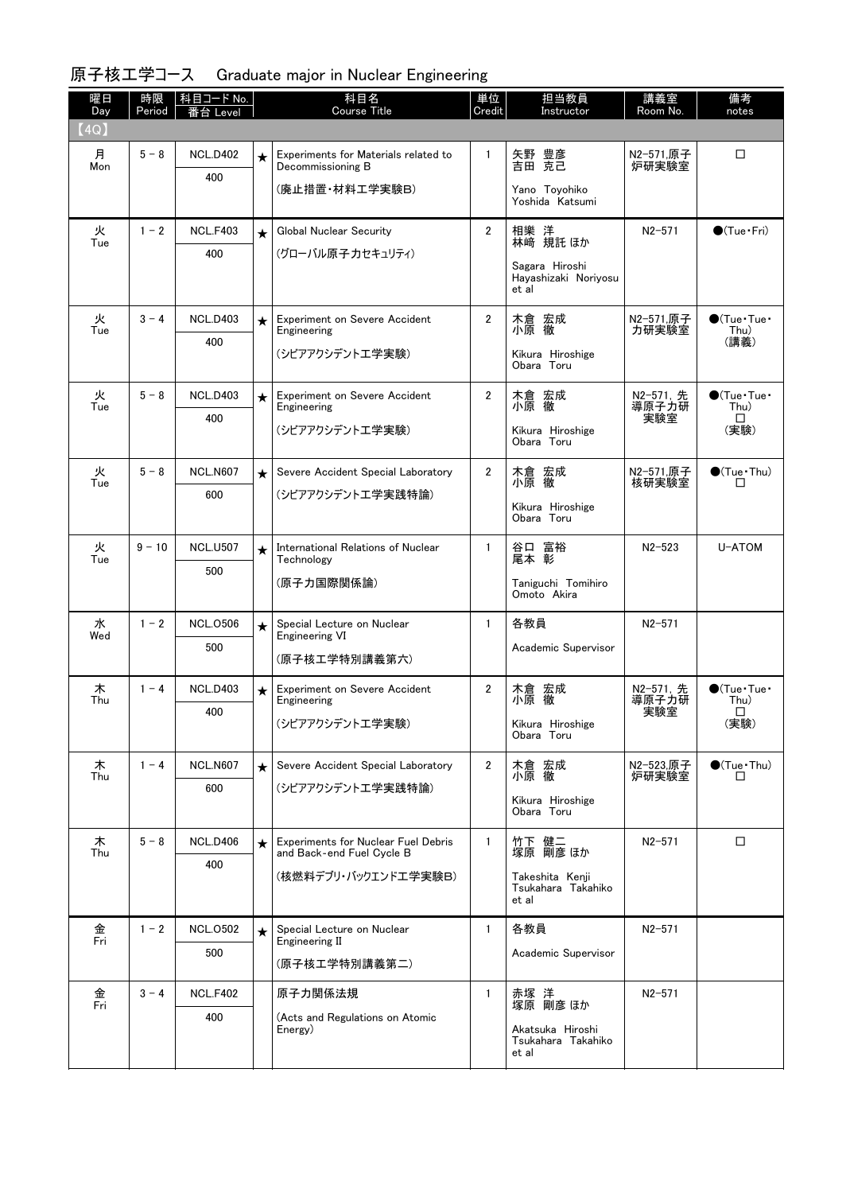| 曜日<br>Day       | 時限<br>Period | │科目コード No. │<br>Level |         | 科目名<br><b>Course Title</b>                                              | 単位<br>Credit   | 担当教員<br>Instructor                              | 講義室<br>Room No.    | 備考<br>notes                        |
|-----------------|--------------|-----------------------|---------|-------------------------------------------------------------------------|----------------|-------------------------------------------------|--------------------|------------------------------------|
| $\texttt{[4Q]}$ |              |                       |         |                                                                         |                |                                                 |                    |                                    |
| 月<br>Mon        | $5 - 8$      | <b>NCL.D402</b>       | $\star$ | Experiments for Materials related to<br>Decommissioning B               | $\mathbf{1}$   | 矢野 豊彦<br>吉田 克己                                  | N2-571,原子<br>炉研実験室 | $\Box$                             |
|                 |              | 400                   |         | (廃止措置·材料工学実験B)                                                          |                | Yano Toyohiko<br>Yoshida Katsumi                |                    |                                    |
| 火               | $1 - 2$      | <b>NCL.F403</b>       | $\star$ | Global Nuclear Security                                                 | $\overline{2}$ | 相樂 洋<br>林﨑 規託ほか                                 | $N2 - 571$         | $\bigcirc$ (Tue · Fri)             |
| Tue             |              | 400                   |         | (グローバル原子力セキュリティ)                                                        |                | Sagara Hiroshi                                  |                    |                                    |
|                 |              |                       |         |                                                                         |                | Hayashizaki Noriyosu<br>et al                   |                    |                                    |
| 火<br>Tue        | $3 - 4$      | <b>NCL.D403</b>       | $\star$ | <b>Experiment on Severe Accident</b><br>Engineering                     | $\overline{2}$ | 木倉 宏成<br>小原 徹                                   | N2-571,原子<br>力研実験室 | $\bullet$ (Tue · Tue ·<br>Thu)     |
|                 |              | 400                   |         | (シビアアクシデントエ学実験)                                                         |                | Kikura Hiroshige<br>Obara Toru                  |                    | (講義)                               |
| 火<br>Tue        | $5 - 8$      | <b>NCL.D403</b>       | $\star$ | <b>Experiment on Severe Accident</b><br>Engineering                     | $\overline{2}$ | 木倉 宏成<br>小原 徹                                   | N2-571, 先<br>導原子力研 | $\bigcirc$ (Tue · Tue ·<br>Thu)    |
|                 |              | 400                   |         | (シビアアクシデントエ学実験)                                                         |                | Kikura Hiroshige                                | 実験室                | $\Box$<br>(実験)                     |
|                 |              |                       |         |                                                                         |                | Obara Toru                                      |                    |                                    |
| 火<br>Tue        | $5 - 8$      | <b>NCL.N607</b>       | $\star$ | Severe Accident Special Laboratory                                      | $\overline{2}$ | 木倉 宏成<br>小原 徹                                   | N2-571,原子<br>核研実験室 | $\bigcirc$ (Tue · Thu)<br>$\Box$   |
|                 |              | 600                   |         | (シビアアクシデントエ学実践特論)                                                       |                | Kikura Hiroshige                                |                    |                                    |
|                 |              |                       |         |                                                                         |                | Obara Toru                                      |                    |                                    |
| 火<br>Tue        | $9 - 10$     | <b>NCL.U507</b>       | $\star$ | International Relations of Nuclear<br>Technology                        | $\mathbf{1}$   | 谷口 富裕<br>尾本 彰                                   | $N2 - 523$         | U-ATOM                             |
|                 |              | 500                   |         | (原子力国際関係論)                                                              |                | Taniguchi Tomihiro<br>Omoto Akira               |                    |                                    |
| 水               | $1 - 2$      | <b>NCL.0506</b>       | $\star$ | Special Lecture on Nuclear                                              | $\mathbf{1}$   | 各教員                                             | $N2 - 571$         |                                    |
| Wed             |              | 500                   |         | <b>Engineering VI</b><br>(原子核工学特別講義第六)                                  |                | Academic Supervisor                             |                    |                                    |
| 木               | $1 - 4$      | <b>NCL.D403</b>       | $\star$ | Experiment on Severe Accident                                           | $\mathbf{2}$   | 木倉 宏成                                           | N2-571, 先          | $\bullet$ (Tue $\cdot$ Tue $\cdot$ |
| Thu             |              | 400                   |         | Engineering                                                             |                | 小原 徹                                            | 導原子力研<br>実験室       | Thu)<br>□                          |
|                 |              |                       |         | (シビアアクシデントエ学実験)                                                         |                | Kikura Hiroshige<br>Obara Toru                  |                    | (実験)                               |
| 木<br>Thu        | $1 - 4$      | <b>NCL.N607</b>       | $\star$ | Severe Accident Special Laboratory                                      | $\overline{2}$ | 木倉 宏成<br>小原 徹                                   | N2-523,原子<br>炉研実験室 | $\bullet$ (Tue · Thu)<br>□         |
|                 |              | 600                   |         | (シビアアクシデントエ学実践特論)                                                       |                | Kikura Hiroshige                                |                    |                                    |
|                 |              |                       |         |                                                                         |                | Obara Toru                                      |                    |                                    |
| 木<br>Thu        | $5 - 8$      | <b>NCL.D406</b>       | $\star$ | <b>Experiments for Nuclear Fuel Debris</b><br>and Back-end Fuel Cycle B | $\mathbf{1}$   | 竹下 健二<br>塚原 剛彦 ほか                               | $N2 - 571$         | □                                  |
|                 |              | 400                   |         | (核燃料デブリ・バックエンドエ学実験B)                                                    |                | Takeshita Kenji                                 |                    |                                    |
|                 |              |                       |         |                                                                         |                | Tsukahara Takahiko<br>et al                     |                    |                                    |
| 金<br>Fri        | $1 - 2$      | <b>NCL.0502</b>       | $\star$ | Special Lecture on Nuclear<br>Engineering II                            | $\mathbf{1}$   | 各教員                                             | $N2 - 571$         |                                    |
|                 |              | 500                   |         | (原子核工学特別講義第二)                                                           |                | Academic Supervisor                             |                    |                                    |
|                 | $3 - 4$      | <b>NCL.F402</b>       |         | 原子力関係法規                                                                 | $\mathbf{1}$   |                                                 | $N2 - 571$         |                                    |
| 金<br>Fri        |              | 400                   |         | (Acts and Regulations on Atomic                                         |                | 赤塚 洋<br>塚原 剛彦ほか                                 |                    |                                    |
|                 |              |                       |         | Energy)                                                                 |                | Akatsuka Hiroshi<br>Tsukahara Takahiko<br>et al |                    |                                    |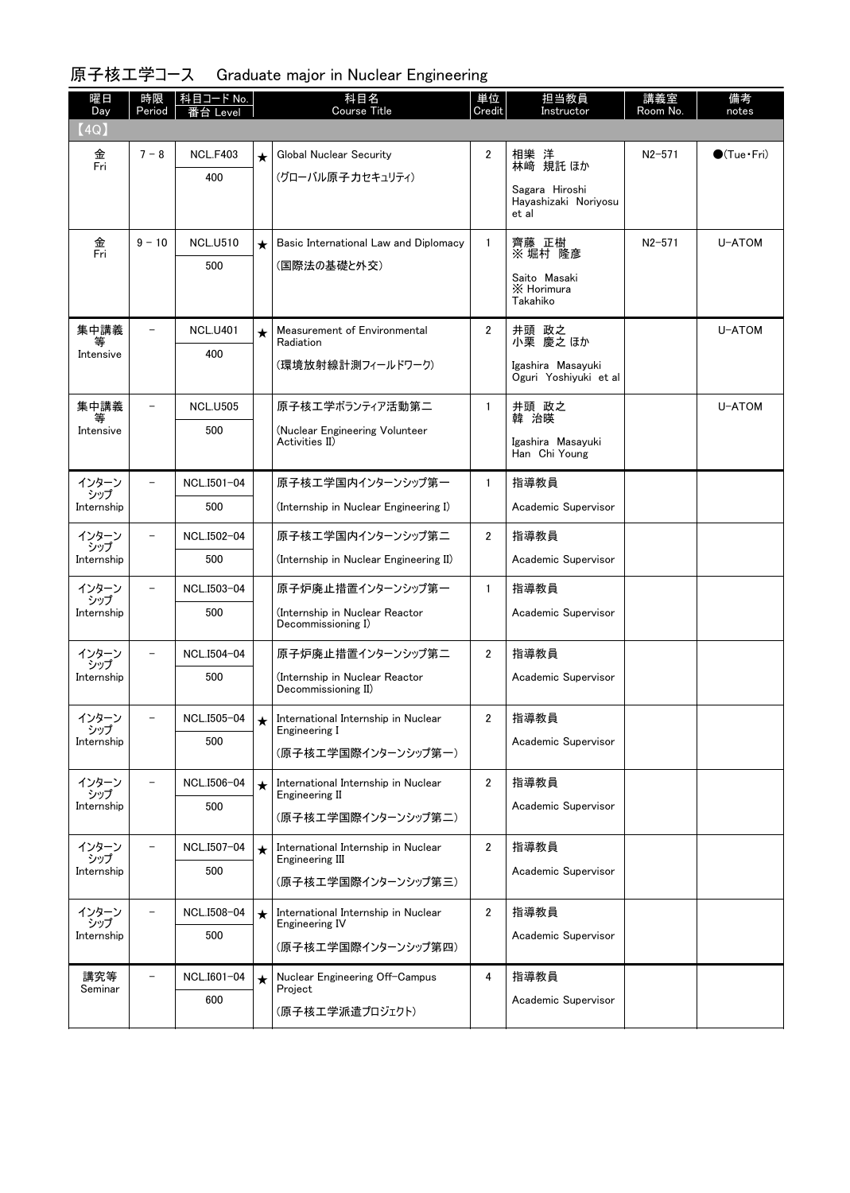| 曜日<br>Day      | 時限<br>Period             | │科目コード No.<br>Level |         | 科目名<br>Course Title                                             | 単位<br>Credit   | 担当教員<br>Instructor                              | 講義室<br>Room No. | 備考<br>notes            |
|----------------|--------------------------|---------------------|---------|-----------------------------------------------------------------|----------------|-------------------------------------------------|-----------------|------------------------|
| (4Q)           |                          |                     |         |                                                                 |                |                                                 |                 |                        |
| 金<br>Fri       | $7 - 8$                  | <b>NCL.F403</b>     | $\star$ | Global Nuclear Security                                         | 2              | 相樂 洋<br>林﨑 規託ほか                                 | $N2 - 571$      | $\bigcirc$ (Tue · Fri) |
|                |                          | 400                 |         | (グローバル原子力セキュリティ)                                                |                | Sagara Hiroshi<br>Hayashizaki Noriyosu<br>et al |                 |                        |
| 金<br>Fri       | $9 - 10$                 | <b>NCL.U510</b>     | $\star$ | Basic International Law and Diplomacy                           | $\mathbf{1}$   | 齊藤 正樹<br>※堀村 隆彦                                 | $N2 - 571$      | U-ATOM                 |
|                |                          | 500                 |         | (国際法の基礎と外交)                                                     |                | Saito Masaki<br>X Horimura<br>Takahiko          |                 |                        |
| 集中講義<br>等      | $\overline{\phantom{a}}$ | <b>NCL.U401</b>     | $\star$ | Measurement of Environmental<br>Radiation                       | $\mathbf{2}$   | 井頭 政之<br>小栗 慶之ほか                                |                 | U-ATOM                 |
| Intensive      |                          | 400                 |         | (環境放射線計測フィールドワーク)                                               |                | Igashira Masayuki<br>Oguri Yoshiyuki et al      |                 |                        |
| 集中講義<br>等      | -                        | <b>NCL.U505</b>     |         | 原子核エ学ボランティア活動第二                                                 | $\mathbf{1}$   | 井頭 政之<br>韓 治暎                                   |                 | U-ATOM                 |
| Intensive      |                          | 500                 |         | (Nuclear Engineering Volunteer<br>Activities II)                |                | Igashira Masayuki<br>Han Chi Young              |                 |                        |
| インターン<br>シップ   | $\overline{\phantom{0}}$ | NCL.I501-04         |         | 原子核工学国内インターンシップ第一                                               | $\mathbf{1}$   | 指導教員                                            |                 |                        |
| Internship     |                          | 500                 |         | (Internship in Nuclear Engineering I)                           |                | Academic Supervisor                             |                 |                        |
| インターン<br>シップ   | $\overline{\phantom{0}}$ | NCL.I502-04         |         | 原子核エ学国内インターンシップ第二                                               | $\overline{2}$ | 指導教員                                            |                 |                        |
| Internship     |                          | 500                 |         | (Internship in Nuclear Engineering II)                          |                | Academic Supervisor                             |                 |                        |
| インターン<br>・シップ  |                          | NCL.I503-04         |         | 原子炉廃止措置インターンシップ第一                                               | $\mathbf{1}$   | 指導教員                                            |                 |                        |
| Internship     |                          | 500                 |         | (Internship in Nuclear Reactor<br>Decommissioning I)            |                | Academic Supervisor                             |                 |                        |
| インターン<br>シップ   | $\overline{\phantom{0}}$ | NCL.I504-04         |         | 原子炉廃止措置インターンシップ第二                                               | $\mathbf{2}$   | 指導教員                                            |                 |                        |
| Internship     |                          | 500                 |         | (Internship in Nuclear Reactor<br>Decommissioning II)           |                | Academic Supervisor                             |                 |                        |
| インターン<br>シップ   |                          | NCL.I505-04         |         | $\bigstar$ International Internship in Nuclear<br>Engineering I | 2              | 指導教員                                            |                 |                        |
| Internship     |                          | 500                 |         | (原子核工学国際インターンシップ第一)                                             |                | Academic Supervisor                             |                 |                        |
| インターン<br>シップ   |                          | NCL.I506-04         | $\star$ | International Internship in Nuclear<br>Engineering II           | $\overline{2}$ | 指導教員                                            |                 |                        |
| Internship     |                          | 500                 |         | (原子核工学国際インターンシップ第二)                                             |                | Academic Supervisor                             |                 |                        |
| インターン<br>シップ   |                          | NCL.I507-04         | $\star$ | International Internship in Nuclear<br>Engineering III          | 2              | 指導教員                                            |                 |                        |
| Internship     |                          | 500                 |         | (原子核工学国際インターンシップ第三)                                             |                | Academic Supervisor                             |                 |                        |
| インターン<br>シップ   |                          | NCL.I508-04         | $\star$ | International Internship in Nuclear<br>Engineering IV           | $\overline{2}$ | 指導教員                                            |                 |                        |
| Internship     |                          | 500                 |         | (原子核工学国際インターンシップ第四)                                             |                | Academic Supervisor                             |                 |                        |
| 講究等<br>Seminar |                          | NCL.I601-04         | $\star$ | Nuclear Engineering Off-Campus<br>Project                       | 4              | 指導教員                                            |                 |                        |
|                |                          | 600                 |         | (原子核エ学派遣プロジェクト)                                                 |                | Academic Supervisor                             |                 |                        |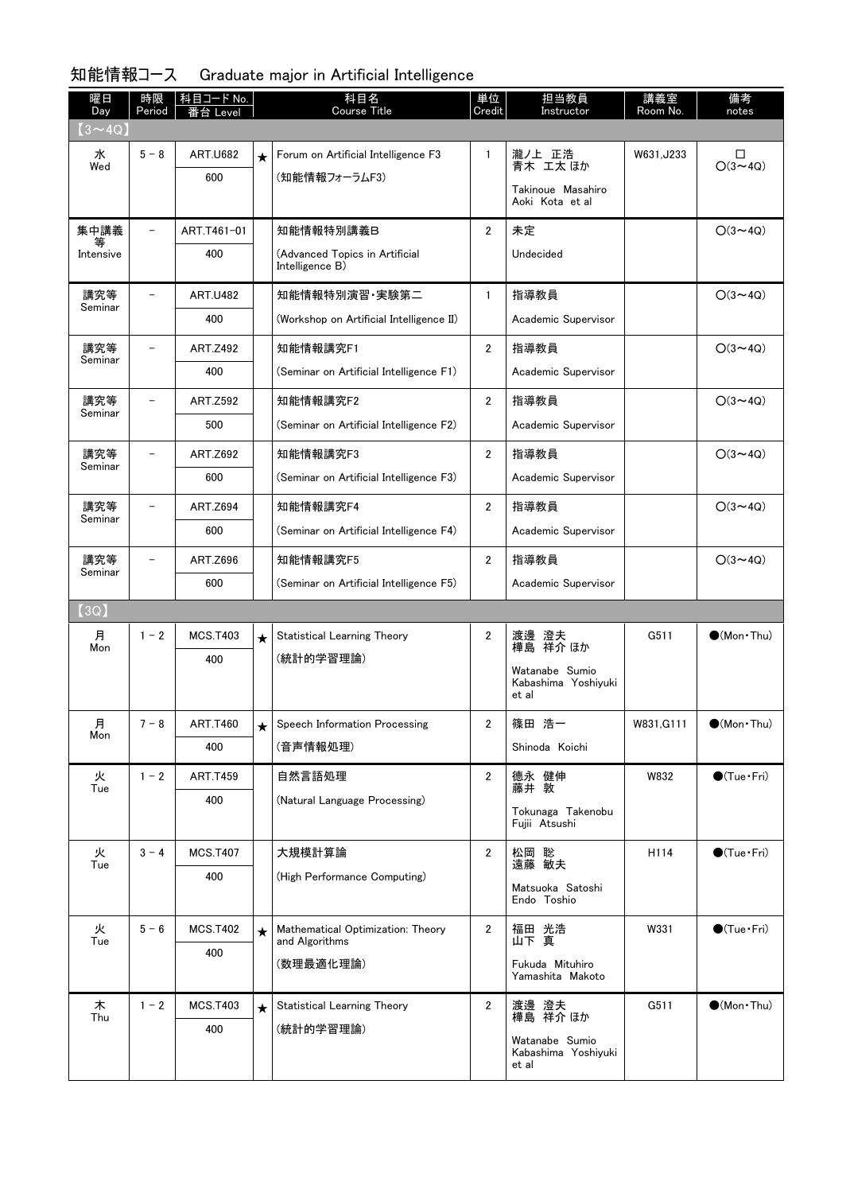#### 知能情報コース Graduate major in Artificial Intelligence

| 曜日<br>Day      | 時限<br>Period             | │科目コード No.      |         | 科目名<br><b>Course Title</b>                          | 単位<br>Credit   | 担当教員<br>Instructor                             | 講義室<br>Room No. | 備考<br>notes            |
|----------------|--------------------------|-----------------|---------|-----------------------------------------------------|----------------|------------------------------------------------|-----------------|------------------------|
| $(3 \sim 4Q)$  |                          | 台 Level         |         |                                                     |                |                                                |                 |                        |
| 水              | $5 - 8$                  | <b>ART.U682</b> | $\star$ | Forum on Artificial Intelligence F3                 | $\mathbf{1}$   | 瀧ノ上 正浩<br>青木 工太 ほか                             | W631, J233      | □                      |
| Wed            |                          | 600             |         | (知能情報フォーラムF3)                                       |                |                                                |                 | $O(3 \sim 4Q)$         |
|                |                          |                 |         |                                                     |                | Takinoue Masahiro<br>Aoki Kota et al           |                 |                        |
| 集中講義<br>等      | $\overline{\phantom{0}}$ | ART.T461-01     |         | 知能情報特別講義B                                           | $\overline{2}$ | 未定                                             |                 | $O(3 \sim 4Q)$         |
| Intensive      |                          | 400             |         | (Advanced Topics in Artificial<br>Intelligence B)   |                | Undecided                                      |                 |                        |
| 講究等<br>Seminar |                          | <b>ART.U482</b> |         | 知能情報特別演習 実験第二                                       | $\mathbf{1}$   | 指導教員                                           |                 | $O(3 \sim 4Q)$         |
|                |                          | 400             |         | (Workshop on Artificial Intelligence II)            |                | Academic Supervisor                            |                 |                        |
| 講究等<br>Seminar |                          | <b>ART.Z492</b> |         | 知能情報講究F1                                            | $\overline{2}$ | 指導教員                                           |                 | $O(3 \sim 4Q)$         |
|                |                          | 400             |         | (Seminar on Artificial Intelligence F1)             |                | Academic Supervisor                            |                 |                        |
| 講究等<br>Seminar | $\overline{\phantom{0}}$ | <b>ART.Z592</b> |         | 知能情報講究F2                                            | $\overline{2}$ | 指導教員                                           |                 | $O(3 \sim 4Q)$         |
|                |                          | 500             |         | (Seminar on Artificial Intelligence F2)             |                | Academic Supervisor                            |                 |                        |
| 講究等<br>Seminar |                          | ART.Z692        |         | 知能情報講究F3                                            | $\overline{2}$ | 指導教員                                           |                 | $O(3 \sim 4Q)$         |
|                |                          | 600             |         | (Seminar on Artificial Intelligence F3)             |                | Academic Supervisor                            |                 |                        |
| 講究等<br>Seminar |                          | <b>ART.Z694</b> |         | 知能情報講究F4                                            | 2              | 指導教員                                           |                 | $O(3 \sim 4Q)$         |
|                |                          | 600             |         | (Seminar on Artificial Intelligence F4)             |                | Academic Supervisor                            |                 |                        |
| 講究等<br>Seminar |                          | ART.Z696        |         | 知能情報講究F5                                            | 2              | 指導教員                                           |                 | $O(3 \sim 4Q)$         |
|                |                          | 600             |         | (Seminar on Artificial Intelligence F5)             |                | Academic Supervisor                            |                 |                        |
| (3Q)           |                          |                 |         |                                                     |                |                                                |                 |                        |
| 月<br>Mon       | $1 - 2$                  | <b>MCS.T403</b> | $\star$ | Statistical Learning Theory                         | 2              | 澄夫<br>渡邊<br>祥介 ほか<br>樺島                        | G511            | $\bigcirc$ (Mon Thu)   |
|                |                          | 400             |         | (統計的学習理論)                                           |                | Watanabe Sumio                                 |                 |                        |
|                |                          |                 |         |                                                     |                | Kabashima Yoshiyuki<br>et al                   |                 |                        |
| 月<br>Mon       | $7 - 8$                  | <b>ART.T460</b> |         | Speech Information Processing                       | 2              | 篠田 浩一                                          | W831, G111      | $\bullet$ (Mon · Thu)  |
|                |                          | 400             |         | (音声情報処理)                                            |                | Shinoda Koichi                                 |                 |                        |
| 火<br>Tue       | $1 - 2$                  | <b>ART.T459</b> |         | 自然言語処理                                              | $\overline{2}$ | 德永 健伸<br>藤井 敦                                  | W832            | $\bullet$ (Tue · Fri)  |
|                |                          | 400             |         | (Natural Language Processing)                       |                | Tokunaga Takenobu                              |                 |                        |
|                |                          |                 |         |                                                     |                | Fujii Atsushi                                  |                 |                        |
| 火<br>Tue       | $3 - 4$                  | <b>MCS.T407</b> |         | 大規模計算論                                              | $\overline{2}$ | 松岡 聡<br>遠藤 敏夫                                  | H114            | $\bullet$ (Tue · Fri)  |
|                |                          | 400             |         | (High Performance Computing)                        |                | Matsuoka Satoshi                               |                 |                        |
|                |                          |                 |         |                                                     |                | Endo Toshio                                    |                 |                        |
| 火<br>Tue       | $5 - 6$                  | <b>MCS.T402</b> | $\star$ | Mathematical Optimization: Theory<br>and Algorithms | $\mathbf{2}$   | 福田 光浩<br>山下 真                                  | W331            | $\bigcirc$ (Tue · Fri) |
|                |                          | 400             |         | (数理最適化理論)                                           |                | Fukuda Mituhiro<br>Yamashita Makoto            |                 |                        |
| 木<br>Thu       | $1 - 2$                  | <b>MCS.T403</b> | $\star$ | Statistical Learning Theory                         | $\overline{2}$ | 渡邊 澄夫<br>樺島 祥介 ほか                              | G511            | $\bullet$ (Mon · Thu)  |
|                |                          | 400             |         | (統計的学習理論)                                           |                | Watanabe Sumio<br>Kabashima Yoshiyuki<br>et al |                 |                        |
|                |                          |                 |         |                                                     |                |                                                |                 |                        |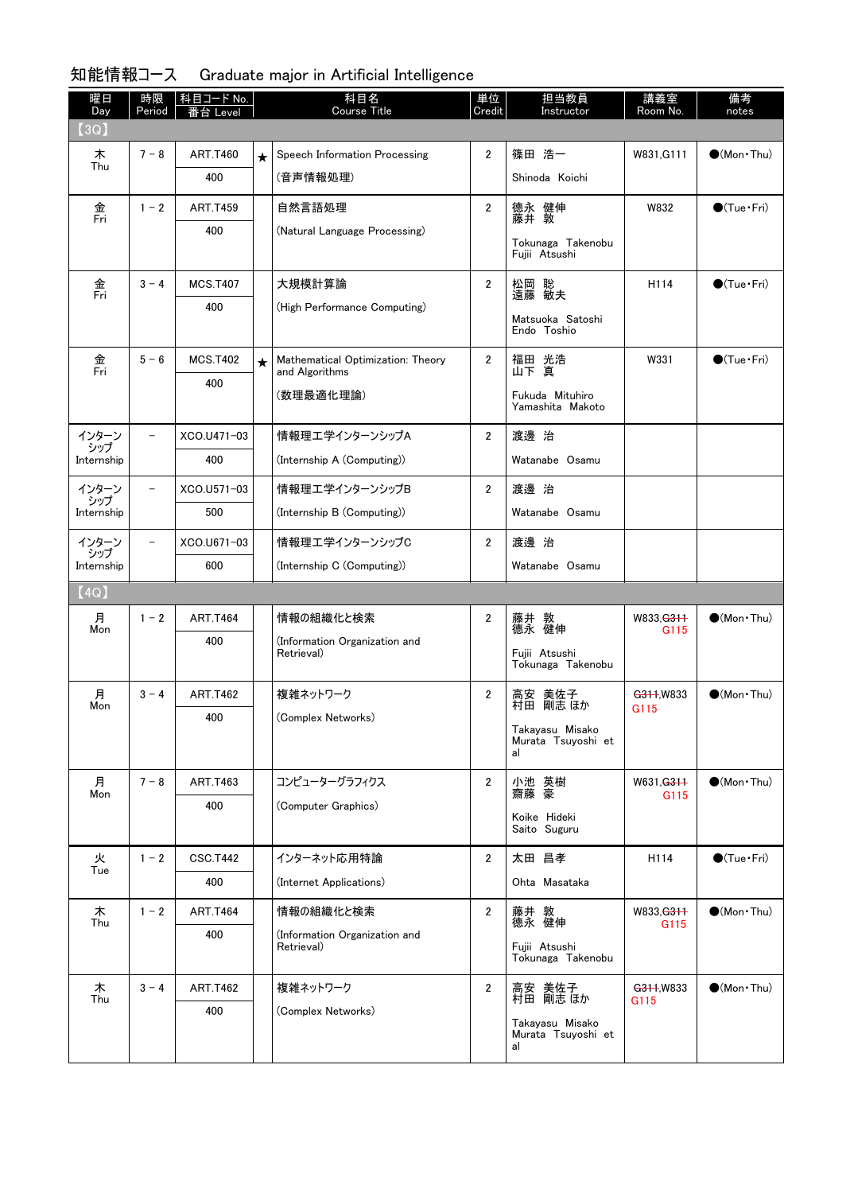#### 曜日 Day 時限 |科目コード No. | ファインの 科目名 Period 和目名<br>Course Title 単位 Credit 担当教員 Instructor 講義室 Room No. 備考<br>notes 番台 Level 【3Q】 ★ Speech Information Processing | 2 | 篠田 浩一 | W831,G111 | ●(Mon•Thu) (音声情報処理) 木 Thu  $7 - 8$  ART.T460 400 Shinoda Koichi 自然言語処理 (Natural Language Processing) 金 Fri  $1 - 2$  ART.T459 400 2 |德永 健伸 | W832 | ●(Tue・Fri) 藤井 敦 Tokunaga Takenobu Fujii Atsushi 大規模計算論 (High Performance Computing) 金 Fri  $3 - 4$  MCS T407 400 2 |松岡 聡 | H114 | ●(Tue・Fri) 遠藤 敏夫 Matsuoka Satoshi Endo Toshio ★ Mathematical Optimization: Theory | 2 | 福<u>田</u> 光浩 | W331 | ●(Tue Fri) and Algorithms (数理最適化理論) 金 Fri  $5 - 6$  MCS.T402 400 福田 光浩<br>山下 真 Fukuda Mituhiro Yamashita Makoto 情報理工学インターンシップA (Internship A (Computing)) インターン シップ Internship  $-$  XCO.U471-03 400 2 渡邊 治 Watanabe Osamu 情報理工学インターンシップB (Internship B (Computing)) インターン シップ Internship - XCO.U571-03 500 2 渡邊 治 Watanabe Osamu 情報理工学インターンシップC (Internship C (Computing)) インターン シップ Internship - XCO.U671-03 600 2 渡邊 治 Watanabe Osamu 【4Q】 情報の組織化と検索 (Information Organization and Retrieval) 月 Mon  $1 - 2$  ART.T464 400 2 | 藤井 敦 | W833,<del>G311</del> | ●(Mon•Thu) 藤井 敦<br>德永 健伸 Fujii Atsushi Tokunaga Takenobu 複雑ネットワーク (Complex Networks) 月 Mon  $3 - 4$  ART.T462 400 2 |高安 美佐子 | <del>G311</del>,W833 | ●(Mon•Thu) 村田 剛志 ほか Takayasu Misako Murata Tsuyoshi et al コンピューターグラフィクス (Computer Graphics) 月 Mon  $7 - 8$  ART.T463 400 2 小池 英樹 | W631,<del>G311</del> | ●(Mon•Thu) 小池 英樹<br>齋藤 豪 Koike Hideki Saito Suguru インターネット応用特論 (Internet Applications) 火 Tue  $1 - 2$  CSC.T442 400 2 | 太田 昌孝 | H114 | ●(Tue Fri) Ohta Masataka 情報の組織化と検索 (Information Organization and Retrieval) 木 Thu  $1 - 2$  ART.T464 400 2 | 藤井 敦 | W833,<del>G311</del> | ●(Mon•Thu) 德永 健伸 Fujii Atsushi Tokunaga Takenobu 複雑ネットワーク (Complex Networks) 木 Thu  $3 - 4$  ART.T462 400 2 |高安 美佐子 | <del>G311</del>,W833 | ●(Mon•Thu) 村田 剛志 ほか Takayasu Misako Murata Tsuyoshi et al G115 G115 G115 G115 G115

#### 知能情報コース Graduate major in Artificial Intelligence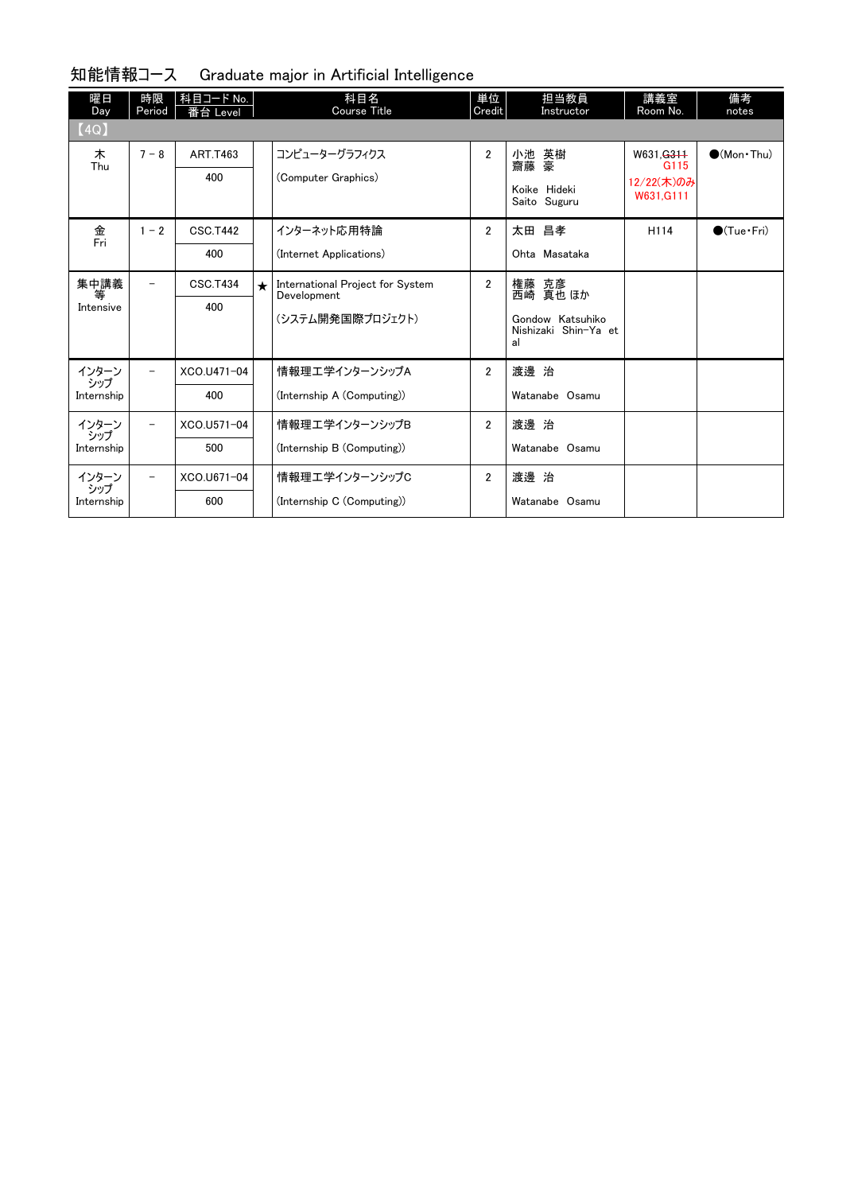| 曜日<br>Day    | 時限<br>Period             | 科目コード No.<br>番台 Level |            | 科目名<br><b>Course Title</b>                      | 単位<br>Credit   | 担当教員<br>Instructor                             | 講義室<br>Room No.                           | 備考<br>notes            |
|--------------|--------------------------|-----------------------|------------|-------------------------------------------------|----------------|------------------------------------------------|-------------------------------------------|------------------------|
| [4Q]         |                          |                       |            |                                                 |                |                                                |                                           |                        |
| 木<br>Thu     | $7 - 8$                  | <b>ART.T463</b>       |            | コンピューターグラフィクス                                   | $\overline{2}$ | 小池 英樹<br>齋藤 豪                                  | W631. <del>G311</del><br>G <sub>115</sub> | $\bigcirc$ (Mon · Thu) |
|              |                          | 400                   |            | (Computer Graphics)                             |                |                                                | 12/22(木)のみ                                |                        |
|              |                          |                       |            |                                                 |                | Koike Hideki<br>Saito Suguru                   | W631.G111                                 |                        |
| 金<br>Fri     | $1 - 2$                  | <b>CSC.T442</b>       |            | インターネット応用特論                                     | $\overline{2}$ | 太田 昌孝                                          | H114                                      | $\bigcirc$ (Tue·Fri)   |
|              |                          | 400                   |            | (Internet Applications)                         |                | Ohta Masataka                                  |                                           |                        |
| 集中講義<br>等    | $\overline{\phantom{0}}$ | <b>CSC.T434</b>       | $\bigstar$ | International Project for System<br>Development | $\overline{2}$ | 権藤 克彦<br>西崎 真也 ほか                              |                                           |                        |
| Intensive    |                          | 400                   |            |                                                 |                |                                                |                                           |                        |
|              |                          |                       |            | (システム開発国際プロジェクト)                                |                | Gondow Katsuhiko<br>Nishizaki Shin-Ya et<br>al |                                           |                        |
| インターン<br>シップ | $\overline{\phantom{0}}$ | XCO.U471-04           |            | 情報理エ学インターンシップA                                  | $\overline{2}$ | 渡邊 治                                           |                                           |                        |
| Internship   |                          | 400                   |            | (Internship A (Computing))                      |                | Watanabe Osamu                                 |                                           |                        |
| インターン<br>シップ | $\overline{\phantom{m}}$ | XCO.U571-04           |            | 情報理工学インターンシップB                                  | $\overline{2}$ | 渡邊 治                                           |                                           |                        |
| Internship   |                          | 500                   |            | (Internship B (Computing))                      |                | Watanabe Osamu                                 |                                           |                        |
| インターン<br>シップ | $\overline{\phantom{a}}$ | XCO.U671-04           |            | 情報理工学インターンシップC                                  | $\overline{2}$ | 渡邊 治                                           |                                           |                        |
| Internship   |                          | 600                   |            | (Internship C (Computing))                      |                | Watanabe Osamu                                 |                                           |                        |

#### 知能情報コース Graduate major in Artificial Intelligence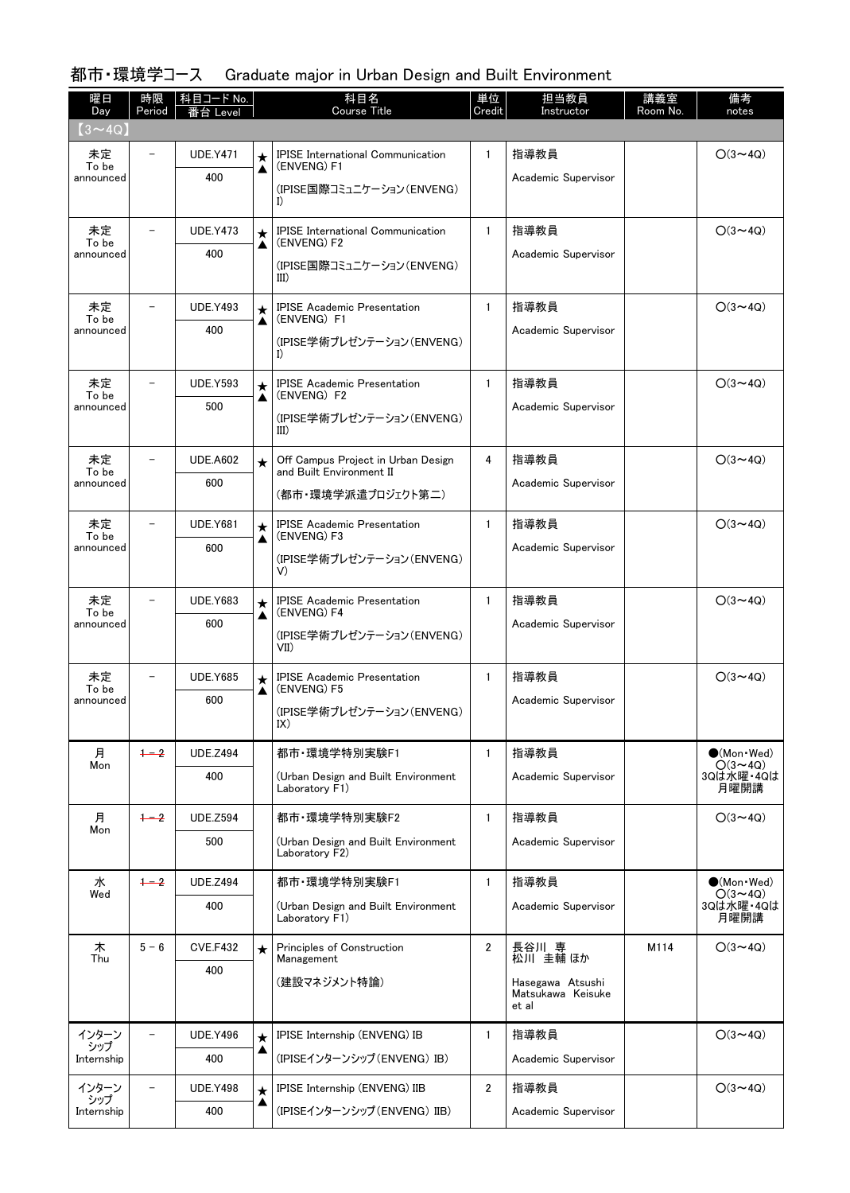| 曜日<br>Day                     | 時限<br>Period             | 科目コード No.<br>i台 Level |              | 科目名<br><b>Course Title</b>                                     | 単位<br>Credit | 担当教員<br>Instructor                             | 講義室<br>Room No. | 備考<br>notes                           |
|-------------------------------|--------------------------|-----------------------|--------------|----------------------------------------------------------------|--------------|------------------------------------------------|-----------------|---------------------------------------|
| $(3\mathtt{\sim}4\mathrm{Q})$ |                          |                       |              |                                                                |              |                                                |                 |                                       |
| 未定<br>To be                   |                          | <b>UDE.Y471</b>       | $\star$      | <b>IPISE International Communication</b><br>(ENVENG) F1        | $\mathbf{1}$ | 指導教員                                           |                 | $O(3 \sim 4Q)$                        |
| announced                     |                          | 400                   | ▲            | (IPISE国際コミュニケーション(ENVENG)<br>I)                                |              | Academic Supervisor                            |                 |                                       |
| 未定                            |                          | <b>UDE.Y473</b>       | $\star$      | <b>IPISE</b> International Communication                       | $\mathbf{1}$ | 指導教員                                           |                 | $O(3 \sim 4Q)$                        |
| To be<br>announced            |                          | 400                   | ▲            | (ENVENG) F2<br>(IPISE国際コミュニケーション(ENVENG)<br>III)               |              | Academic Supervisor                            |                 |                                       |
| 未定                            |                          | <b>UDE.Y493</b>       | $\star$      | <b>IPISE Academic Presentation</b>                             | $\mathbf{1}$ | 指導教員                                           |                 | $O(3 \sim 4Q)$                        |
| To be<br>announced            |                          | 400                   | ▲            | (ENVENG) F1<br>(IPISE学術プレゼンテーション(ENVENG)<br>I)                 |              | Academic Supervisor                            |                 |                                       |
| 未定<br>To be                   |                          | <b>UDE.Y593</b>       | $\star$      | <b>IPISE Academic Presentation</b><br>(ENVENG) F2              | $\mathbf{1}$ | 指導教員                                           |                 | $O(3 \sim 4Q)$                        |
| announced                     |                          | 500                   | ▲            | (IPISE学術プレゼンテーション(ENVENG)<br>III)                              |              | Academic Supervisor                            |                 |                                       |
| 未定                            |                          | <b>UDE.A602</b>       | $\star$      | Off Campus Project in Urban Design<br>and Built Environment II | 4            | 指導教員                                           |                 | $O(3 \sim 4Q)$                        |
| To be<br>announced            |                          | 600                   |              | (都市・環境学派遣プロジェクト第二)                                             |              | Academic Supervisor                            |                 |                                       |
| 未定<br>To be                   | $\overline{\phantom{0}}$ | <b>UDE.Y681</b>       | $\star$      | <b>IPISE Academic Presentation</b><br>(ENVENG) F3              | $\mathbf{1}$ | 指導教員                                           |                 | $O(3 \sim 4Q)$                        |
| announced                     |                          | 600                   | ▲            | (IPISE学術プレゼンテーション(ENVENG)<br>V)                                |              | Academic Supervisor                            |                 |                                       |
| 未定<br>To be                   |                          | <b>UDE.Y683</b>       | $\star$      | <b>IPISE Academic Presentation</b><br>(ENVENG) F4              | $\mathbf{1}$ | 指導教員                                           |                 | $O(3 \sim 4Q)$                        |
| announced                     |                          | 600                   | ▲            | (IPISE学術プレゼンテーション(ENVENG)<br>VII)                              |              | Academic Supervisor                            |                 |                                       |
| 未定                            |                          | <b>UDE.Y685</b>       | $\star$      | <b>IPISE Academic Presentation</b>                             | $\mathbf{1}$ | 指導教員                                           |                 | $O(3 \sim 4Q)$                        |
| To be<br>announced            |                          | 600                   | ▲            | (ENVENG) F5<br>(IPISE学術プレゼンテーション(ENVENG)<br>IX)                |              | Academic Supervisor                            |                 |                                       |
| 月<br>Mon                      | $+2$                     | <b>UDE.Z494</b>       |              | 都市·環境学特別実験F1                                                   | $\mathbf{1}$ | 指導教員                                           |                 | $\bullet$ (Mon Wed)<br>$O(3 \sim 4Q)$ |
|                               |                          | 400                   |              | (Urban Design and Built Environment<br>Laboratory F1)          |              | Academic Supervisor                            |                 | 3Qは水曜·4Qは<br>月曜開講                     |
| 月<br>Mon                      | $+ -2$                   | <b>UDE.Z594</b>       |              | 都市·環境学特別実験F2                                                   | $\mathbf{1}$ | 指導教員                                           |                 | $O(3 \sim 4Q)$                        |
|                               |                          | 500                   |              | (Urban Design and Built Environment<br>Laboratory F2)          |              | Academic Supervisor                            |                 |                                       |
| 水<br>Wed                      | $+2$                     | <b>UDE.Z494</b>       |              | 都市·環境学特別実験F1                                                   | $\mathbf{1}$ | 指導教員                                           |                 | $\bullet$ (Mon•Wed)<br>$O(3 \sim 4Q)$ |
|                               |                          | 400                   |              | (Urban Design and Built Environment<br>Laboratory F1)          |              | Academic Supervisor                            |                 | 3Qは水曜·4Qは<br>月曜開講                     |
| 木<br>Thu                      | $5 - 6$                  | <b>CVE.F432</b>       | $\star$      | Principles of Construction<br>Management                       | $\mathbf{2}$ | 長谷川 専<br>松川 圭輔 ほか                              | M114            | $O(3 \sim 4Q)$                        |
|                               |                          | 400                   |              | (建設マネジメント特論)                                                   |              | Hasegawa Atsushi<br>Matsukawa Keisuke<br>et al |                 |                                       |
| インターン                         | $\overline{\phantom{0}}$ | <b>UDE.Y496</b>       | $\star$      | IPISE Internship (ENVENG) IB                                   | $\mathbf{1}$ | 指導教員                                           |                 | $O(3 \sim 4Q)$                        |
| シップ<br>Internship             |                          | 400                   | ▲            | (IPISEインターンシップ (ENVENG) IB)                                    |              | Academic Supervisor                            |                 |                                       |
| インターン<br>シップ                  | $\overline{\phantom{0}}$ | <b>UDE.Y498</b>       | $\star$<br>▲ | IPISE Internship (ENVENG) IIB                                  | $\mathbf{2}$ | 指導教員                                           |                 | $O(3 \sim 4Q)$                        |
| Internship                    |                          | 400                   |              | (IPISEインターンシップ (ENVENG) IIB)                                   |              | Academic Supervisor                            |                 |                                       |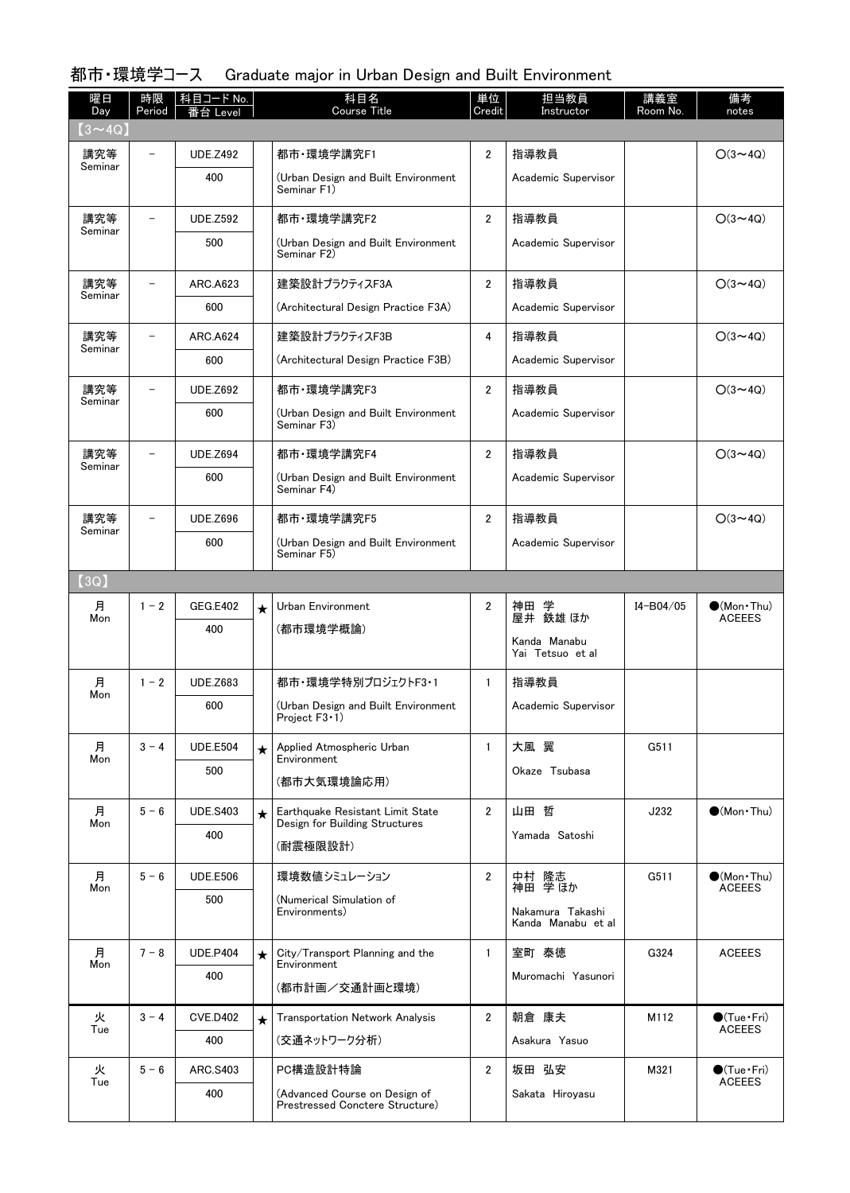| 曜日<br>Day      | 時限<br>Period | 科目コード No.<br>台 Level |         | 科目名<br><b>Course Title</b>                                       | 単位<br>Credit   | 担当教員<br>Instructor               | 講義室<br>Room No. | 備考<br>notes                            |
|----------------|--------------|----------------------|---------|------------------------------------------------------------------|----------------|----------------------------------|-----------------|----------------------------------------|
| $(3 \sim 4Q)$  |              |                      |         |                                                                  |                |                                  |                 |                                        |
| 講究等<br>Seminar |              | <b>UDE.Z492</b>      |         | 都市·環境学講究F1                                                       | $\overline{2}$ | 指導教員                             |                 | $O(3 \sim 4Q)$                         |
|                |              | 400                  |         | (Urban Design and Built Environment<br>Seminar F1)               |                | Academic Supervisor              |                 |                                        |
| 講究等<br>Seminar |              | <b>UDE.Z592</b>      |         | 都市·環境学講究F2                                                       | $\overline{2}$ | 指導教員                             |                 | $O(3 \sim 4Q)$                         |
|                |              | 500                  |         | (Urban Design and Built Environment<br>Seminar F2)               |                | Academic Supervisor              |                 |                                        |
| 講究等<br>Seminar |              | <b>ARC.A623</b>      |         | 建築設計プラクティスF3A                                                    | $\overline{2}$ | 指導教員                             |                 | $O(3 \sim 4Q)$                         |
|                |              | 600                  |         | (Architectural Design Practice F3A)                              |                | Academic Supervisor              |                 |                                        |
| 講究等<br>Seminar |              | <b>ARC.A624</b>      |         | 建築設計プラクティスF3B                                                    | 4              | 指導教員                             |                 | $O(3 \sim 4Q)$                         |
|                |              | 600                  |         | (Architectural Design Practice F3B)                              |                | Academic Supervisor              |                 |                                        |
| 講究等<br>Seminar | $\equiv$     | <b>UDE.Z692</b>      |         | 都市·環境学講究F3                                                       | $\overline{2}$ | 指導教員                             |                 | $O(3 \sim 4Q)$                         |
|                |              | 600                  |         | (Urban Design and Built Environment<br>Seminar F3)               |                | Academic Supervisor              |                 |                                        |
| 講究等            |              | <b>UDE.Z694</b>      |         | 都市·環境学講究F4                                                       | $\overline{2}$ | 指導教員                             |                 | $O(3 \sim 4Q)$                         |
| Seminar        |              | 600                  |         | (Urban Design and Built Environment<br>Seminar F4)               |                | Academic Supervisor              |                 |                                        |
| 講究等            |              | <b>UDE.Z696</b>      |         | 都市·環境学講究F5                                                       | $\overline{2}$ | 指導教員                             |                 | $O(3 \sim 4Q)$                         |
| Seminar        |              | 600                  |         | (Urban Design and Built Environment<br>Seminar F5)               |                | Academic Supervisor              |                 |                                        |
| (3Q)           |              |                      |         |                                                                  |                |                                  |                 |                                        |
| 月              | $1 - 2$      | <b>GEG.E402</b>      | $\star$ | Urban Environment                                                | $\overline{2}$ | 神田<br>神田 学<br>屋井 鉄雄ほか            | I4-B04/05       | $\bullet$ (Mon · Thu)                  |
| Mon            |              | 400                  |         | (都市環境学概論)                                                        |                |                                  |                 | <b>ACEEES</b>                          |
|                |              |                      |         |                                                                  |                | Kanda Manabu<br>Yai Tetsuo et al |                 |                                        |
| 月<br>Mon       | $1 - 2$      | <b>UDE.Z683</b>      |         | 都市・環境学特別プロジェクトF3 1                                               | $\mathbf{1}$   | 指導教員                             |                 |                                        |
|                |              | 600                  |         | (Urban Design and Built Environment<br>Project F3 1)             |                | Academic Supervisor              |                 |                                        |
| 月<br>Mon       | $3 - 4$      | <b>UDE.E504</b>      | $\star$ | Applied Atmospheric Urban<br>Environment                         | $\mathbf{1}$   | 大風 翼                             | G511            |                                        |
|                |              | 500                  |         | (都市大気環境論応用)                                                      |                | Okaze Tsubasa                    |                 |                                        |
| 月              | $5 - 6$      | <b>UDE.S403</b>      | $\star$ | Earthquake Resistant Limit State                                 | $\overline{2}$ | 山田 哲                             | J232            | $(Mon\cdot Thu)$                       |
| Mon            |              | 400                  |         | Design for Building Structures                                   |                | Yamada Satoshi                   |                 |                                        |
|                |              |                      |         | (耐震極限設計)                                                         |                |                                  |                 |                                        |
| 月<br>Mon       | $5 - 6$      | <b>UDE.E506</b>      |         | 環境数値シミュレーション                                                     | $\overline{2}$ | 中村 隆志<br>神田 学ほか                  | G511            | $\bullet$ (Mon · Thu)<br><b>ACEEES</b> |
|                |              | 500                  |         | (Numerical Simulation of<br>Environments)                        |                | Nakamura Takashi                 |                 |                                        |
|                |              |                      |         |                                                                  |                | Kanda Manabu et al               |                 |                                        |
| 月<br>Mon       | $7 - 8$      | <b>UDE.P404</b>      | $\star$ | City/Transport Planning and the<br>Environment                   | $\mathbf{1}$   | 室町 泰徳                            | G324            | <b>ACEEES</b>                          |
|                |              | 400                  |         | (都市計画/交通計画と環境)                                                   |                | Muromachi Yasunori               |                 |                                        |
| 火<br>Tue       | $3 - 4$      | <b>CVE.D402</b>      | $\star$ | <b>Transportation Network Analysis</b>                           | $\overline{2}$ | 朝倉 康夫                            | M112            | $\bullet$ (Tue Fri)<br><b>ACEEES</b>   |
|                |              | 400                  |         | (交通ネットワーク分析)                                                     |                | Asakura Yasuo                    |                 |                                        |
| 火<br>Tue       | $5 - 6$      | ARC.S403             |         | PC構造設計特論                                                         | $\overline{2}$ | 坂田 弘安                            | M321            | $\bullet$ (Tue•Fri)<br><b>ACEEES</b>   |
|                |              | 400                  |         | (Advanced Course on Design of<br>Prestressed Conctere Structure) |                | Sakata Hiroyasu                  |                 |                                        |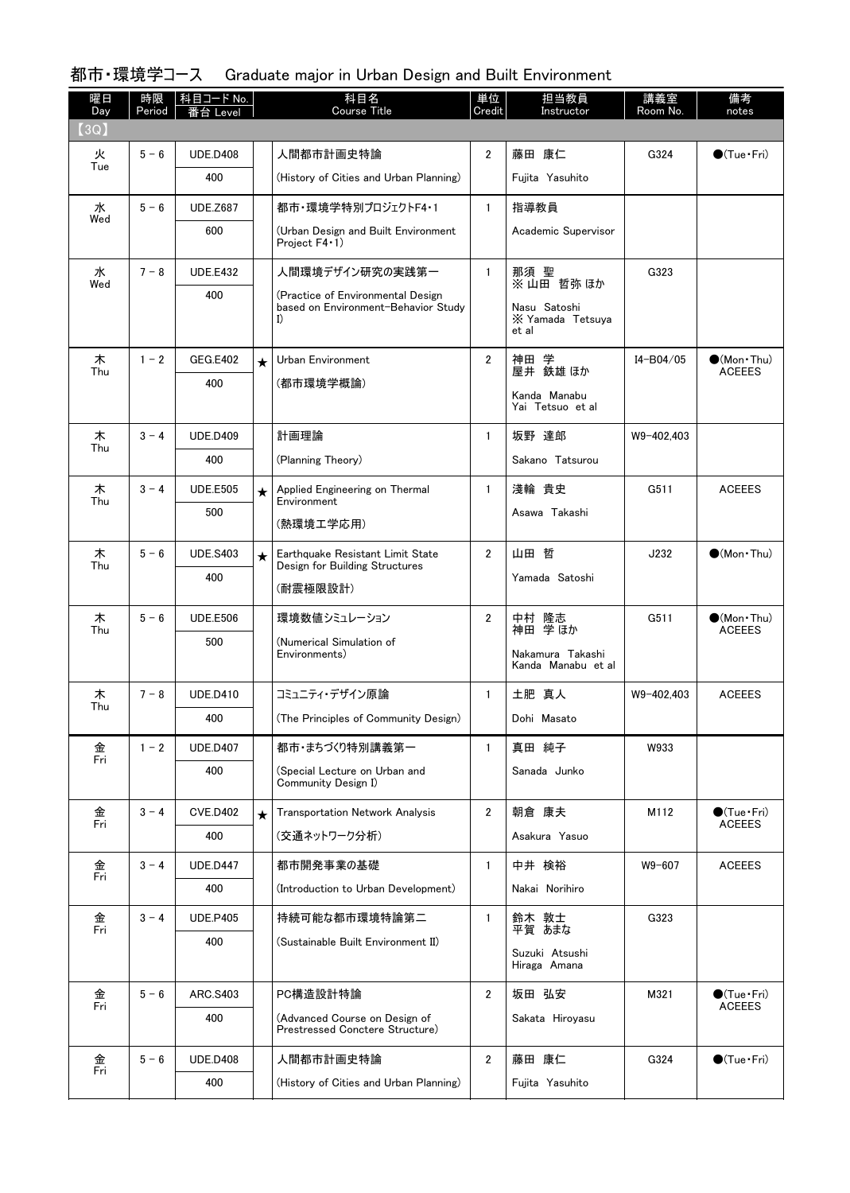| 曜日<br>Day | 時限<br>Period | 科目コード No.<br>≸台 Level |         | 科目名<br><b>Course Title</b>                                                     | 単位<br>Credit   | 担当教員<br>Instructor                        | 講義室<br>Room No. | 備考<br>notes                             |
|-----------|--------------|-----------------------|---------|--------------------------------------------------------------------------------|----------------|-------------------------------------------|-----------------|-----------------------------------------|
| (3Q)      |              |                       |         |                                                                                |                |                                           |                 |                                         |
| 火<br>Tue  | $5 - 6$      | <b>UDE.D408</b>       |         | 人間都市計画史特論                                                                      | $\overline{2}$ | 藤田 康仁                                     | G324            | $\bullet$ (Tue $\cdot$ Fri)             |
|           |              | 400                   |         | (History of Cities and Urban Planning)                                         |                | Fujita Yasuhito                           |                 |                                         |
| 水<br>Wed  | $5 - 6$      | <b>UDE.Z687</b>       |         | 都市·環境学特別プロジェクトF4・1                                                             | $\mathbf{1}$   | 指導教員                                      |                 |                                         |
|           |              | 600                   |         | (Urban Design and Built Environment<br>Project F4 1)                           |                | Academic Supervisor                       |                 |                                         |
| 水         | $7 - 8$      | <b>UDE.E432</b>       |         | 人間環境デザイン研究の実践第一                                                                | $\mathbf{1}$   | 那須 聖<br>※山田 哲弥 ほか                         | G323            |                                         |
| Wed       |              | 400                   |         | (Practice of Environmental Design<br>based on Environment-Behavior Study<br>I) |                | Nasu Satoshi<br>X Yamada Tetsuya<br>et al |                 |                                         |
| 木         | $1 - 2$      | <b>GEG.E402</b>       | $\star$ | Urban Environment                                                              | $\overline{2}$ | 神田 学                                      | I4-B04/05       | $\bullet$ (Mon · Thu)                   |
| Thu       |              | 400                   |         | (都市環境学概論)                                                                      |                | 屋井 鉄雄 ほか                                  |                 | <b>ACEEES</b>                           |
|           |              |                       |         |                                                                                |                | Kanda Manabu<br>Yai Tetsuo et al          |                 |                                         |
| 木         | $3 - 4$      | <b>UDE.D409</b>       |         | 計画理論                                                                           | $\mathbf{1}$   | 坂野 達郎                                     | W9-402,403      |                                         |
| Thu       |              | 400                   |         | (Planning Theory)                                                              |                | Sakano Tatsurou                           |                 |                                         |
| 木         | $3 - 4$      | <b>UDE.E505</b>       | $\star$ | Applied Engineering on Thermal                                                 | $\mathbf{1}$   | 淺輪 貴史                                     | G511            | <b>ACEEES</b>                           |
| Thu       |              | 500                   |         | Environment                                                                    |                | Asawa Takashi                             |                 |                                         |
|           |              |                       |         | (熱環境工学応用)                                                                      |                |                                           |                 |                                         |
| 木<br>Thu  | $5 - 6$      | <b>UDE.S403</b>       | $\star$ | Earthquake Resistant Limit State<br>Design for Building Structures             | $\overline{2}$ | 山田 哲                                      | J232            | $\bigcirc$ (Mon · Thu)                  |
|           |              | 400                   |         | (耐震極限設計)                                                                       |                | Yamada Satoshi                            |                 |                                         |
| 木<br>Thu  | $5 - 6$      | <b>UDE.E506</b>       |         | 環境数値シミュレーション                                                                   | $\overline{2}$ | 中村 隆志<br>学ほか<br>神田                        | G511            | $\bullet$ (Mon·Thu)<br><b>ACEEES</b>    |
|           |              | 500                   |         | (Numerical Simulation of<br>Environments)                                      |                | Nakamura Takashi                          |                 |                                         |
|           |              |                       |         |                                                                                |                | Kanda Manabu et al                        |                 |                                         |
| 木<br>Thu  | $7 - 8$      | <b>UDE.D410</b>       |         | コミュニティ・デザイン原論                                                                  | $\mathbf{1}$   | 土肥 真人                                     | W9-402,403      | <b>ACEEES</b>                           |
|           |              | 400                   |         | (The Principles of Community Design)                                           |                | Dohi Masato                               |                 |                                         |
| 金<br>Fri  | $1 - 2$      | <b>UDE.D407</b>       |         | 都市・まちづくり特別講義第一                                                                 | $\mathbf{1}$   | 真田 純子                                     | W933            |                                         |
|           |              | 400                   |         | (Special Lecture on Urban and<br>Community Design I)                           |                | Sanada Junko                              |                 |                                         |
| 金<br>Fri  | $3 - 4$      | <b>CVE.D402</b>       | $\star$ | <b>Transportation Network Analysis</b>                                         | $\overline{2}$ | 朝倉 康夫                                     | M112            | $\bullet$ (Tue•Fri)                     |
|           |              | 400                   |         | (交通ネットワーク分析)                                                                   |                | Asakura Yasuo                             |                 | <b>ACEEES</b>                           |
| 金<br>Fri  | $3 - 4$      | <b>UDE.D447</b>       |         | 都市開発事業の基礎                                                                      | $\mathbf{1}$   | 中井 検裕                                     | W9-607          | <b>ACEEES</b>                           |
|           |              | 400                   |         | (Introduction to Urban Development)                                            |                | Nakai Norihiro                            |                 |                                         |
| 金<br>Fri  | $3 - 4$      | <b>UDE.P405</b>       |         | 持続可能な都市環境特論第二                                                                  | $\mathbf{1}$   | 鈴木 敦士<br>平賀 あまな                           | G323            |                                         |
|           |              | 400                   |         | (Sustainable Built Environment II)                                             |                | Suzuki Atsushi                            |                 |                                         |
|           |              |                       |         |                                                                                |                | Hiraga Amana                              |                 |                                         |
| 金<br>Fri  | $5 - 6$      | ARC.S403              |         | PC構造設計特論                                                                       | $\overline{2}$ | 坂田 弘安                                     | M321            | $\bigcirc$ (Tue · Fri)<br><b>ACEEES</b> |
|           |              | 400                   |         | (Advanced Course on Design of<br>Prestressed Conctere Structure)               |                | Sakata Hiroyasu                           |                 |                                         |
| 金<br>Fri  | $5 - 6$      | <b>UDE.D408</b>       |         | 人間都市計画史特論                                                                      | 2              | 藤田 康仁                                     | G324            | $\bullet$ (Tue Fri)                     |
|           |              | 400                   |         | (History of Cities and Urban Planning)                                         |                | Fujita Yasuhito                           |                 |                                         |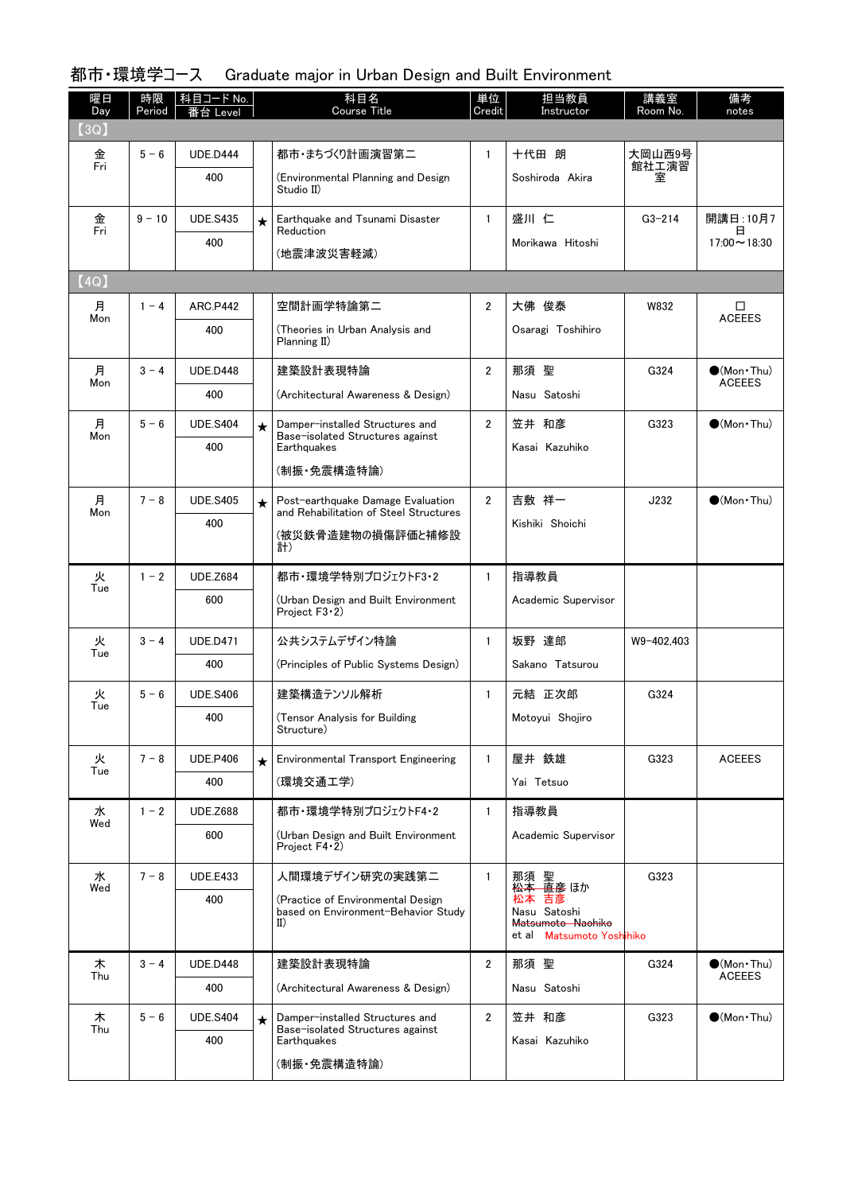| 曜日<br>Day | 時限<br>Period | 科目コード No.<br>i台 Level |         | 科目名<br><b>Course Title</b>                                                      | 単位<br>Credit   | 担当教員<br>Instructor                                                      | 講義室<br>Room No. | 備考<br>notes                                  |
|-----------|--------------|-----------------------|---------|---------------------------------------------------------------------------------|----------------|-------------------------------------------------------------------------|-----------------|----------------------------------------------|
| (3Q)      |              |                       |         |                                                                                 |                |                                                                         |                 |                                              |
| 金<br>Fri  | $5 - 6$      | <b>UDE.D444</b>       |         | 都市・まちづくり計画演習第二                                                                  | $\mathbf{1}$   | 十代田 朗                                                                   | 大岡山西9号<br>館社工演習 |                                              |
|           |              | 400                   |         | (Environmental Planning and Design<br>Studio II)                                |                | Soshiroda Akira                                                         | 室               |                                              |
| 金<br>Fri  | $9 - 10$     | <b>UDE.S435</b>       | $\star$ | Earthquake and Tsunami Disaster<br>Reduction                                    | $\mathbf{1}$   | 盛川 仁                                                                    | $G3 - 214$      | 開講日: 10月7<br>日                               |
|           |              | 400                   |         | (地震津波災害軽減)                                                                      |                | Morikawa Hitoshi                                                        |                 | $17:00 \sim 18:30$                           |
| (4Q)      |              |                       |         |                                                                                 |                |                                                                         |                 |                                              |
| 月<br>Mon  | $1 - 4$      | ARC P442              |         | 空間計画学特論第二                                                                       | 2              | 大佛 俊泰                                                                   | W832            | □<br><b>ACEEES</b>                           |
|           |              | 400                   |         | (Theories in Urban Analysis and<br>Planning II)                                 |                | Osaragi Toshihiro                                                       |                 |                                              |
| 月<br>Mon  | $3 - 4$      | <b>UDE.D448</b>       |         | 建築設計表現特論                                                                        | $\overline{2}$ | 那須 聖                                                                    | G324            | $\bullet$ (Mon $\cdot$ Thu)<br><b>ACEEES</b> |
|           |              | 400                   |         | (Architectural Awareness & Design)                                              |                | Nasu Satoshi                                                            |                 |                                              |
| 月<br>Mon  | $5 - 6$      | <b>UDE.S404</b>       | $\star$ | Damper-installed Structures and<br>Base-isolated Structures against             | $\overline{2}$ | 笠井 和彦                                                                   | G323            | $\bigcirc$ (Mon · Thu)                       |
|           |              | 400                   |         | Earthquakes                                                                     |                | Kasai Kazuhiko                                                          |                 |                                              |
|           |              |                       |         | (制振・免震構造特論)                                                                     |                |                                                                         |                 |                                              |
| 月<br>Mon  | $7 - 8$      | <b>UDE.S405</b>       | $\star$ | Post-earthquake Damage Evaluation<br>and Rehabilitation of Steel Structures     | $\overline{2}$ | 吉敷 祥一                                                                   | J232            | $\bullet$ (Mon $\cdot$ Thu)                  |
|           |              | 400                   |         | (被災鉄骨造建物の損傷評価と補修設<br>計)                                                         |                | Kishiki Shoichi                                                         |                 |                                              |
| 火         | $1 - 2$      | <b>UDE.Z684</b>       |         | 都市・環境学特別プロジェクトF3・2                                                              | $\mathbf{1}$   | 指導教員                                                                    |                 |                                              |
| Tue       |              | 600                   |         | (Urban Design and Built Environment<br>Project F3 · 2)                          |                | Academic Supervisor                                                     |                 |                                              |
| 火<br>Tue  | $3 - 4$      | <b>UDE.D471</b>       |         | 公共システムデザイン特論                                                                    | $\mathbf{1}$   | 坂野 達郎                                                                   | W9-402,403      |                                              |
|           |              | 400                   |         | (Principles of Public Systems Design)                                           |                | Sakano Tatsurou                                                         |                 |                                              |
| 火<br>Tue  | $5 - 6$      | <b>UDE.S406</b>       |         | 建築構造テンソル解析                                                                      | $\mathbf{1}$   | 元結 正次郎                                                                  | G324            |                                              |
|           |              | 400                   |         | (Tensor Analysis for Building<br>Structure)                                     |                | Motoyui Shojiro                                                         |                 |                                              |
| 火<br>Tue  | $7 - 8$      | <b>UDE.P406</b>       | $\star$ | <b>Environmental Transport Engineering</b>                                      | $\mathbf{1}$   | 屋井 鉄雄                                                                   | G323            | <b>ACEEES</b>                                |
|           |              | 400                   |         | (環境交通工学)                                                                        |                | Yai Tetsuo                                                              |                 |                                              |
| 水         | $1 - 2$      | <b>UDE.Z688</b>       |         | 都市・環境学特別プロジェクトF4・2                                                              | $\mathbf{1}$   | 指導教員                                                                    |                 |                                              |
| Wed       |              | 600                   |         | (Urban Design and Built Environment<br>Project F4 2)                            |                | Academic Supervisor                                                     |                 |                                              |
| 水<br>Wed  | $7 - 8$      | <b>UDE.E433</b>       |         | 人間環境デザイン研究の実践第二                                                                 | $\mathbf{1}$   | 那須 聖<br><del>松本 直彦</del> ほか                                             | G323            |                                              |
|           |              | 400                   |         | (Practice of Environmental Design<br>based on Environment-Behavior Study<br>II) |                | 松本 吉彦<br>Nasu Satoshi<br>Matsumoto Naohiko<br>et al Matsumoto Yoshihiko |                 |                                              |
| 木         | $3 - 4$      | <b>UDE.D448</b>       |         | 建築設計表現特論                                                                        | $\overline{2}$ | 那須 聖                                                                    | G324            | $\bigcirc$ (Mon Thu)                         |
| Thu       |              | 400                   |         | (Architectural Awareness & Design)                                              |                | Nasu Satoshi                                                            |                 | <b>ACEEES</b>                                |
| 木         | $5 - 6$      | <b>UDE.S404</b>       | $\star$ | Damper-installed Structures and                                                 | $\overline{2}$ | 笠井 和彦                                                                   | G323            | $\bigcirc$ (Mon Thu)                         |
| Thu       |              | 400                   |         | Base-isolated Structures against<br>Earthquakes                                 |                | Kasai Kazuhiko                                                          |                 |                                              |
|           |              |                       |         | (制振・免震構造特論)                                                                     |                |                                                                         |                 |                                              |